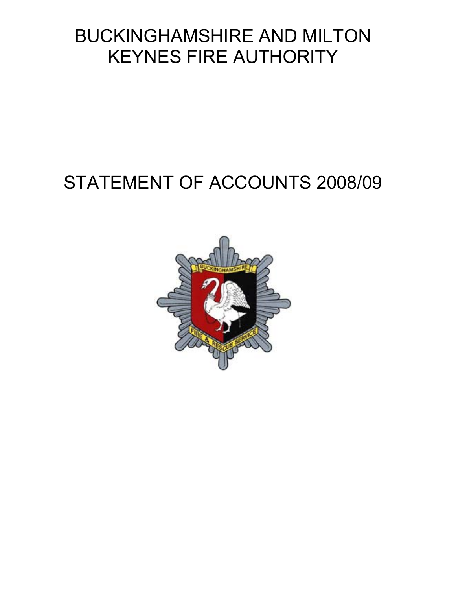# BUCKINGHAMSHIRE AND MILTON KEYNES FIRE AUTHORITY

# STATEMENT OF ACCOUNTS 2008/09

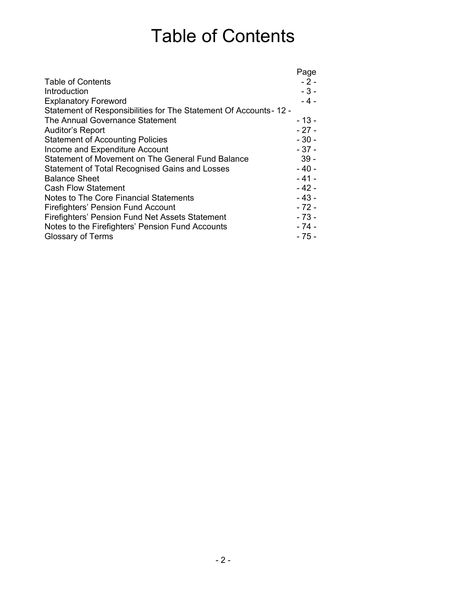# Table of Contents

|                                                                    | Page   |
|--------------------------------------------------------------------|--------|
| <b>Table of Contents</b>                                           | $-2-$  |
| Introduction                                                       | $-3-$  |
| <b>Explanatory Foreword</b>                                        | $-4-$  |
| Statement of Responsibilities for The Statement Of Accounts - 12 - |        |
| The Annual Governance Statement                                    | - 13 - |
| Auditor's Report                                                   | $-27-$ |
| <b>Statement of Accounting Policies</b>                            | $-30-$ |
| Income and Expenditure Account                                     | $-37-$ |
| Statement of Movement on The General Fund Balance                  | $39 -$ |
| Statement of Total Recognised Gains and Losses                     | $-40-$ |
| <b>Balance Sheet</b>                                               | $-41-$ |
| <b>Cash Flow Statement</b>                                         | $-42-$ |
| Notes to The Core Financial Statements                             | $-43-$ |
| Firefighters' Pension Fund Account                                 | $-72-$ |
| Firefighters' Pension Fund Net Assets Statement                    | $-73-$ |
| Notes to the Firefighters' Pension Fund Accounts                   | $-74-$ |
| <b>Glossary of Terms</b>                                           | - 75 - |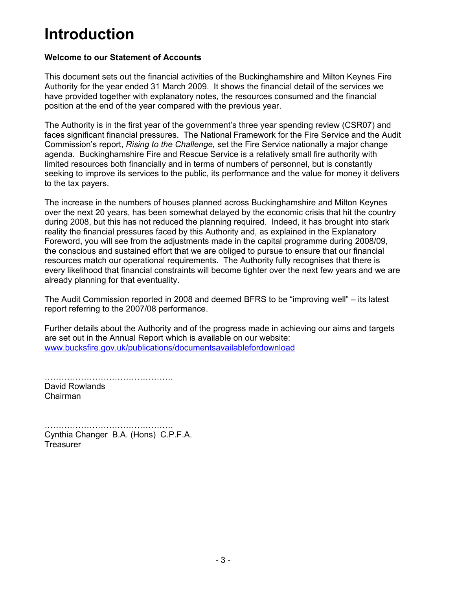# **Introduction**

# **Welcome to our Statement of Accounts**

This document sets out the financial activities of the Buckinghamshire and Milton Keynes Fire Authority for the year ended 31 March 2009. It shows the financial detail of the services we have provided together with explanatory notes, the resources consumed and the financial position at the end of the year compared with the previous year.

The Authority is in the first year of the government's three year spending review (CSR07) and faces significant financial pressures. The National Framework for the Fire Service and the Audit Commission's report, *Rising to the Challenge,* set the Fire Service nationally a major change agenda. Buckinghamshire Fire and Rescue Service is a relatively small fire authority with limited resources both financially and in terms of numbers of personnel, but is constantly seeking to improve its services to the public, its performance and the value for money it delivers to the tax payers.

The increase in the numbers of houses planned across Buckinghamshire and Milton Keynes over the next 20 years, has been somewhat delayed by the economic crisis that hit the country during 2008, but this has not reduced the planning required. Indeed, it has brought into stark reality the financial pressures faced by this Authority and, as explained in the Explanatory Foreword, you will see from the adjustments made in the capital programme during 2008/09, the conscious and sustained effort that we are obliged to pursue to ensure that our financial resources match our operational requirements. The Authority fully recognises that there is every likelihood that financial constraints will become tighter over the next few years and we are already planning for that eventuality.

The Audit Commission reported in 2008 and deemed BFRS to be "improving well" – its latest report referring to the 2007/08 performance.

Further details about the Authority and of the progress made in achieving our aims and targets are set out in the Annual Report which is available on our website: www.bucksfire.gov.uk/publications/documentsavailablefordownload

………………………………………. David Rowlands Chairman

………………………………………. Cynthia Changer B.A. (Hons) C.P.F.A. **Treasurer**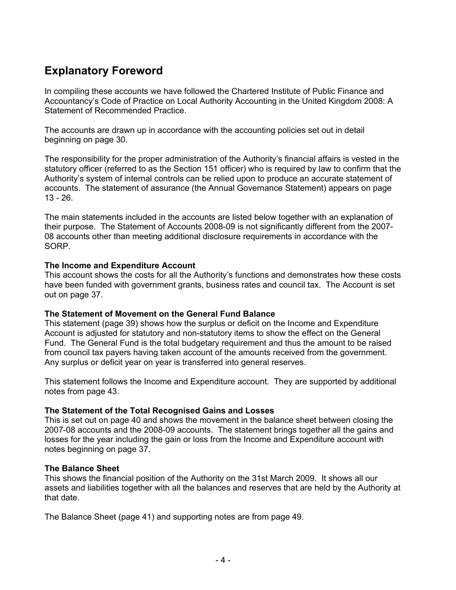# **Explanatory Foreword**

In compiling these accounts we have followed the Chartered Institute of Public Finance and Accountancy's Code of Practice on Local Authority Accounting in the United Kingdom 2008: A Statement of Recommended Practice.

The accounts are drawn up in accordance with the accounting policies set out in detail beginning on page 30.

The responsibility for the proper administration of the Authority's financial affairs is vested in the statutory officer (referred to as the Section 151 officer) who is required by law to confirm that the Authority's system of internal controls can be relied upon to produce an accurate statement of accounts. The statement of assurance (the Annual Governance Statement) appears on page 13 - 26.

The main statements included in the accounts are listed below together with an explanation of their purpose. The Statement of Accounts 2008-09 is not significantly different from the 2007- 08 accounts other than meeting additional disclosure requirements in accordance with the SORP.

# **The Income and Expenditure Account**

This account shows the costs for all the Authority's functions and demonstrates how these costs have been funded with government grants, business rates and council tax. The Account is set out on page 37.

# **The Statement of Movement on the General Fund Balance**

This statement (page 39) shows how the surplus or deficit on the Income and Expenditure Account is adjusted for statutory and non-statutory items to show the effect on the General Fund. The General Fund is the total budgetary requirement and thus the amount to be raised from council tax payers having taken account of the amounts received from the government. Any surplus or deficit year on year is transferred into general reserves.

This statement follows the Income and Expenditure account. They are supported by additional notes from page 43.

# **The Statement of the Total Recognised Gains and Losses**

This is set out on page 40 and shows the movement in the balance sheet between closing the 2007-08 accounts and the 2008-09 accounts. The statement brings together all the gains and losses for the year including the gain or loss from the Income and Expenditure account with notes beginning on page 37.

# **The Balance Sheet**

This shows the financial position of the Authority on the 31st March 2009. It shows all our assets and liabilities together with all the balances and reserves that are held by the Authority at that date.

The Balance Sheet (page 41) and supporting notes are from page 49.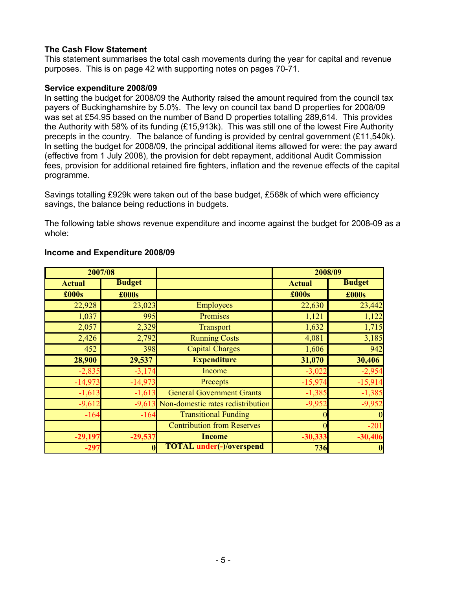# **The Cash Flow Statement**

This statement summarises the total cash movements during the year for capital and revenue purposes. This is on page 42 with supporting notes on pages 70-71.

#### **Service expenditure 2008/09**

In setting the budget for 2008/09 the Authority raised the amount required from the council tax payers of Buckinghamshire by 5.0%. The levy on council tax band D properties for 2008/09 was set at £54.95 based on the number of Band D properties totalling 289,614. This provides the Authority with 58% of its funding (£15,913k). This was still one of the lowest Fire Authority precepts in the country. The balance of funding is provided by central government (£11,540k). In setting the budget for 2008/09, the principal additional items allowed for were: the pay award (effective from 1 July 2008), the provision for debt repayment, additional Audit Commission fees, provision for additional retained fire fighters, inflation and the revenue effects of the capital programme.

Savings totalling £929k were taken out of the base budget, £568k of which were efficiency savings, the balance being reductions in budgets.

The following table shows revenue expenditure and income against the budget for 2008-09 as a whole:

| 2007/08                        |           |                                   | 2008/09       |                  |
|--------------------------------|-----------|-----------------------------------|---------------|------------------|
| <b>Budget</b><br><b>Actual</b> |           |                                   | <b>Actual</b> | <b>Budget</b>    |
| £000s                          | £000s     |                                   | £000s         | £000s            |
| 22,928                         | 23,023    | <b>Employees</b>                  | 22,630        | 23,442           |
| 1,037                          | 995       | Premises                          | 1,121         | 1,122            |
| 2,057                          | 2,329     | <b>Transport</b>                  | 1,632         | 1,715            |
| 2,426                          | 2,792     | <b>Running Costs</b>              | 4,081         | 3,185            |
| 452                            | 398       | <b>Capital Charges</b>            | 1,606         | 942              |
| 28,900                         | 29,537    | <b>Expenditure</b>                | 31,070        | 30,406           |
| $-2,835$                       | $-3,174$  | Income                            | $-3,022$      | $-2,954$         |
| $-14,973$                      | $-14,973$ | Precepts                          | $-15,974$     | $-15,914$        |
| $-1,613$                       | $-1,613$  | <b>General Government Grants</b>  | $-1,385$      | $-1,385$         |
| $-9,612$                       | $-9,613$  | Non-domestic rates redistribution | $-9,952$      | $-9,952$         |
| $-164$                         | $-164$    | <b>Transitional Funding</b>       |               |                  |
|                                |           | <b>Contribution from Reserves</b> | $\Omega$      | $-201$           |
| $-29,197$                      | $-29,537$ | <b>Income</b>                     | $-30,333$     | $-30,406$        |
| $-297$                         |           | <b>TOTAL</b> under(-)/overspend   | 736           | $\boldsymbol{0}$ |

# **Income and Expenditure 2008/09**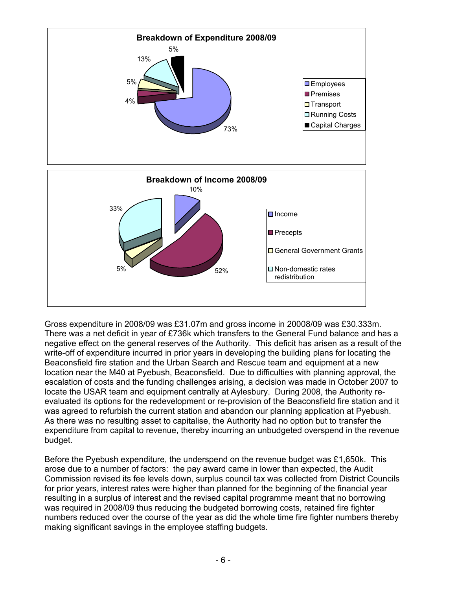

Gross expenditure in 2008/09 was £31.07m and gross income in 20008/09 was £30.333m. There was a net deficit in year of £736k which transfers to the General Fund balance and has a negative effect on the general reserves of the Authority. This deficit has arisen as a result of the write-off of expenditure incurred in prior years in developing the building plans for locating the Beaconsfield fire station and the Urban Search and Rescue team and equipment at a new location near the M40 at Pyebush, Beaconsfield. Due to difficulties with planning approval, the escalation of costs and the funding challenges arising, a decision was made in October 2007 to locate the USAR team and equipment centrally at Aylesbury. During 2008, the Authority reevaluated its options for the redevelopment or re-provision of the Beaconsfield fire station and it was agreed to refurbish the current station and abandon our planning application at Pyebush. As there was no resulting asset to capitalise, the Authority had no option but to transfer the expenditure from capital to revenue, thereby incurring an unbudgeted overspend in the revenue budget.

Before the Pyebush expenditure, the underspend on the revenue budget was £1,650k. This arose due to a number of factors: the pay award came in lower than expected, the Audit Commission revised its fee levels down, surplus council tax was collected from District Councils for prior years, interest rates were higher than planned for the beginning of the financial year resulting in a surplus of interest and the revised capital programme meant that no borrowing was required in 2008/09 thus reducing the budgeted borrowing costs, retained fire fighter numbers reduced over the course of the year as did the whole time fire fighter numbers thereby making significant savings in the employee staffing budgets.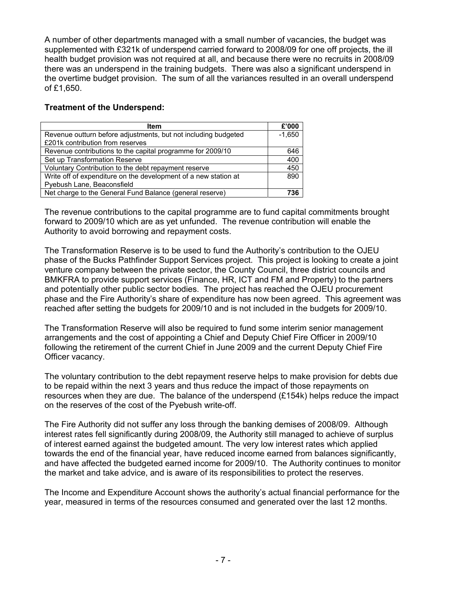A number of other departments managed with a small number of vacancies, the budget was supplemented with £321k of underspend carried forward to 2008/09 for one off projects, the ill health budget provision was not required at all, and because there were no recruits in 2008/09 there was an underspend in the training budgets. There was also a significant underspend in the overtime budget provision. The sum of all the variances resulted in an overall underspend of £1,650.

# **Treatment of the Underspend:**

| <b>Item</b>                                                     | £'000    |
|-----------------------------------------------------------------|----------|
| Revenue outturn before adjustments, but not including budgeted  | $-1.650$ |
| £201k contribution from reserves                                |          |
| Revenue contributions to the capital programme for 2009/10      | 646      |
| Set up Transformation Reserve                                   | 400      |
| Voluntary Contribution to the debt repayment reserve            | 450      |
| Write off of expenditure on the development of a new station at | 890      |
| Pyebush Lane, Beaconsfield                                      |          |
| Net charge to the General Fund Balance (general reserve)        | '36      |

The revenue contributions to the capital programme are to fund capital commitments brought forward to 2009/10 which are as yet unfunded. The revenue contribution will enable the Authority to avoid borrowing and repayment costs.

The Transformation Reserve is to be used to fund the Authority's contribution to the OJEU phase of the Bucks Pathfinder Support Services project. This project is looking to create a joint venture company between the private sector, the County Council, three district councils and BMKFRA to provide support services (Finance, HR, ICT and FM and Property) to the partners and potentially other public sector bodies. The project has reached the OJEU procurement phase and the Fire Authority's share of expenditure has now been agreed. This agreement was reached after setting the budgets for 2009/10 and is not included in the budgets for 2009/10.

The Transformation Reserve will also be required to fund some interim senior management arrangements and the cost of appointing a Chief and Deputy Chief Fire Officer in 2009/10 following the retirement of the current Chief in June 2009 and the current Deputy Chief Fire Officer vacancy.

The voluntary contribution to the debt repayment reserve helps to make provision for debts due to be repaid within the next 3 years and thus reduce the impact of those repayments on resources when they are due. The balance of the underspend (£154k) helps reduce the impact on the reserves of the cost of the Pyebush write-off.

The Fire Authority did not suffer any loss through the banking demises of 2008/09. Although interest rates fell significantly during 2008/09, the Authority still managed to achieve of surplus of interest earned against the budgeted amount. The very low interest rates which applied towards the end of the financial year, have reduced income earned from balances significantly, and have affected the budgeted earned income for 2009/10. The Authority continues to monitor the market and take advice, and is aware of its responsibilities to protect the reserves.

The Income and Expenditure Account shows the authority's actual financial performance for the year, measured in terms of the resources consumed and generated over the last 12 months.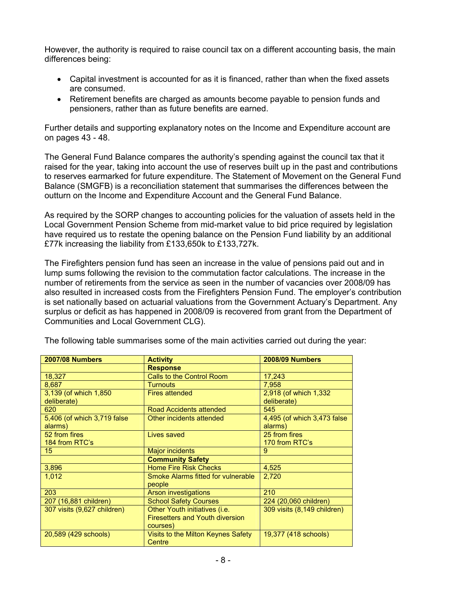However, the authority is required to raise council tax on a different accounting basis, the main differences being:

- Capital investment is accounted for as it is financed, rather than when the fixed assets are consumed.
- Retirement benefits are charged as amounts become payable to pension funds and pensioners, rather than as future benefits are earned.

Further details and supporting explanatory notes on the Income and Expenditure account are on pages 43 - 48.

The General Fund Balance compares the authority's spending against the council tax that it raised for the year, taking into account the use of reserves built up in the past and contributions to reserves earmarked for future expenditure. The Statement of Movement on the General Fund Balance (SMGFB) is a reconciliation statement that summarises the differences between the outturn on the Income and Expenditure Account and the General Fund Balance.

As required by the SORP changes to accounting policies for the valuation of assets held in the Local Government Pension Scheme from mid-market value to bid price required by legislation have required us to restate the opening balance on the Pension Fund liability by an additional £77k increasing the liability from £133,650k to £133,727k.

The Firefighters pension fund has seen an increase in the value of pensions paid out and in lump sums following the revision to the commutation factor calculations. The increase in the number of retirements from the service as seen in the number of vacancies over 2008/09 has also resulted in increased costs from the Firefighters Pension Fund. The employer's contribution is set nationally based on actuarial valuations from the Government Actuary's Department. Any surplus or deficit as has happened in 2008/09 is recovered from grant from the Department of Communities and Local Government CLG).

| <b>2007/08 Numbers</b>      | <b>Activity</b>                           | <b>2008/09 Numbers</b>      |
|-----------------------------|-------------------------------------------|-----------------------------|
|                             | <b>Response</b>                           |                             |
| 18,327                      | Calls to the Control Room                 | 17,243                      |
| 8,687                       | <b>Turnouts</b>                           | 7.958                       |
| 3,139 (of which 1,850)      | <b>Fires attended</b>                     | 2,918 (of which 1,332       |
| deliberate)                 |                                           | deliberate)                 |
| 620                         | Road Accidents attended                   | 545                         |
| 5,406 (of which 3,719 false | Other incidents attended                  | 4,495 (of which 3,473 false |
| alarms)                     |                                           | alarms)                     |
| 52 from fires               | Lives saved                               | 25 from fires               |
| 184 from RTC's              |                                           | 170 from RTC's              |
| 15                          | <b>Major incidents</b>                    | 9                           |
|                             | <b>Community Safety</b>                   |                             |
| 3,896                       | <b>Home Fire Risk Checks</b>              | 4,525                       |
| 1,012                       | <b>Smoke Alarms fitted for vulnerable</b> | 2,720                       |
|                             | people                                    |                             |
| 203                         | <b>Arson investigations</b>               | 210                         |
| 207 (16,881 children)       | <b>School Safety Courses</b>              | 224 (20,060 children)       |
| 307 visits (9,627 children) | Other Youth initiatives (i.e.             | 309 visits (8,149 children) |
|                             | <b>Firesetters and Youth diversion</b>    |                             |
|                             | courses)                                  |                             |
| 20,589 (429 schools)        | Visits to the Milton Keynes Safety        | 19,377 (418 schools)        |
|                             | Centre                                    |                             |

The following table summarises some of the main activities carried out during the year: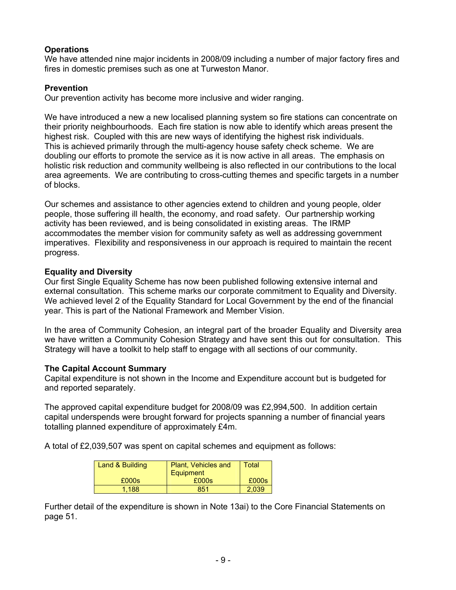# **Operations**

We have attended nine major incidents in 2008/09 including a number of major factory fires and fires in domestic premises such as one at Turweston Manor.

# **Prevention**

Our prevention activity has become more inclusive and wider ranging.

We have introduced a new a new localised planning system so fire stations can concentrate on their priority neighbourhoods. Each fire station is now able to identify which areas present the highest risk. Coupled with this are new ways of identifying the highest risk individuals. This is achieved primarily through the multi-agency house safety check scheme. We are doubling our efforts to promote the service as it is now active in all areas. The emphasis on holistic risk reduction and community wellbeing is also reflected in our contributions to the local area agreements. We are contributing to cross-cutting themes and specific targets in a number of blocks.

Our schemes and assistance to other agencies extend to children and young people, older people, those suffering ill health, the economy, and road safety. Our partnership working activity has been reviewed, and is being consolidated in existing areas. The IRMP accommodates the member vision for community safety as well as addressing government imperatives. Flexibility and responsiveness in our approach is required to maintain the recent progress.

# **Equality and Diversity**

Our first Single Equality Scheme has now been published following extensive internal and external consultation. This scheme marks our corporate commitment to Equality and Diversity. We achieved level 2 of the Equality Standard for Local Government by the end of the financial year. This is part of the National Framework and Member Vision.

In the area of Community Cohesion, an integral part of the broader Equality and Diversity area we have written a Community Cohesion Strategy and have sent this out for consultation. This Strategy will have a toolkit to help staff to engage with all sections of our community.

# **The Capital Account Summary**

Capital expenditure is not shown in the Income and Expenditure account but is budgeted for and reported separately.

The approved capital expenditure budget for 2008/09 was £2,994,500. In addition certain capital underspends were brought forward for projects spanning a number of financial years totalling planned expenditure of approximately £4m.

A total of £2,039,507 was spent on capital schemes and equipment as follows:

| Land & Building | Plant, Vehicles and | Total |
|-----------------|---------------------|-------|
|                 | Equipment           |       |
| £000s           | £000s               | £000s |
| 1.188           | 851                 | 2.039 |

Further detail of the expenditure is shown in Note 13ai) to the Core Financial Statements on page 51.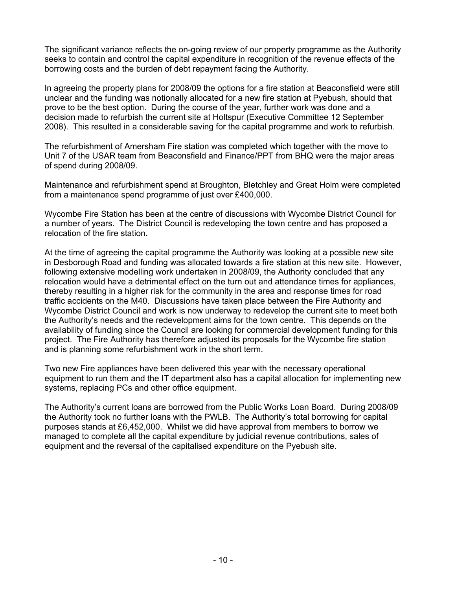The significant variance reflects the on-going review of our property programme as the Authority seeks to contain and control the capital expenditure in recognition of the revenue effects of the borrowing costs and the burden of debt repayment facing the Authority.

In agreeing the property plans for 2008/09 the options for a fire station at Beaconsfield were still unclear and the funding was notionally allocated for a new fire station at Pyebush, should that prove to be the best option. During the course of the year, further work was done and a decision made to refurbish the current site at Holtspur (Executive Committee 12 September 2008). This resulted in a considerable saving for the capital programme and work to refurbish.

The refurbishment of Amersham Fire station was completed which together with the move to Unit 7 of the USAR team from Beaconsfield and Finance/PPT from BHQ were the major areas of spend during 2008/09.

Maintenance and refurbishment spend at Broughton, Bletchley and Great Holm were completed from a maintenance spend programme of just over £400,000.

Wycombe Fire Station has been at the centre of discussions with Wycombe District Council for a number of years. The District Council is redeveloping the town centre and has proposed a relocation of the fire station.

At the time of agreeing the capital programme the Authority was looking at a possible new site in Desborough Road and funding was allocated towards a fire station at this new site. However, following extensive modelling work undertaken in 2008/09, the Authority concluded that any relocation would have a detrimental effect on the turn out and attendance times for appliances, thereby resulting in a higher risk for the community in the area and response times for road traffic accidents on the M40. Discussions have taken place between the Fire Authority and Wycombe District Council and work is now underway to redevelop the current site to meet both the Authority's needs and the redevelopment aims for the town centre. This depends on the availability of funding since the Council are looking for commercial development funding for this project. The Fire Authority has therefore adjusted its proposals for the Wycombe fire station and is planning some refurbishment work in the short term.

Two new Fire appliances have been delivered this year with the necessary operational equipment to run them and the IT department also has a capital allocation for implementing new systems, replacing PCs and other office equipment.

The Authority's current loans are borrowed from the Public Works Loan Board. During 2008/09 the Authority took no further loans with the PWLB. The Authority's total borrowing for capital purposes stands at £6,452,000. Whilst we did have approval from members to borrow we managed to complete all the capital expenditure by judicial revenue contributions, sales of equipment and the reversal of the capitalised expenditure on the Pyebush site.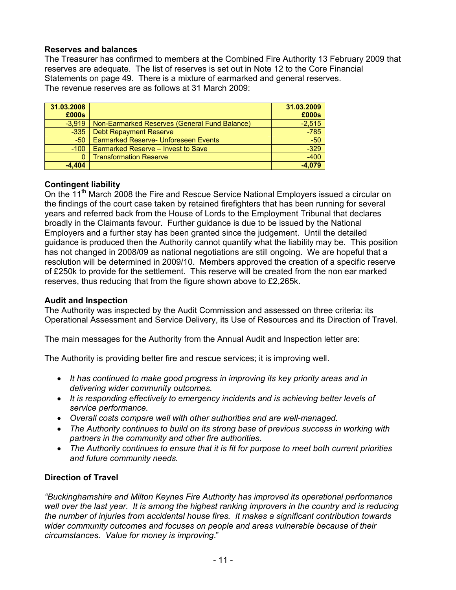# **Reserves and balances**

The Treasurer has confirmed to members at the Combined Fire Authority 13 February 2009 that reserves are adequate. The list of reserves is set out in Note 12 to the Core Financial Statements on page 49. There is a mixture of earmarked and general reserves. The revenue reserves are as follows at 31 March 2009:

| 31.03.2008<br>£000s |                                               | 31.03.2009<br>£000s |
|---------------------|-----------------------------------------------|---------------------|
| $-3.919$            | Non-Earmarked Reserves (General Fund Balance) | $-2,515$            |
| $-335$              | <b>Debt Repayment Reserve</b>                 | $-785$              |
| $-50$               | <b>Earmarked Reserve- Unforeseen Events</b>   | $-50$               |
| $-100$              | Earmarked Reserve - Invest to Save            | $-329$              |
| 0                   | <b>Transformation Reserve</b>                 | $-400$              |
| $-4.404$            |                                               | $-4.079$            |

# **Contingent liability**

On the 11<sup>th</sup> March 2008 the Fire and Rescue Service National Employers issued a circular on the findings of the court case taken by retained firefighters that has been running for several years and referred back from the House of Lords to the Employment Tribunal that declares broadly in the Claimants favour. Further guidance is due to be issued by the National Employers and a further stay has been granted since the judgement. Until the detailed guidance is produced then the Authority cannot quantify what the liability may be. This position has not changed in 2008/09 as national negotiations are still ongoing. We are hopeful that a resolution will be determined in 2009/10. Members approved the creation of a specific reserve of £250k to provide for the settlement. This reserve will be created from the non ear marked reserves, thus reducing that from the figure shown above to £2,265k.

# **Audit and Inspection**

The Authority was inspected by the Audit Commission and assessed on three criteria: its Operational Assessment and Service Delivery, its Use of Resources and its Direction of Travel.

The main messages for the Authority from the Annual Audit and Inspection letter are:

The Authority is providing better fire and rescue services; it is improving well.

- *It has continued to make good progress in improving its key priority areas and in delivering wider community outcomes.*
- *It is responding effectively to emergency incidents and is achieving better levels of service performance.*
- *Overall costs compare well with other authorities and are well-managed.*
- *The Authority continues to build on its strong base of previous success in working with partners in the community and other fire authorities.*
- *The Authority continues to ensure that it is fit for purpose to meet both current priorities and future community needs.*

# **Direction of Travel**

*"Buckinghamshire and Milton Keynes Fire Authority has improved its operational performance well over the last year. It is among the highest ranking improvers in the country and is reducing the number of injuries from accidental house fires. It makes a significant contribution towards wider community outcomes and focuses on people and areas vulnerable because of their circumstances. Value for money is improving*."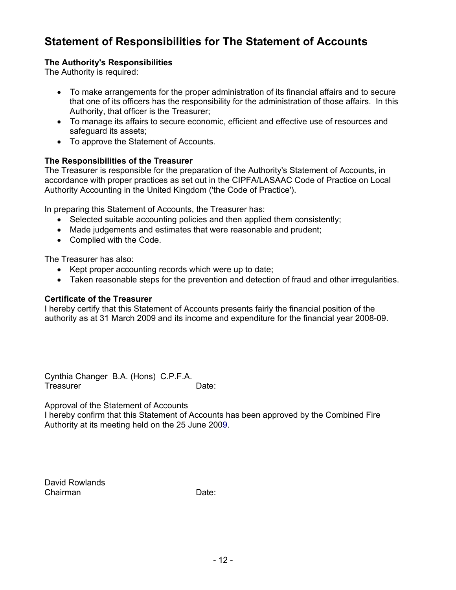# **Statement of Responsibilities for The Statement of Accounts**

# **The Authority's Responsibilities**

The Authority is required:

- To make arrangements for the proper administration of its financial affairs and to secure that one of its officers has the responsibility for the administration of those affairs. In this Authority, that officer is the Treasurer;
- To manage its affairs to secure economic, efficient and effective use of resources and safeguard its assets;
- To approve the Statement of Accounts.

# **The Responsibilities of the Treasurer**

The Treasurer is responsible for the preparation of the Authority's Statement of Accounts, in accordance with proper practices as set out in the CIPFA/LASAAC Code of Practice on Local Authority Accounting in the United Kingdom ('the Code of Practice').

In preparing this Statement of Accounts, the Treasurer has:

- Selected suitable accounting policies and then applied them consistently;
- Made judgements and estimates that were reasonable and prudent;
- Complied with the Code.

The Treasurer has also:

- Kept proper accounting records which were up to date;
- Taken reasonable steps for the prevention and detection of fraud and other irregularities.

# **Certificate of the Treasurer**

I hereby certify that this Statement of Accounts presents fairly the financial position of the authority as at 31 March 2009 and its income and expenditure for the financial year 2008-09.

Cynthia Changer B.A. (Hons) C.P.F.A. Treasurer **Date:** Date:

Approval of the Statement of Accounts

I hereby confirm that this Statement of Accounts has been approved by the Combined Fire Authority at its meeting held on the 25 June 2009.

David Rowlands Chairman Date: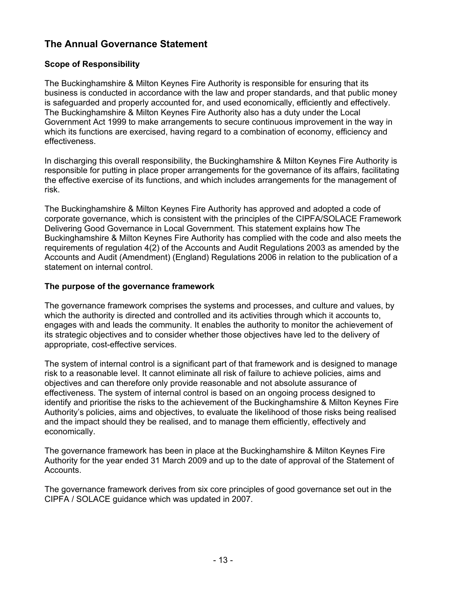# **The Annual Governance Statement**

# **Scope of Responsibility**

The Buckinghamshire & Milton Keynes Fire Authority is responsible for ensuring that its business is conducted in accordance with the law and proper standards, and that public money is safeguarded and properly accounted for, and used economically, efficiently and effectively. The Buckinghamshire & Milton Keynes Fire Authority also has a duty under the Local Government Act 1999 to make arrangements to secure continuous improvement in the way in which its functions are exercised, having regard to a combination of economy, efficiency and effectiveness.

In discharging this overall responsibility, the Buckinghamshire & Milton Keynes Fire Authority is responsible for putting in place proper arrangements for the governance of its affairs, facilitating the effective exercise of its functions, and which includes arrangements for the management of risk.

The Buckinghamshire & Milton Keynes Fire Authority has approved and adopted a code of corporate governance, which is consistent with the principles of the CIPFA/SOLACE Framework Delivering Good Governance in Local Government. This statement explains how The Buckinghamshire & Milton Keynes Fire Authority has complied with the code and also meets the requirements of regulation 4(2) of the Accounts and Audit Regulations 2003 as amended by the Accounts and Audit (Amendment) (England) Regulations 2006 in relation to the publication of a statement on internal control.

# **The purpose of the governance framework**

The governance framework comprises the systems and processes, and culture and values, by which the authority is directed and controlled and its activities through which it accounts to, engages with and leads the community. It enables the authority to monitor the achievement of its strategic objectives and to consider whether those objectives have led to the delivery of appropriate, cost-effective services.

The system of internal control is a significant part of that framework and is designed to manage risk to a reasonable level. It cannot eliminate all risk of failure to achieve policies, aims and objectives and can therefore only provide reasonable and not absolute assurance of effectiveness. The system of internal control is based on an ongoing process designed to identify and prioritise the risks to the achievement of the Buckinghamshire & Milton Keynes Fire Authority's policies, aims and objectives, to evaluate the likelihood of those risks being realised and the impact should they be realised, and to manage them efficiently, effectively and economically.

The governance framework has been in place at the Buckinghamshire & Milton Keynes Fire Authority for the year ended 31 March 2009 and up to the date of approval of the Statement of Accounts.

The governance framework derives from six core principles of good governance set out in the CIPFA / SOLACE guidance which was updated in 2007.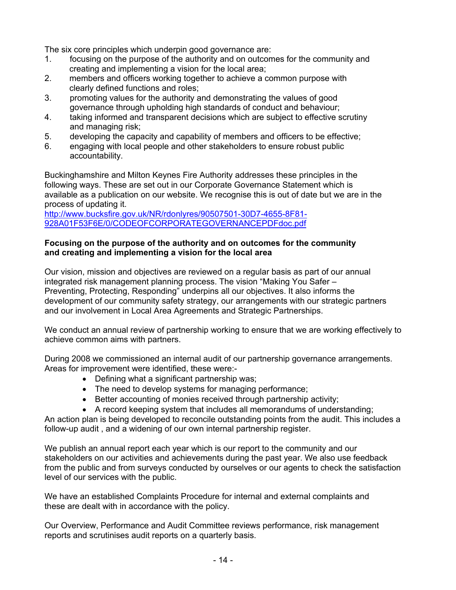The six core principles which underpin good governance are:

- 1. focusing on the purpose of the authority and on outcomes for the community and creating and implementing a vision for the local area;
- 2. members and officers working together to achieve a common purpose with clearly defined functions and roles;
- 3. promoting values for the authority and demonstrating the values of good governance through upholding high standards of conduct and behaviour;
- 4. taking informed and transparent decisions which are subject to effective scrutiny and managing risk;
- 5. developing the capacity and capability of members and officers to be effective;
- 6. engaging with local people and other stakeholders to ensure robust public accountability.

Buckinghamshire and Milton Keynes Fire Authority addresses these principles in the following ways. These are set out in our Corporate Governance Statement which is available as a publication on our website. We recognise this is out of date but we are in the process of updating it.

http://www.bucksfire.gov.uk/NR/rdonlyres/90507501-30D7-4655-8F81- 928A01F53F6E/0/CODEOFCORPORATEGOVERNANCEPDFdoc.pdf

#### **Focusing on the purpose of the authority and on outcomes for the community and creating and implementing a vision for the local area**

Our vision, mission and objectives are reviewed on a regular basis as part of our annual integrated risk management planning process. The vision "Making You Safer – Preventing, Protecting, Responding" underpins all our objectives. It also informs the development of our community safety strategy, our arrangements with our strategic partners and our involvement in Local Area Agreements and Strategic Partnerships.

We conduct an annual review of partnership working to ensure that we are working effectively to achieve common aims with partners.

During 2008 we commissioned an internal audit of our partnership governance arrangements. Areas for improvement were identified, these were:-

- Defining what a significant partnership was;
- The need to develop systems for managing performance;
- Better accounting of monies received through partnership activity;
- A record keeping system that includes all memorandums of understanding;

An action plan is being developed to reconcile outstanding points from the audit. This includes a follow-up audit , and a widening of our own internal partnership register.

We publish an annual report each year which is our report to the community and our stakeholders on our activities and achievements during the past year. We also use feedback from the public and from surveys conducted by ourselves or our agents to check the satisfaction level of our services with the public.

We have an established Complaints Procedure for internal and external complaints and these are dealt with in accordance with the policy.

Our Overview, Performance and Audit Committee reviews performance, risk management reports and scrutinises audit reports on a quarterly basis.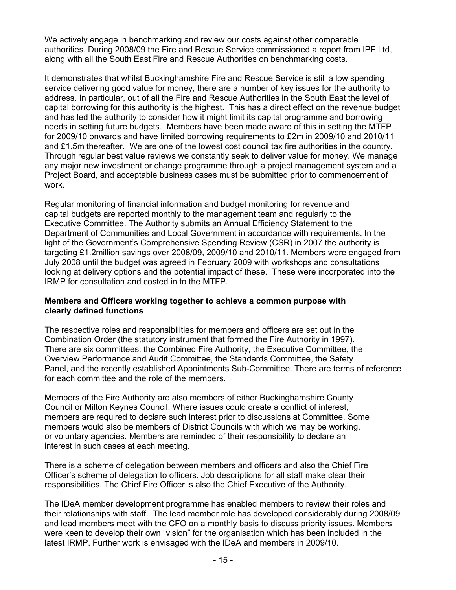We actively engage in benchmarking and review our costs against other comparable authorities. During 2008/09 the Fire and Rescue Service commissioned a report from IPF Ltd, along with all the South East Fire and Rescue Authorities on benchmarking costs.

It demonstrates that whilst Buckinghamshire Fire and Rescue Service is still a low spending service delivering good value for money, there are a number of key issues for the authority to address. In particular, out of all the Fire and Rescue Authorities in the South East the level of capital borrowing for this authority is the highest. This has a direct effect on the revenue budget and has led the authority to consider how it might limit its capital programme and borrowing needs in setting future budgets. Members have been made aware of this in setting the MTFP for 2009/10 onwards and have limited borrowing requirements to £2m in 2009/10 and 2010/11 and £1.5m thereafter. We are one of the lowest cost council tax fire authorities in the country. Through regular best value reviews we constantly seek to deliver value for money. We manage any major new investment or change programme through a project management system and a Project Board, and acceptable business cases must be submitted prior to commencement of work.

Regular monitoring of financial information and budget monitoring for revenue and capital budgets are reported monthly to the management team and regularly to the Executive Committee. The Authority submits an Annual Efficiency Statement to the Department of Communities and Local Government in accordance with requirements. In the light of the Government's Comprehensive Spending Review (CSR) in 2007 the authority is targeting £1.2million savings over 2008/09, 2009/10 and 2010/11. Members were engaged from July 2008 until the budget was agreed in February 2009 with workshops and consultations looking at delivery options and the potential impact of these. These were incorporated into the IRMP for consultation and costed in to the MTFP.

# **Members and Officers working together to achieve a common purpose with clearly defined functions**

The respective roles and responsibilities for members and officers are set out in the Combination Order (the statutory instrument that formed the Fire Authority in 1997). There are six committees: the Combined Fire Authority, the Executive Committee, the Overview Performance and Audit Committee, the Standards Committee, the Safety Panel, and the recently established Appointments Sub-Committee. There are terms of reference for each committee and the role of the members.

Members of the Fire Authority are also members of either Buckinghamshire County Council or Milton Keynes Council. Where issues could create a conflict of interest, members are required to declare such interest prior to discussions at Committee. Some members would also be members of District Councils with which we may be working, or voluntary agencies. Members are reminded of their responsibility to declare an interest in such cases at each meeting.

There is a scheme of delegation between members and officers and also the Chief Fire Officer's scheme of delegation to officers. Job descriptions for all staff make clear their responsibilities. The Chief Fire Officer is also the Chief Executive of the Authority.

The IDeA member development programme has enabled members to review their roles and their relationships with staff. The lead member role has developed considerably during 2008/09 and lead members meet with the CFO on a monthly basis to discuss priority issues. Members were keen to develop their own "vision" for the organisation which has been included in the latest IRMP. Further work is envisaged with the IDeA and members in 2009/10.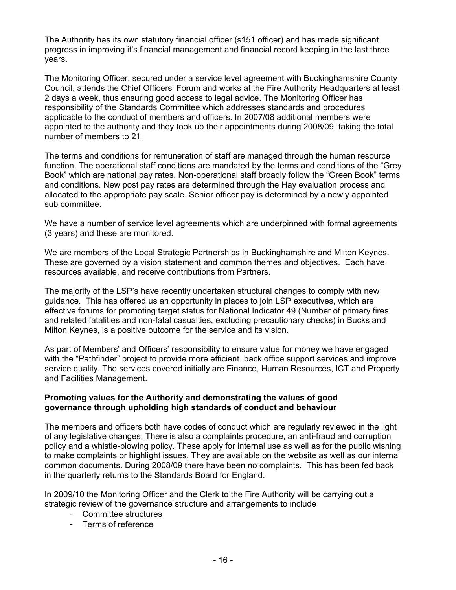The Authority has its own statutory financial officer (s151 officer) and has made significant progress in improving it's financial management and financial record keeping in the last three years.

The Monitoring Officer, secured under a service level agreement with Buckinghamshire County Council, attends the Chief Officers' Forum and works at the Fire Authority Headquarters at least 2 days a week, thus ensuring good access to legal advice. The Monitoring Officer has responsibility of the Standards Committee which addresses standards and procedures applicable to the conduct of members and officers. In 2007/08 additional members were appointed to the authority and they took up their appointments during 2008/09, taking the total number of members to 21.

The terms and conditions for remuneration of staff are managed through the human resource function. The operational staff conditions are mandated by the terms and conditions of the "Grey Book" which are national pay rates. Non-operational staff broadly follow the "Green Book" terms and conditions. New post pay rates are determined through the Hay evaluation process and allocated to the appropriate pay scale. Senior officer pay is determined by a newly appointed sub committee.

We have a number of service level agreements which are underpinned with formal agreements (3 years) and these are monitored.

We are members of the Local Strategic Partnerships in Buckinghamshire and Milton Keynes. These are governed by a vision statement and common themes and objectives. Each have resources available, and receive contributions from Partners.

The majority of the LSP's have recently undertaken structural changes to comply with new guidance. This has offered us an opportunity in places to join LSP executives, which are effective forums for promoting target status for National Indicator 49 (Number of primary fires and related fatalities and non-fatal casualties, excluding precautionary checks) in Bucks and Milton Keynes, is a positive outcome for the service and its vision.

As part of Members' and Officers' responsibility to ensure value for money we have engaged with the "Pathfinder" project to provide more efficient back office support services and improve service quality. The services covered initially are Finance, Human Resources, ICT and Property and Facilities Management.

# **Promoting values for the Authority and demonstrating the values of good governance through upholding high standards of conduct and behaviour**

The members and officers both have codes of conduct which are regularly reviewed in the light of any legislative changes. There is also a complaints procedure, an anti-fraud and corruption policy and a whistle-blowing policy. These apply for internal use as well as for the public wishing to make complaints or highlight issues. They are available on the website as well as our internal common documents. During 2008/09 there have been no complaints. This has been fed back in the quarterly returns to the Standards Board for England.

In 2009/10 the Monitoring Officer and the Clerk to the Fire Authority will be carrying out a strategic review of the governance structure and arrangements to include

- Committee structures
- Terms of reference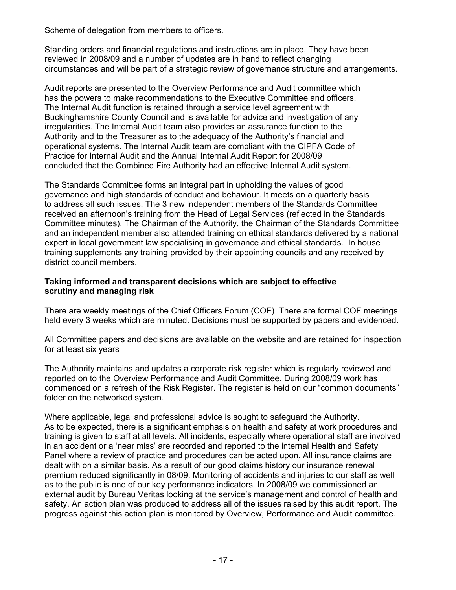Scheme of delegation from members to officers.

Standing orders and financial regulations and instructions are in place. They have been reviewed in 2008/09 and a number of updates are in hand to reflect changing circumstances and will be part of a strategic review of governance structure and arrangements.

Audit reports are presented to the Overview Performance and Audit committee which has the powers to make recommendations to the Executive Committee and officers. The Internal Audit function is retained through a service level agreement with Buckinghamshire County Council and is available for advice and investigation of any irregularities. The Internal Audit team also provides an assurance function to the Authority and to the Treasurer as to the adequacy of the Authority's financial and operational systems. The Internal Audit team are compliant with the CIPFA Code of Practice for Internal Audit and the Annual Internal Audit Report for 2008/09 concluded that the Combined Fire Authority had an effective Internal Audit system.

The Standards Committee forms an integral part in upholding the values of good governance and high standards of conduct and behaviour. It meets on a quarterly basis to address all such issues. The 3 new independent members of the Standards Committee received an afternoon's training from the Head of Legal Services (reflected in the Standards Committee minutes). The Chairman of the Authority, the Chairman of the Standards Committee and an independent member also attended training on ethical standards delivered by a national expert in local government law specialising in governance and ethical standards. In house training supplements any training provided by their appointing councils and any received by district council members.

# **Taking informed and transparent decisions which are subject to effective scrutiny and managing risk**

There are weekly meetings of the Chief Officers Forum (COF) There are formal COF meetings held every 3 weeks which are minuted. Decisions must be supported by papers and evidenced.

All Committee papers and decisions are available on the website and are retained for inspection for at least six years

The Authority maintains and updates a corporate risk register which is regularly reviewed and reported on to the Overview Performance and Audit Committee. During 2008/09 work has commenced on a refresh of the Risk Register. The register is held on our "common documents" folder on the networked system.

Where applicable, legal and professional advice is sought to safeguard the Authority. As to be expected, there is a significant emphasis on health and safety at work procedures and training is given to staff at all levels. All incidents, especially where operational staff are involved in an accident or a 'near miss' are recorded and reported to the internal Health and Safety Panel where a review of practice and procedures can be acted upon. All insurance claims are dealt with on a similar basis. As a result of our good claims history our insurance renewal premium reduced significantly in 08/09. Monitoring of accidents and injuries to our staff as well as to the public is one of our key performance indicators. In 2008/09 we commissioned an external audit by Bureau Veritas looking at the service's management and control of health and safety. An action plan was produced to address all of the issues raised by this audit report. The progress against this action plan is monitored by Overview, Performance and Audit committee.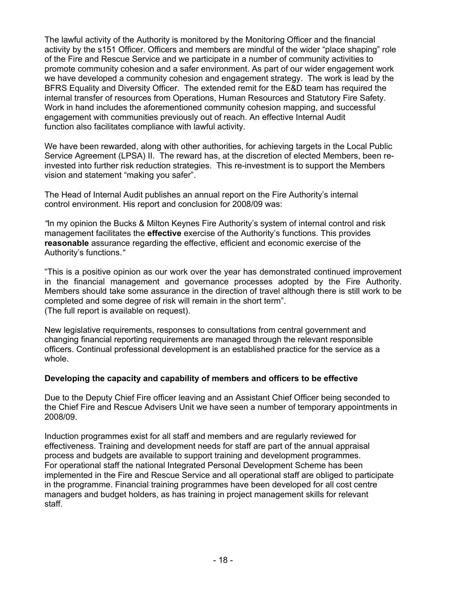The lawful activity of the Authority is monitored by the Monitoring Officer and the financial activity by the s151 Officer. Officers and members are mindful of the wider "place shaping" role of the Fire and Rescue Service and we participate in a number of community activities to promote community cohesion and a safer environment. As part of our wider engagement work we have developed a community cohesion and engagement strategy. The work is lead by the BFRS Equality and Diversity Officer. The extended remit for the E&D team has required the internal transfer of resources from Operations, Human Resources and Statutory Fire Safety. Work in hand includes the aforementioned community cohesion mapping, and successful engagement with communities previously out of reach. An effective Internal Audit function also facilitates compliance with lawful activity.

We have been rewarded, along with other authorities, for achieving targets in the Local Public Service Agreement (LPSA) II. The reward has, at the discretion of elected Members, been reinvested into further risk reduction strategies. This re-investment is to support the Members vision and statement "making you safer".

The Head of Internal Audit publishes an annual report on the Fire Authority's internal control environment. His report and conclusion for 2008/09 was:

*"*In my opinion the Bucks & Milton Keynes Fire Authority's system of internal control and risk management facilitates the **effective** exercise of the Authority's functions. This provides **reasonable** assurance regarding the effective, efficient and economic exercise of the Authority's functions.*"* 

"This is a positive opinion as our work over the year has demonstrated continued improvement in the financial management and governance processes adopted by the Fire Authority. Members should take some assurance in the direction of travel although there is still work to be completed and some degree of risk will remain in the short term". (The full report is available on request).

New legislative requirements, responses to consultations from central government and changing financial reporting requirements are managed through the relevant responsible officers. Continual professional development is an established practice for the service as a whole.

# **Developing the capacity and capability of members and officers to be effective**

Due to the Deputy Chief Fire officer leaving and an Assistant Chief Officer being seconded to the Chief Fire and Rescue Advisers Unit we have seen a number of temporary appointments in 2008/09.

Induction programmes exist for all staff and members and are regularly reviewed for effectiveness. Training and development needs for staff are part of the annual appraisal process and budgets are available to support training and development programmes. For operational staff the national Integrated Personal Development Scheme has been implemented in the Fire and Rescue Service and all operational staff are obliged to participate in the programme. Financial training programmes have been developed for all cost centre managers and budget holders, as has training in project management skills for relevant staff.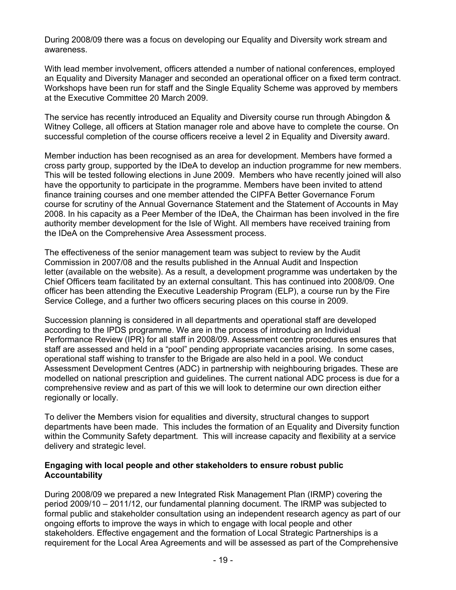During 2008/09 there was a focus on developing our Equality and Diversity work stream and awareness.

With lead member involvement, officers attended a number of national conferences, employed an Equality and Diversity Manager and seconded an operational officer on a fixed term contract. Workshops have been run for staff and the Single Equality Scheme was approved by members at the Executive Committee 20 March 2009.

The service has recently introduced an Equality and Diversity course run through Abingdon & Witney College, all officers at Station manager role and above have to complete the course. On successful completion of the course officers receive a level 2 in Equality and Diversity award.

Member induction has been recognised as an area for development. Members have formed a cross party group, supported by the IDeA to develop an induction programme for new members. This will be tested following elections in June 2009. Members who have recently joined will also have the opportunity to participate in the programme. Members have been invited to attend finance training courses and one member attended the CIPFA Better Governance Forum course for scrutiny of the Annual Governance Statement and the Statement of Accounts in May 2008. In his capacity as a Peer Member of the IDeA, the Chairman has been involved in the fire authority member development for the Isle of Wight. All members have received training from the IDeA on the Comprehensive Area Assessment process.

The effectiveness of the senior management team was subject to review by the Audit Commission in 2007/08 and the results published in the Annual Audit and Inspection letter (available on the website). As a result, a development programme was undertaken by the Chief Officers team facilitated by an external consultant. This has continued into 2008/09. One officer has been attending the Executive Leadership Program (ELP), a course run by the Fire Service College, and a further two officers securing places on this course in 2009.

Succession planning is considered in all departments and operational staff are developed according to the IPDS programme. We are in the process of introducing an Individual Performance Review (IPR) for all staff in 2008/09. Assessment centre procedures ensures that staff are assessed and held in a "pool" pending appropriate vacancies arising. In some cases, operational staff wishing to transfer to the Brigade are also held in a pool. We conduct Assessment Development Centres (ADC) in partnership with neighbouring brigades. These are modelled on national prescription and guidelines. The current national ADC process is due for a comprehensive review and as part of this we will look to determine our own direction either regionally or locally.

To deliver the Members vision for equalities and diversity, structural changes to support departments have been made. This includes the formation of an Equality and Diversity function within the Community Safety department. This will increase capacity and flexibility at a service delivery and strategic level.

# **Engaging with local people and other stakeholders to ensure robust public Accountability**

During 2008/09 we prepared a new Integrated Risk Management Plan (IRMP) covering the period 2009/10 – 2011/12, our fundamental planning document. The IRMP was subjected to formal public and stakeholder consultation using an independent research agency as part of our ongoing efforts to improve the ways in which to engage with local people and other stakeholders. Effective engagement and the formation of Local Strategic Partnerships is a requirement for the Local Area Agreements and will be assessed as part of the Comprehensive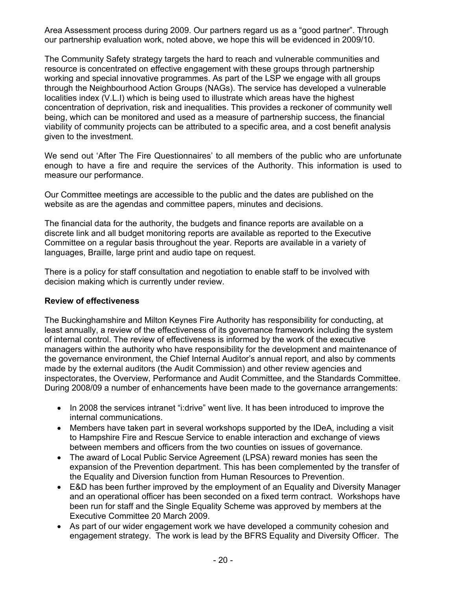Area Assessment process during 2009. Our partners regard us as a "good partner". Through our partnership evaluation work, noted above, we hope this will be evidenced in 2009/10.

The Community Safety strategy targets the hard to reach and vulnerable communities and resource is concentrated on effective engagement with these groups through partnership working and special innovative programmes. As part of the LSP we engage with all groups through the Neighbourhood Action Groups (NAGs). The service has developed a vulnerable localities index (V.L.I) which is being used to illustrate which areas have the highest concentration of deprivation, risk and inequalities. This provides a reckoner of community well being, which can be monitored and used as a measure of partnership success, the financial viability of community projects can be attributed to a specific area, and a cost benefit analysis given to the investment.

We send out 'After The Fire Questionnaires' to all members of the public who are unfortunate enough to have a fire and require the services of the Authority. This information is used to measure our performance.

Our Committee meetings are accessible to the public and the dates are published on the website as are the agendas and committee papers, minutes and decisions.

The financial data for the authority, the budgets and finance reports are available on a discrete link and all budget monitoring reports are available as reported to the Executive Committee on a regular basis throughout the year. Reports are available in a variety of languages, Braille, large print and audio tape on request.

There is a policy for staff consultation and negotiation to enable staff to be involved with decision making which is currently under review.

# **Review of effectiveness**

The Buckinghamshire and Milton Keynes Fire Authority has responsibility for conducting, at least annually, a review of the effectiveness of its governance framework including the system of internal control. The review of effectiveness is informed by the work of the executive managers within the authority who have responsibility for the development and maintenance of the governance environment, the Chief Internal Auditor's annual report, and also by comments made by the external auditors (the Audit Commission) and other review agencies and inspectorates, the Overview, Performance and Audit Committee, and the Standards Committee. During 2008/09 a number of enhancements have been made to the governance arrangements:

- In 2008 the services intranet "i:drive" went live. It has been introduced to improve the internal communications.
- Members have taken part in several workshops supported by the IDeA, including a visit to Hampshire Fire and Rescue Service to enable interaction and exchange of views between members and officers from the two counties on issues of governance.
- The award of Local Public Service Agreement (LPSA) reward monies has seen the expansion of the Prevention department. This has been complemented by the transfer of the Equality and Diversion function from Human Resources to Prevention.
- E&D has been further improved by the employment of an Equality and Diversity Manager and an operational officer has been seconded on a fixed term contract. Workshops have been run for staff and the Single Equality Scheme was approved by members at the Executive Committee 20 March 2009.
- As part of our wider engagement work we have developed a community cohesion and engagement strategy. The work is lead by the BFRS Equality and Diversity Officer. The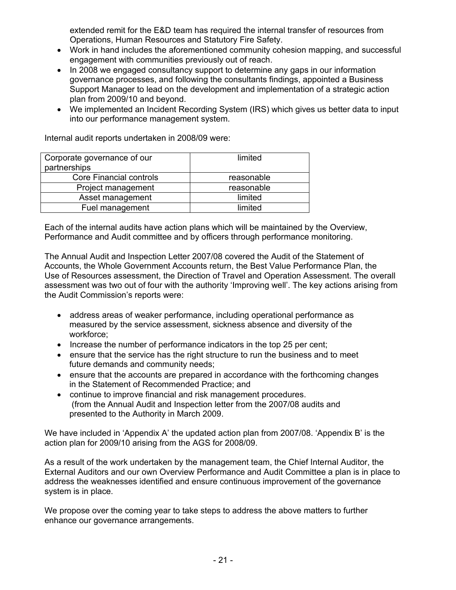extended remit for the E&D team has required the internal transfer of resources from Operations, Human Resources and Statutory Fire Safety.

- Work in hand includes the aforementioned community cohesion mapping, and successful engagement with communities previously out of reach.
- In 2008 we engaged consultancy support to determine any gaps in our information governance processes, and following the consultants findings, appointed a Business Support Manager to lead on the development and implementation of a strategic action plan from 2009/10 and beyond.
- We implemented an Incident Recording System (IRS) which gives us better data to input into our performance management system.

Internal audit reports undertaken in 2008/09 were:

| Corporate governance of our<br>partnerships | limited    |
|---------------------------------------------|------------|
| <b>Core Financial controls</b>              | reasonable |
| Project management                          | reasonable |
| Asset management                            | limited    |
| Fuel management                             | limited    |

Each of the internal audits have action plans which will be maintained by the Overview, Performance and Audit committee and by officers through performance monitoring.

The Annual Audit and Inspection Letter 2007/08 covered the Audit of the Statement of Accounts, the Whole Government Accounts return, the Best Value Performance Plan, the Use of Resources assessment, the Direction of Travel and Operation Assessment. The overall assessment was two out of four with the authority 'Improving well'. The key actions arising from the Audit Commission's reports were:

- address areas of weaker performance, including operational performance as measured by the service assessment, sickness absence and diversity of the workforce;
- Increase the number of performance indicators in the top 25 per cent;
- ensure that the service has the right structure to run the business and to meet future demands and community needs;
- ensure that the accounts are prepared in accordance with the forthcoming changes in the Statement of Recommended Practice; and
- continue to improve financial and risk management procedures. (from the Annual Audit and Inspection letter from the 2007/08 audits and presented to the Authority in March 2009.

We have included in 'Appendix A' the updated action plan from 2007/08. 'Appendix B' is the action plan for 2009/10 arising from the AGS for 2008/09.

As a result of the work undertaken by the management team, the Chief Internal Auditor, the External Auditors and our own Overview Performance and Audit Committee a plan is in place to address the weaknesses identified and ensure continuous improvement of the governance system is in place.

We propose over the coming year to take steps to address the above matters to further enhance our governance arrangements.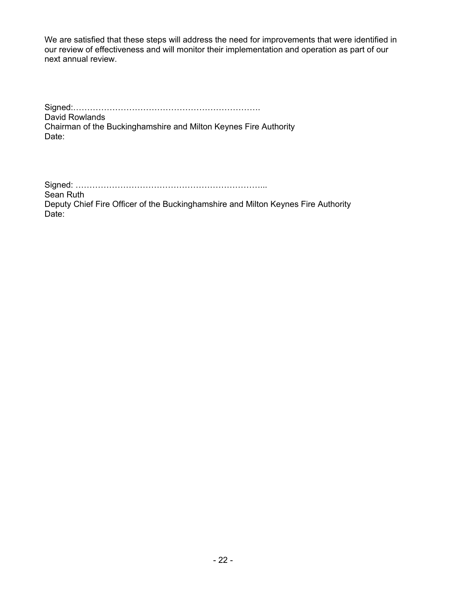We are satisfied that these steps will address the need for improvements that were identified in our review of effectiveness and will monitor their implementation and operation as part of our next annual review.

Signed:…………………………………………………………. David Rowlands Chairman of the Buckinghamshire and Milton Keynes Fire Authority Date:

Signed: …………………………………………………………... Sean Ruth Deputy Chief Fire Officer of the Buckinghamshire and Milton Keynes Fire Authority Date: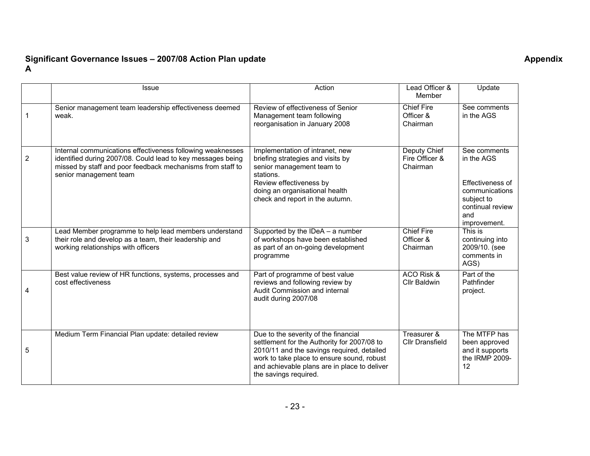#### **Significant Governance Issues – 2007/08 Action Plan update Appendix A**

|                | <b>Issue</b>                                                                                                                                                                                                      | Action                                                                                                                                                                                                                                                   | Lead Officer &<br>Member                   | Update                                                                                                                    |
|----------------|-------------------------------------------------------------------------------------------------------------------------------------------------------------------------------------------------------------------|----------------------------------------------------------------------------------------------------------------------------------------------------------------------------------------------------------------------------------------------------------|--------------------------------------------|---------------------------------------------------------------------------------------------------------------------------|
|                | Senior management team leadership effectiveness deemed<br>weak.                                                                                                                                                   | Review of effectiveness of Senior<br>Management team following<br>reorganisation in January 2008                                                                                                                                                         | <b>Chief Fire</b><br>Officer &<br>Chairman | See comments<br>in the AGS                                                                                                |
| $\overline{2}$ | Internal communications effectiveness following weaknesses<br>identified during 2007/08. Could lead to key messages being<br>missed by staff and poor feedback mechanisms from staff to<br>senior management team | Implementation of intranet, new<br>briefing strategies and visits by<br>senior management team to<br>stations.<br>Review effectiveness by<br>doing an organisational health<br>check and report in the autumn.                                           | Deputy Chief<br>Fire Officer &<br>Chairman | See comments<br>in the AGS<br>Effectiveness of<br>communications<br>subject to<br>continual review<br>and<br>improvement. |
| 3              | Lead Member programme to help lead members understand<br>their role and develop as a team, their leadership and<br>working relationships with officers                                                            | Supported by the IDeA - a number<br>of workshops have been established<br>as part of an on-going development<br>programme                                                                                                                                | <b>Chief Fire</b><br>Officer &<br>Chairman | This is<br>continuing into<br>2009/10. (see<br>comments in<br>AGS)                                                        |
| 4              | Best value review of HR functions, systems, processes and<br>cost effectiveness                                                                                                                                   | Part of programme of best value<br>reviews and following review by<br>Audit Commission and internal<br>audit during 2007/08                                                                                                                              | ACO Risk &<br><b>Cllr Baldwin</b>          | Part of the<br>Pathfinder<br>project.                                                                                     |
| 5              | Medium Term Financial Plan update: detailed review                                                                                                                                                                | Due to the severity of the financial<br>settlement for the Authority for 2007/08 to<br>2010/11 and the savings required, detailed<br>work to take place to ensure sound, robust<br>and achievable plans are in place to deliver<br>the savings required. | Treasurer &<br><b>Cllr Dransfield</b>      | The MTFP has<br>been approved<br>and it supports<br>the IRMP 2009-<br>12                                                  |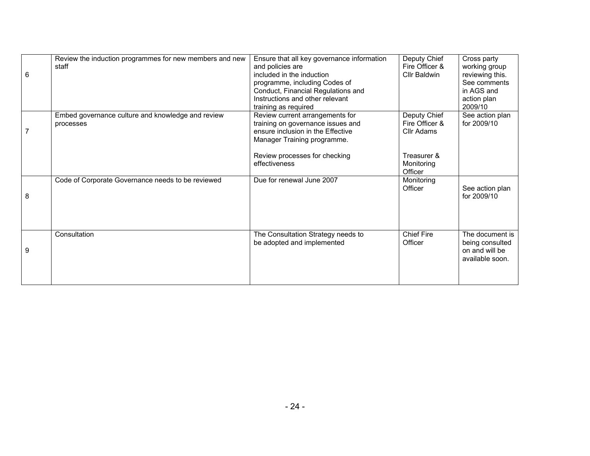| 6 | Review the induction programmes for new members and new<br>staff | Ensure that all key governance information<br>and policies are<br>included in the induction<br>programme, including Codes of<br>Conduct, Financial Regulations and<br>Instructions and other relevant<br>training as required | Deputy Chief<br>Fire Officer &<br>Cllr Baldwin                                       | Cross party<br>working group<br>reviewing this.<br>See comments<br>in AGS and<br>action plan<br>2009/10 |
|---|------------------------------------------------------------------|-------------------------------------------------------------------------------------------------------------------------------------------------------------------------------------------------------------------------------|--------------------------------------------------------------------------------------|---------------------------------------------------------------------------------------------------------|
|   | Embed governance culture and knowledge and review<br>processes   | Review current arrangements for<br>training on governance issues and<br>ensure inclusion in the Effective<br>Manager Training programme.<br>Review processes for checking<br>effectiveness                                    | Deputy Chief<br>Fire Officer &<br>Cllr Adams<br>Treasurer &<br>Monitoring<br>Officer | See action plan<br>for 2009/10                                                                          |
| 8 | Code of Corporate Governance needs to be reviewed                | Due for renewal June 2007                                                                                                                                                                                                     | Monitoring<br>Officer                                                                | See action plan<br>for 2009/10                                                                          |
| 9 | Consultation                                                     | The Consultation Strategy needs to<br>be adopted and implemented                                                                                                                                                              | <b>Chief Fire</b><br>Officer                                                         | The document is<br>being consulted<br>on and will be<br>available soon.                                 |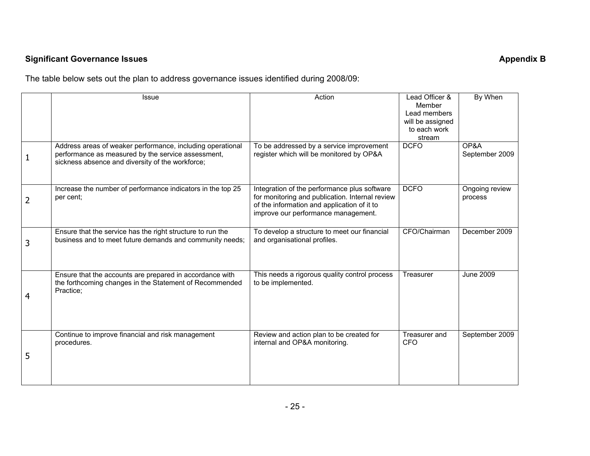# **Significant Governance Issues** Appendix B **Appendix B Appendix B Appendix B**

The table below sets out the plan to address governance issues identified during 2008/09:

|   | <b>Issue</b>                                                                                                                                                         | Action                                                                                                                                                                                | Lead Officer &<br>Member<br>Lead members<br>will be assigned | By When                   |
|---|----------------------------------------------------------------------------------------------------------------------------------------------------------------------|---------------------------------------------------------------------------------------------------------------------------------------------------------------------------------------|--------------------------------------------------------------|---------------------------|
|   |                                                                                                                                                                      |                                                                                                                                                                                       | to each work<br>stream                                       |                           |
| 1 | Address areas of weaker performance, including operational<br>performance as measured by the service assessment,<br>sickness absence and diversity of the workforce; | To be addressed by a service improvement<br>register which will be monitored by OP&A                                                                                                  | <b>DCFO</b>                                                  | OP&A<br>September 2009    |
| 2 | Increase the number of performance indicators in the top 25<br>per cent;                                                                                             | Integration of the performance plus software<br>for monitoring and publication. Internal review<br>of the information and application of it to<br>improve our performance management. | <b>DCFO</b>                                                  | Ongoing review<br>process |
| 3 | Ensure that the service has the right structure to run the<br>business and to meet future demands and community needs;                                               | To develop a structure to meet our financial<br>and organisational profiles.                                                                                                          | CFO/Chairman                                                 | December 2009             |
| 4 | Ensure that the accounts are prepared in accordance with<br>the forthcoming changes in the Statement of Recommended<br>Practice;                                     | This needs a rigorous quality control process<br>to be implemented.                                                                                                                   | Treasurer                                                    | June 2009                 |
| 5 | Continue to improve financial and risk management<br>procedures.                                                                                                     | Review and action plan to be created for<br>internal and OP&A monitoring.                                                                                                             | Treasurer and<br><b>CFO</b>                                  | September 2009            |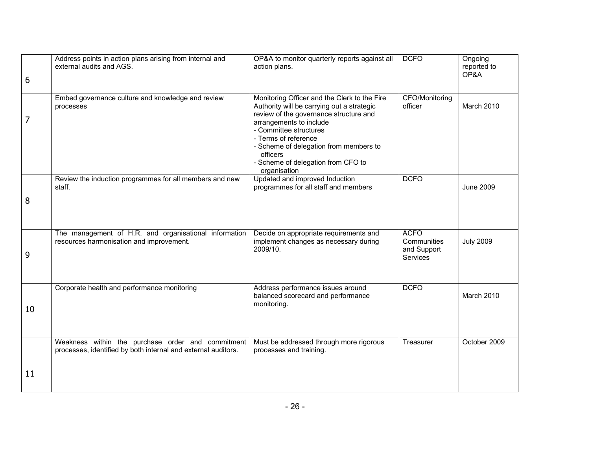| 6  | Address points in action plans arising from internal and<br>external audits and AGS.                               | OP&A to monitor quarterly reports against all<br>action plans.                                                                                                                                                                                                                                                                | <b>DCFO</b>                                                  | Ongoing<br>reported to<br>OP&A |
|----|--------------------------------------------------------------------------------------------------------------------|-------------------------------------------------------------------------------------------------------------------------------------------------------------------------------------------------------------------------------------------------------------------------------------------------------------------------------|--------------------------------------------------------------|--------------------------------|
| 7  | Embed governance culture and knowledge and review<br>processes                                                     | Monitoring Officer and the Clerk to the Fire<br>Authority will be carrying out a strategic<br>review of the governance structure and<br>arrangements to include<br>- Committee structures<br>- Terms of reference<br>- Scheme of delegation from members to<br>officers<br>- Scheme of delegation from CFO to<br>organisation | <b>CFO/Monitoring</b><br>officer                             | March 2010                     |
| 8  | Review the induction programmes for all members and new<br>staff.                                                  | Updated and improved Induction<br>programmes for all staff and members                                                                                                                                                                                                                                                        | <b>DCFO</b>                                                  | <b>June 2009</b>               |
| 9  | The management of H.R. and organisational information<br>resources harmonisation and improvement.                  | Decide on appropriate requirements and<br>implement changes as necessary during<br>2009/10.                                                                                                                                                                                                                                   | <b>ACFO</b><br>Communities<br>and Support<br><b>Services</b> | <b>July 2009</b>               |
| 10 | Corporate health and performance monitoring                                                                        | Address performance issues around<br>balanced scorecard and performance<br>monitoring.                                                                                                                                                                                                                                        | <b>DCFO</b>                                                  | March 2010                     |
|    | Weakness within the purchase order and commitment<br>processes, identified by both internal and external auditors. | Must be addressed through more rigorous<br>processes and training.                                                                                                                                                                                                                                                            | Treasurer                                                    | October 2009                   |
| 11 |                                                                                                                    |                                                                                                                                                                                                                                                                                                                               |                                                              |                                |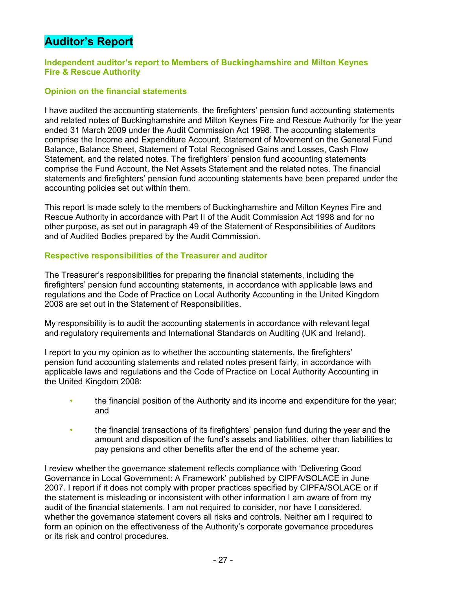# **Auditor's Report**

# **Independent auditor's report to Members of Buckinghamshire and Milton Keynes Fire & Rescue Authority**

# **Opinion on the financial statements**

I have audited the accounting statements, the firefighters' pension fund accounting statements and related notes of Buckinghamshire and Milton Keynes Fire and Rescue Authority for the year ended 31 March 2009 under the Audit Commission Act 1998. The accounting statements comprise the Income and Expenditure Account, Statement of Movement on the General Fund Balance, Balance Sheet, Statement of Total Recognised Gains and Losses, Cash Flow Statement, and the related notes. The firefighters' pension fund accounting statements comprise the Fund Account, the Net Assets Statement and the related notes. The financial statements and firefighters' pension fund accounting statements have been prepared under the accounting policies set out within them.

This report is made solely to the members of Buckinghamshire and Milton Keynes Fire and Rescue Authority in accordance with Part II of the Audit Commission Act 1998 and for no other purpose, as set out in paragraph 49 of the Statement of Responsibilities of Auditors and of Audited Bodies prepared by the Audit Commission.

# **Respective responsibilities of the Treasurer and auditor**

The Treasurer's responsibilities for preparing the financial statements, including the firefighters' pension fund accounting statements, in accordance with applicable laws and regulations and the Code of Practice on Local Authority Accounting in the United Kingdom 2008 are set out in the Statement of Responsibilities.

My responsibility is to audit the accounting statements in accordance with relevant legal and regulatory requirements and International Standards on Auditing (UK and Ireland).

I report to you my opinion as to whether the accounting statements, the firefighters' pension fund accounting statements and related notes present fairly, in accordance with applicable laws and regulations and the Code of Practice on Local Authority Accounting in the United Kingdom 2008:

- the financial position of the Authority and its income and expenditure for the year; and
- the financial transactions of its firefighters' pension fund during the year and the amount and disposition of the fund's assets and liabilities, other than liabilities to pay pensions and other benefits after the end of the scheme year.

I review whether the governance statement reflects compliance with 'Delivering Good Governance in Local Government: A Framework' published by CIPFA/SOLACE in June 2007. I report if it does not comply with proper practices specified by CIPFA/SOLACE or if the statement is misleading or inconsistent with other information I am aware of from my audit of the financial statements. I am not required to consider, nor have I considered, whether the governance statement covers all risks and controls. Neither am I required to form an opinion on the effectiveness of the Authority's corporate governance procedures or its risk and control procedures.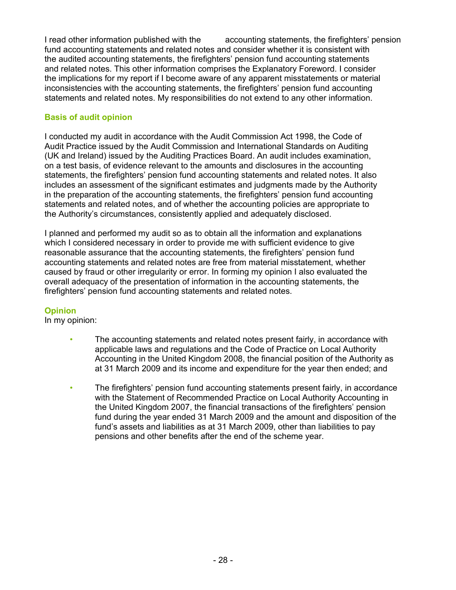I read other information published with the accounting statements, the firefighters' pension fund accounting statements and related notes and consider whether it is consistent with the audited accounting statements, the firefighters' pension fund accounting statements and related notes. This other information comprises the Explanatory Foreword. I consider the implications for my report if I become aware of any apparent misstatements or material inconsistencies with the accounting statements, the firefighters' pension fund accounting statements and related notes. My responsibilities do not extend to any other information.

# **Basis of audit opinion**

I conducted my audit in accordance with the Audit Commission Act 1998, the Code of Audit Practice issued by the Audit Commission and International Standards on Auditing (UK and Ireland) issued by the Auditing Practices Board. An audit includes examination, on a test basis, of evidence relevant to the amounts and disclosures in the accounting statements, the firefighters' pension fund accounting statements and related notes. It also includes an assessment of the significant estimates and judgments made by the Authority in the preparation of the accounting statements, the firefighters' pension fund accounting statements and related notes, and of whether the accounting policies are appropriate to the Authority's circumstances, consistently applied and adequately disclosed.

I planned and performed my audit so as to obtain all the information and explanations which I considered necessary in order to provide me with sufficient evidence to give reasonable assurance that the accounting statements, the firefighters' pension fund accounting statements and related notes are free from material misstatement, whether caused by fraud or other irregularity or error. In forming my opinion I also evaluated the overall adequacy of the presentation of information in the accounting statements, the firefighters' pension fund accounting statements and related notes.

# **Opinion**

In my opinion:

- The accounting statements and related notes present fairly, in accordance with applicable laws and regulations and the Code of Practice on Local Authority Accounting in the United Kingdom 2008, the financial position of the Authority as at 31 March 2009 and its income and expenditure for the year then ended; and
- The firefighters' pension fund accounting statements present fairly, in accordance with the Statement of Recommended Practice on Local Authority Accounting in the United Kingdom 2007, the financial transactions of the firefighters' pension fund during the year ended 31 March 2009 and the amount and disposition of the fund's assets and liabilities as at 31 March 2009, other than liabilities to pay pensions and other benefits after the end of the scheme year.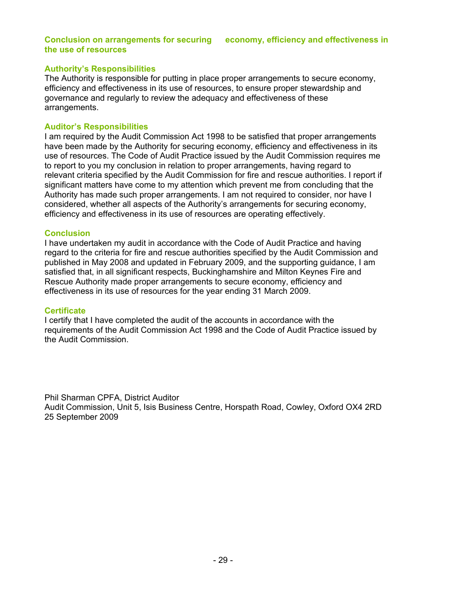#### **Conclusion on arrangements for securing economy, efficiency and effectiveness in the use of resources**

# **Authority's Responsibilities**

The Authority is responsible for putting in place proper arrangements to secure economy, efficiency and effectiveness in its use of resources, to ensure proper stewardship and governance and regularly to review the adequacy and effectiveness of these arrangements.

#### **Auditor's Responsibilities**

I am required by the Audit Commission Act 1998 to be satisfied that proper arrangements have been made by the Authority for securing economy, efficiency and effectiveness in its use of resources. The Code of Audit Practice issued by the Audit Commission requires me to report to you my conclusion in relation to proper arrangements, having regard to relevant criteria specified by the Audit Commission for fire and rescue authorities. I report if significant matters have come to my attention which prevent me from concluding that the Authority has made such proper arrangements. I am not required to consider, nor have I considered, whether all aspects of the Authority's arrangements for securing economy, efficiency and effectiveness in its use of resources are operating effectively.

#### **Conclusion**

I have undertaken my audit in accordance with the Code of Audit Practice and having regard to the criteria for fire and rescue authorities specified by the Audit Commission and published in May 2008 and updated in February 2009, and the supporting guidance, I am satisfied that, in all significant respects, Buckinghamshire and Milton Keynes Fire and Rescue Authority made proper arrangements to secure economy, efficiency and effectiveness in its use of resources for the year ending 31 March 2009.

#### **Certificate**

I certify that I have completed the audit of the accounts in accordance with the requirements of the Audit Commission Act 1998 and the Code of Audit Practice issued by the Audit Commission.

Phil Sharman CPFA, District Auditor Audit Commission, Unit 5, Isis Business Centre, Horspath Road, Cowley, Oxford OX4 2RD 25 September 2009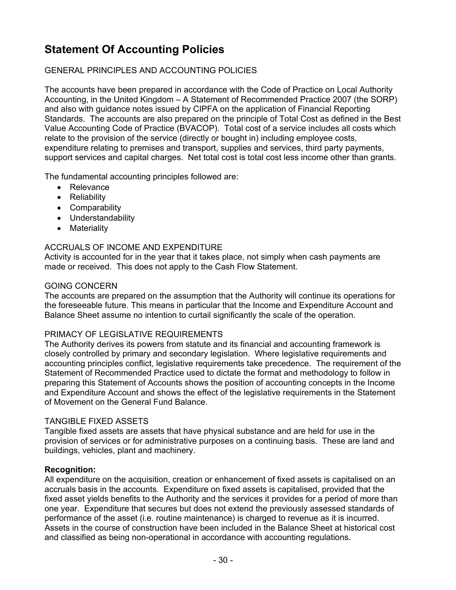# **Statement Of Accounting Policies**

# GENERAL PRINCIPLES AND ACCOUNTING POLICIES

The accounts have been prepared in accordance with the Code of Practice on Local Authority Accounting, in the United Kingdom – A Statement of Recommended Practice 2007 (the SORP) and also with guidance notes issued by CIPFA on the application of Financial Reporting Standards. The accounts are also prepared on the principle of Total Cost as defined in the Best Value Accounting Code of Practice (BVACOP). Total cost of a service includes all costs which relate to the provision of the service (directly or bought in) including employee costs, expenditure relating to premises and transport, supplies and services, third party payments, support services and capital charges. Net total cost is total cost less income other than grants.

The fundamental accounting principles followed are:

- Relevance
- Reliability
- Comparability
- Understandability
- Materiality

# ACCRUALS OF INCOME AND EXPENDITURE

Activity is accounted for in the year that it takes place, not simply when cash payments are made or received. This does not apply to the Cash Flow Statement.

# GOING CONCERN

The accounts are prepared on the assumption that the Authority will continue its operations for the foreseeable future. This means in particular that the Income and Expenditure Account and Balance Sheet assume no intention to curtail significantly the scale of the operation.

# PRIMACY OF LEGISLATIVE REQUIREMENTS

The Authority derives its powers from statute and its financial and accounting framework is closely controlled by primary and secondary legislation. Where legislative requirements and accounting principles conflict, legislative requirements take precedence. The requirement of the Statement of Recommended Practice used to dictate the format and methodology to follow in preparing this Statement of Accounts shows the position of accounting concepts in the Income and Expenditure Account and shows the effect of the legislative requirements in the Statement of Movement on the General Fund Balance.

# TANGIBLE FIXED ASSETS

Tangible fixed assets are assets that have physical substance and are held for use in the provision of services or for administrative purposes on a continuing basis. These are land and buildings, vehicles, plant and machinery.

# **Recognition:**

All expenditure on the acquisition, creation or enhancement of fixed assets is capitalised on an accruals basis in the accounts. Expenditure on fixed assets is capitalised, provided that the fixed asset yields benefits to the Authority and the services it provides for a period of more than one year. Expenditure that secures but does not extend the previously assessed standards of performance of the asset (i.e. routine maintenance) is charged to revenue as it is incurred. Assets in the course of construction have been included in the Balance Sheet at historical cost and classified as being non-operational in accordance with accounting regulations.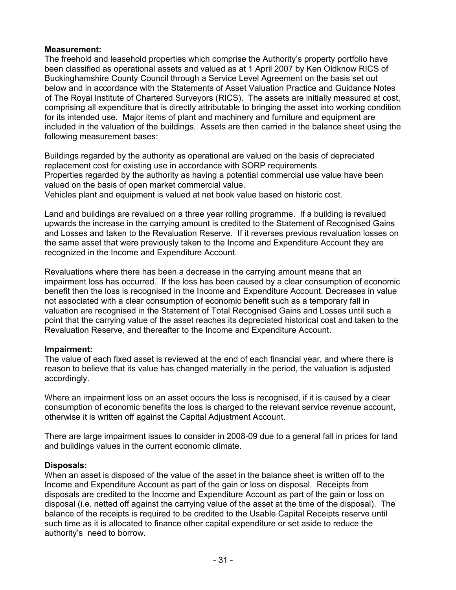# **Measurement:**

The freehold and leasehold properties which comprise the Authority's property portfolio have been classified as operational assets and valued as at 1 April 2007 by Ken Oldknow RICS of Buckinghamshire County Council through a Service Level Agreement on the basis set out below and in accordance with the Statements of Asset Valuation Practice and Guidance Notes of The Royal Institute of Chartered Surveyors (RICS). The assets are initially measured at cost, comprising all expenditure that is directly attributable to bringing the asset into working condition for its intended use. Major items of plant and machinery and furniture and equipment are included in the valuation of the buildings. Assets are then carried in the balance sheet using the following measurement bases:

Buildings regarded by the authority as operational are valued on the basis of depreciated replacement cost for existing use in accordance with SORP requirements. Properties regarded by the authority as having a potential commercial use value have been valued on the basis of open market commercial value. Vehicles plant and equipment is valued at net book value based on historic cost.

Land and buildings are revalued on a three year rolling programme. If a building is revalued upwards the increase in the carrying amount is credited to the Statement of Recognised Gains and Losses and taken to the Revaluation Reserve. If it reverses previous revaluation losses on the same asset that were previously taken to the Income and Expenditure Account they are recognized in the Income and Expenditure Account.

Revaluations where there has been a decrease in the carrying amount means that an impairment loss has occurred. If the loss has been caused by a clear consumption of economic benefit then the loss is recognised in the Income and Expenditure Account. Decreases in value not associated with a clear consumption of economic benefit such as a temporary fall in valuation are recognised in the Statement of Total Recognised Gains and Losses until such a point that the carrying value of the asset reaches its depreciated historical cost and taken to the Revaluation Reserve, and thereafter to the Income and Expenditure Account.

# **Impairment:**

The value of each fixed asset is reviewed at the end of each financial year, and where there is reason to believe that its value has changed materially in the period, the valuation is adjusted accordingly.

Where an impairment loss on an asset occurs the loss is recognised, if it is caused by a clear consumption of economic benefits the loss is charged to the relevant service revenue account, otherwise it is written off against the Capital Adjustment Account.

There are large impairment issues to consider in 2008-09 due to a general fall in prices for land and buildings values in the current economic climate.

# **Disposals:**

When an asset is disposed of the value of the asset in the balance sheet is written off to the Income and Expenditure Account as part of the gain or loss on disposal. Receipts from disposals are credited to the Income and Expenditure Account as part of the gain or loss on disposal (i.e. netted off against the carrying value of the asset at the time of the disposal). The balance of the receipts is required to be credited to the Usable Capital Receipts reserve until such time as it is allocated to finance other capital expenditure or set aside to reduce the authority's need to borrow.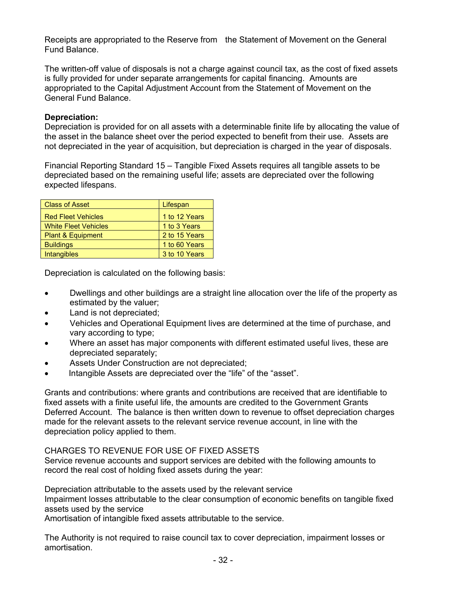Receipts are appropriated to the Reserve from the Statement of Movement on the General Fund Balance.

The written-off value of disposals is not a charge against council tax, as the cost of fixed assets is fully provided for under separate arrangements for capital financing. Amounts are appropriated to the Capital Adjustment Account from the Statement of Movement on the General Fund Balance.

# **Depreciation:**

Depreciation is provided for on all assets with a determinable finite life by allocating the value of the asset in the balance sheet over the period expected to benefit from their use. Assets are not depreciated in the year of acquisition, but depreciation is charged in the year of disposals.

Financial Reporting Standard 15 – Tangible Fixed Assets requires all tangible assets to be depreciated based on the remaining useful life; assets are depreciated over the following expected lifespans.

| <b>Class of Asset</b>       | Lifespan      |
|-----------------------------|---------------|
| <b>Red Fleet Vehicles</b>   | 1 to 12 Years |
| <b>White Fleet Vehicles</b> | 1 to 3 Years  |
| Plant & Equipment           | 2 to 15 Years |
| <b>Buildings</b>            | 1 to 60 Years |
| <b>Intangibles</b>          | 3 to 10 Years |

Depreciation is calculated on the following basis:

- Dwellings and other buildings are a straight line allocation over the life of the property as estimated by the valuer;
- Land is not depreciated;
- Vehicles and Operational Equipment lives are determined at the time of purchase, and vary according to type;
- Where an asset has major components with different estimated useful lives, these are depreciated separately;
- Assets Under Construction are not depreciated;
- Intangible Assets are depreciated over the "life" of the "asset".

Grants and contributions: where grants and contributions are received that are identifiable to fixed assets with a finite useful life, the amounts are credited to the Government Grants Deferred Account. The balance is then written down to revenue to offset depreciation charges made for the relevant assets to the relevant service revenue account, in line with the depreciation policy applied to them.

# CHARGES TO REVENUE FOR USE OF FIXED ASSETS

Service revenue accounts and support services are debited with the following amounts to record the real cost of holding fixed assets during the year:

Depreciation attributable to the assets used by the relevant service

Impairment losses attributable to the clear consumption of economic benefits on tangible fixed assets used by the service

Amortisation of intangible fixed assets attributable to the service.

The Authority is not required to raise council tax to cover depreciation, impairment losses or amortisation.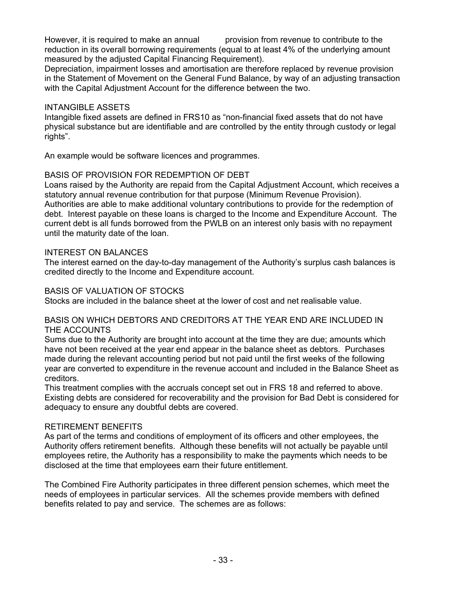However, it is required to make an annual provision from revenue to contribute to the reduction in its overall borrowing requirements (equal to at least 4% of the underlying amount measured by the adjusted Capital Financing Requirement).

Depreciation, impairment losses and amortisation are therefore replaced by revenue provision in the Statement of Movement on the General Fund Balance, by way of an adjusting transaction with the Capital Adjustment Account for the difference between the two.

# INTANGIBLE ASSETS

Intangible fixed assets are defined in FRS10 as "non-financial fixed assets that do not have physical substance but are identifiable and are controlled by the entity through custody or legal rights".

An example would be software licences and programmes.

# BASIS OF PROVISION FOR REDEMPTION OF DEBT

Loans raised by the Authority are repaid from the Capital Adjustment Account, which receives a statutory annual revenue contribution for that purpose (Minimum Revenue Provision). Authorities are able to make additional voluntary contributions to provide for the redemption of debt. Interest payable on these loans is charged to the Income and Expenditure Account. The current debt is all funds borrowed from the PWLB on an interest only basis with no repayment until the maturity date of the loan.

# INTEREST ON BALANCES

The interest earned on the day-to-day management of the Authority's surplus cash balances is credited directly to the Income and Expenditure account.

# BASIS OF VALUATION OF STOCKS

Stocks are included in the balance sheet at the lower of cost and net realisable value.

# BASIS ON WHICH DEBTORS AND CREDITORS AT THE YEAR END ARE INCLUDED IN THE ACCOUNTS

Sums due to the Authority are brought into account at the time they are due; amounts which have not been received at the year end appear in the balance sheet as debtors. Purchases made during the relevant accounting period but not paid until the first weeks of the following year are converted to expenditure in the revenue account and included in the Balance Sheet as creditors.

This treatment complies with the accruals concept set out in FRS 18 and referred to above. Existing debts are considered for recoverability and the provision for Bad Debt is considered for adequacy to ensure any doubtful debts are covered.

# RETIREMENT BENEFITS

As part of the terms and conditions of employment of its officers and other employees, the Authority offers retirement benefits. Although these benefits will not actually be payable until employees retire, the Authority has a responsibility to make the payments which needs to be disclosed at the time that employees earn their future entitlement.

The Combined Fire Authority participates in three different pension schemes, which meet the needs of employees in particular services. All the schemes provide members with defined benefits related to pay and service. The schemes are as follows: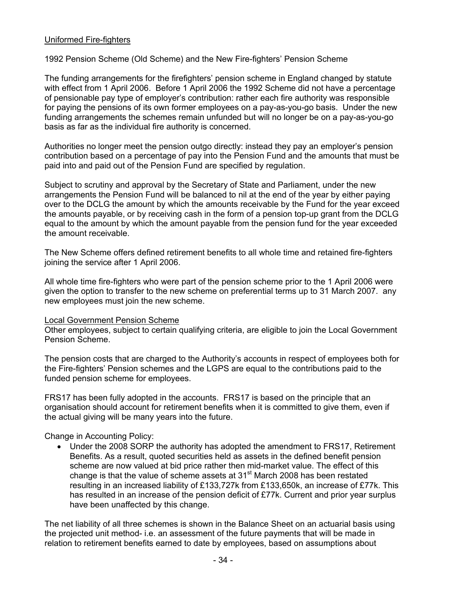# Uniformed Fire-fighters

1992 Pension Scheme (Old Scheme) and the New Fire-fighters' Pension Scheme

The funding arrangements for the firefighters' pension scheme in England changed by statute with effect from 1 April 2006. Before 1 April 2006 the 1992 Scheme did not have a percentage of pensionable pay type of employer's contribution: rather each fire authority was responsible for paying the pensions of its own former employees on a pay-as-you-go basis. Under the new funding arrangements the schemes remain unfunded but will no longer be on a pay-as-you-go basis as far as the individual fire authority is concerned.

Authorities no longer meet the pension outgo directly: instead they pay an employer's pension contribution based on a percentage of pay into the Pension Fund and the amounts that must be paid into and paid out of the Pension Fund are specified by regulation.

Subject to scrutiny and approval by the Secretary of State and Parliament, under the new arrangements the Pension Fund will be balanced to nil at the end of the year by either paying over to the DCLG the amount by which the amounts receivable by the Fund for the year exceed the amounts payable, or by receiving cash in the form of a pension top-up grant from the DCLG equal to the amount by which the amount payable from the pension fund for the year exceeded the amount receivable.

The New Scheme offers defined retirement benefits to all whole time and retained fire-fighters joining the service after 1 April 2006.

All whole time fire-fighters who were part of the pension scheme prior to the 1 April 2006 were given the option to transfer to the new scheme on preferential terms up to 31 March 2007. any new employees must join the new scheme.

# Local Government Pension Scheme

Other employees, subject to certain qualifying criteria, are eligible to join the Local Government Pension Scheme.

The pension costs that are charged to the Authority's accounts in respect of employees both for the Fire-fighters' Pension schemes and the LGPS are equal to the contributions paid to the funded pension scheme for employees.

FRS17 has been fully adopted in the accounts. FRS17 is based on the principle that an organisation should account for retirement benefits when it is committed to give them, even if the actual giving will be many years into the future.

Change in Accounting Policy:

• Under the 2008 SORP the authority has adopted the amendment to FRS17, Retirement Benefits. As a result, quoted securities held as assets in the defined benefit pension scheme are now valued at bid price rather then mid-market value. The effect of this change is that the value of scheme assets at  $31<sup>st</sup>$  March 2008 has been restated resulting in an increased liability of £133,727k from £133,650k, an increase of £77k. This has resulted in an increase of the pension deficit of £77k. Current and prior year surplus have been unaffected by this change.

The net liability of all three schemes is shown in the Balance Sheet on an actuarial basis using the projected unit method- i.e. an assessment of the future payments that will be made in relation to retirement benefits earned to date by employees, based on assumptions about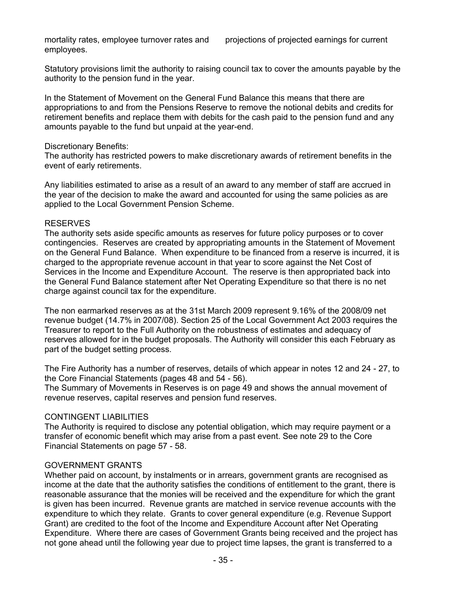mortality rates, employee turnover rates and projections of projected earnings for current employees.

Statutory provisions limit the authority to raising council tax to cover the amounts payable by the authority to the pension fund in the year.

In the Statement of Movement on the General Fund Balance this means that there are appropriations to and from the Pensions Reserve to remove the notional debits and credits for retirement benefits and replace them with debits for the cash paid to the pension fund and any amounts payable to the fund but unpaid at the year-end.

#### Discretionary Benefits:

The authority has restricted powers to make discretionary awards of retirement benefits in the event of early retirements.

Any liabilities estimated to arise as a result of an award to any member of staff are accrued in the year of the decision to make the award and accounted for using the same policies as are applied to the Local Government Pension Scheme.

#### RESERVES

The authority sets aside specific amounts as reserves for future policy purposes or to cover contingencies. Reserves are created by appropriating amounts in the Statement of Movement on the General Fund Balance. When expenditure to be financed from a reserve is incurred, it is charged to the appropriate revenue account in that year to score against the Net Cost of Services in the Income and Expenditure Account. The reserve is then appropriated back into the General Fund Balance statement after Net Operating Expenditure so that there is no net charge against council tax for the expenditure.

The non earmarked reserves as at the 31st March 2009 represent 9.16% of the 2008/09 net revenue budget (14.7% in 2007/08). Section 25 of the Local Government Act 2003 requires the Treasurer to report to the Full Authority on the robustness of estimates and adequacy of reserves allowed for in the budget proposals. The Authority will consider this each February as part of the budget setting process.

The Fire Authority has a number of reserves, details of which appear in notes 12 and 24 - 27, to the Core Financial Statements (pages 48 and 54 - 56).

The Summary of Movements in Reserves is on page 49 and shows the annual movement of revenue reserves, capital reserves and pension fund reserves.

# CONTINGENT LIABILITIES

The Authority is required to disclose any potential obligation, which may require payment or a transfer of economic benefit which may arise from a past event. See note 29 to the Core Financial Statements on page 57 - 58.

# GOVERNMENT GRANTS

Whether paid on account, by instalments or in arrears, government grants are recognised as income at the date that the authority satisfies the conditions of entitlement to the grant, there is reasonable assurance that the monies will be received and the expenditure for which the grant is given has been incurred. Revenue grants are matched in service revenue accounts with the expenditure to which they relate. Grants to cover general expenditure (e.g. Revenue Support Grant) are credited to the foot of the Income and Expenditure Account after Net Operating Expenditure. Where there are cases of Government Grants being received and the project has not gone ahead until the following year due to project time lapses, the grant is transferred to a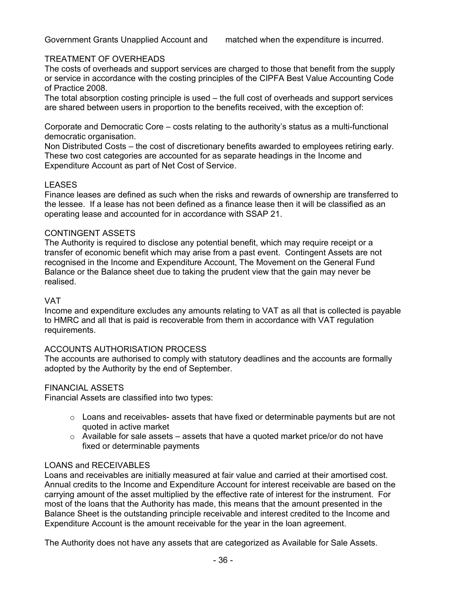# TREATMENT OF OVERHEADS

The costs of overheads and support services are charged to those that benefit from the supply or service in accordance with the costing principles of the CIPFA Best Value Accounting Code of Practice 2008.

The total absorption costing principle is used – the full cost of overheads and support services are shared between users in proportion to the benefits received, with the exception of:

Corporate and Democratic Core – costs relating to the authority's status as a multi-functional democratic organisation.

Non Distributed Costs – the cost of discretionary benefits awarded to employees retiring early. These two cost categories are accounted for as separate headings in the Income and Expenditure Account as part of Net Cost of Service.

# LEASES

Finance leases are defined as such when the risks and rewards of ownership are transferred to the lessee. If a lease has not been defined as a finance lease then it will be classified as an operating lease and accounted for in accordance with SSAP 21.

# CONTINGENT ASSETS

The Authority is required to disclose any potential benefit, which may require receipt or a transfer of economic benefit which may arise from a past event. Contingent Assets are not recognised in the Income and Expenditure Account, The Movement on the General Fund Balance or the Balance sheet due to taking the prudent view that the gain may never be realised.

# VAT

Income and expenditure excludes any amounts relating to VAT as all that is collected is payable to HMRC and all that is paid is recoverable from them in accordance with VAT regulation requirements.

# ACCOUNTS AUTHORISATION PROCESS

The accounts are authorised to comply with statutory deadlines and the accounts are formally adopted by the Authority by the end of September.

# FINANCIAL ASSETS

Financial Assets are classified into two types:

- $\circ$  Loans and receivables- assets that have fixed or determinable payments but are not quoted in active market
- $\circ$  Available for sale assets assets that have a quoted market price/or do not have fixed or determinable payments

# LOANS and RECEIVABLES

Loans and receivables are initially measured at fair value and carried at their amortised cost. Annual credits to the Income and Expenditure Account for interest receivable are based on the carrying amount of the asset multiplied by the effective rate of interest for the instrument. For most of the loans that the Authority has made, this means that the amount presented in the Balance Sheet is the outstanding principle receivable and interest credited to the Income and Expenditure Account is the amount receivable for the year in the loan agreement.

The Authority does not have any assets that are categorized as Available for Sale Assets.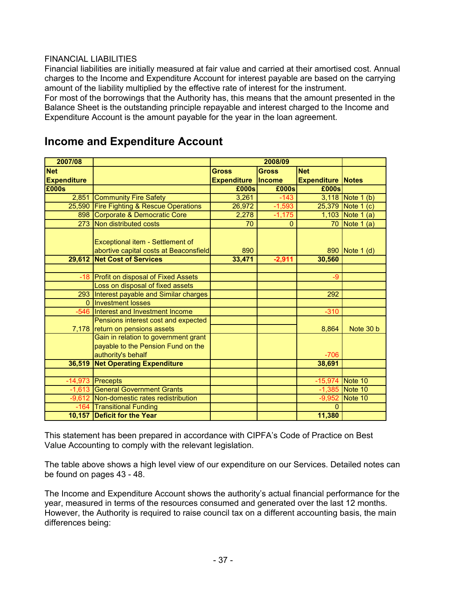#### FINANCIAL LIABILITIES

Financial liabilities are initially measured at fair value and carried at their amortised cost. Annual charges to the Income and Expenditure Account for interest payable are based on the carrying amount of the liability multiplied by the effective rate of interest for the instrument.

For most of the borrowings that the Authority has, this means that the amount presented in the Balance Sheet is the outstanding principle repayable and interest charged to the Income and Expenditure Account is the amount payable for the year in the loan agreement.

| 2007/08            |                                                                            |                    | 2008/09      |                          |                   |
|--------------------|----------------------------------------------------------------------------|--------------------|--------------|--------------------------|-------------------|
| <b>Net</b>         |                                                                            | <b>Gross</b>       | <b>Gross</b> | <b>Net</b>               |                   |
| <b>Expenditure</b> |                                                                            | <b>Expenditure</b> | Income       | <b>Expenditure Notes</b> |                   |
| £000s              |                                                                            | £000s              | £000s        | £000s                    |                   |
| 2,851              | <b>Community Fire Safety</b>                                               | 3,261              | $-143$       |                          | 3,118 Note 1 (b)  |
|                    | 25,590 Fire Fighting & Rescue Operations                                   | 26,972             | $-1,593$     |                          | 25,379 Note 1 (c) |
|                    | 898 Corporate & Democratic Core                                            | 2,278              | $-1,175$     |                          | 1,103 Note 1 (a)  |
|                    | 273 Non distributed costs                                                  | 70                 | $\mathbf{0}$ |                          | 70 Note 1 (a)     |
|                    | Exceptional item - Settlement of<br>abortive capital costs at Beaconsfield | 890                |              |                          | 890 Note 1 (d)    |
|                    | 29,612 Net Cost of Services                                                | 33,471             | $-2,911$     | 30,560                   |                   |
|                    |                                                                            |                    |              |                          |                   |
|                    | -18 Profit on disposal of Fixed Assets                                     |                    |              | -9                       |                   |
|                    | Loss on disposal of fixed assets                                           |                    |              |                          |                   |
|                    | 293 Interest payable and Similar charges                                   |                    |              | 292                      |                   |
|                    | 0 Investment losses                                                        |                    |              |                          |                   |
|                    | -546 Interest and Investment Income                                        |                    |              | $-310$                   |                   |
|                    | Pensions interest cost and expected<br>7,178 return on pensions assets     |                    |              | 8,864                    | Note 30 b         |
|                    | Gain in relation to government grant                                       |                    |              |                          |                   |
|                    | payable to the Pension Fund on the                                         |                    |              |                          |                   |
|                    | authority's behalf                                                         |                    |              | $-706$                   |                   |
|                    | 36,519 Net Operating Expenditure                                           |                    |              | 38,691                   |                   |
|                    |                                                                            |                    |              |                          |                   |
|                    | $-14,973$ Precepts                                                         |                    |              | $-15,974$ Note 10        |                   |
|                    | -1,613 General Government Grants                                           |                    |              |                          | $-1,385$ Note 10  |
|                    | -9,612 Non-domestic rates redistribution                                   |                    |              | $-9,952$                 | Note 10           |
|                    | -164 Transitional Funding                                                  |                    |              | $\Omega$                 |                   |
|                    | 10,157 Deficit for the Year                                                |                    |              | 11,380                   |                   |

# **Income and Expenditure Account**

This statement has been prepared in accordance with CIPFA's Code of Practice on Best Value Accounting to comply with the relevant legislation.

The table above shows a high level view of our expenditure on our Services. Detailed notes can be found on pages 43 - 48.

The Income and Expenditure Account shows the authority's actual financial performance for the year, measured in terms of the resources consumed and generated over the last 12 months. However, the Authority is required to raise council tax on a different accounting basis, the main differences being: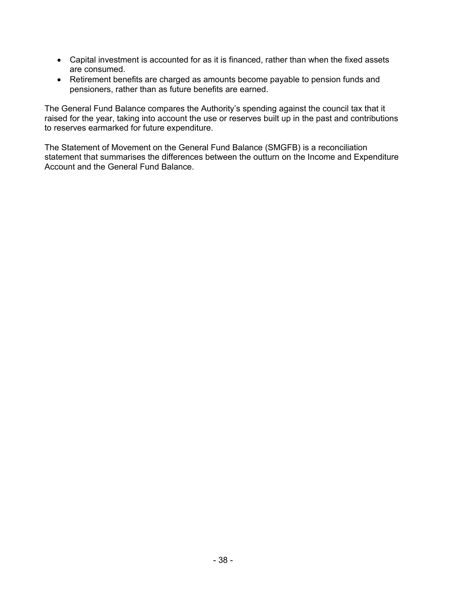- Capital investment is accounted for as it is financed, rather than when the fixed assets are consumed.
- Retirement benefits are charged as amounts become payable to pension funds and pensioners, rather than as future benefits are earned.

The General Fund Balance compares the Authority's spending against the council tax that it raised for the year, taking into account the use or reserves built up in the past and contributions to reserves earmarked for future expenditure.

The Statement of Movement on the General Fund Balance (SMGFB) is a reconciliation statement that summarises the differences between the outturn on the Income and Expenditure Account and the General Fund Balance.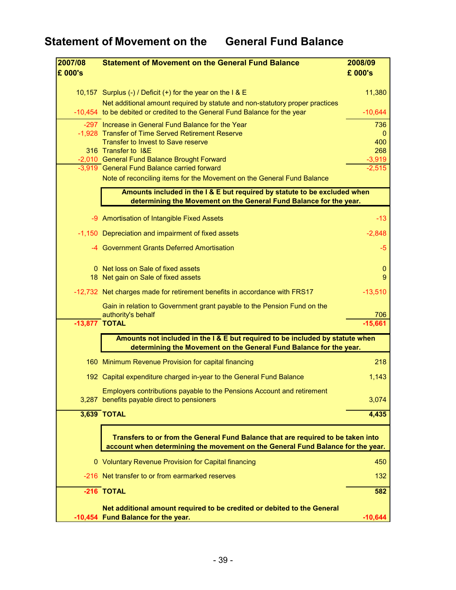| 2007/08 | <b>Statement of Movement on the General Fund Balance</b>                                                                                                            | 2008/09          |
|---------|---------------------------------------------------------------------------------------------------------------------------------------------------------------------|------------------|
| £ 000's |                                                                                                                                                                     | £ 000's          |
|         |                                                                                                                                                                     |                  |
|         | 10,157 Surplus (-) / Deficit (+) for the year on the I & E                                                                                                          | 11,380           |
|         | Net additional amount required by statute and non-statutory proper practices<br>-10,454 to be debited or credited to the General Fund Balance for the year          | $-10,644$        |
|         | -297 Increase in General Fund Balance for the Year                                                                                                                  | 736              |
|         | -1,928 Transfer of Time Served Retirement Reserve                                                                                                                   | $\Omega$         |
|         | <b>Transfer to Invest to Save reserve</b>                                                                                                                           | 400              |
|         | 316 Transfer to I&E<br>-2,010 General Fund Balance Brought Forward                                                                                                  | 268<br>$-3,919$  |
|         | -3,919 General Fund Balance carried forward                                                                                                                         | -2.515           |
|         | Note of reconciling items for the Movement on the General Fund Balance                                                                                              |                  |
|         | Amounts included in the I & E but required by statute to be excluded when                                                                                           |                  |
|         | determining the Movement on the General Fund Balance for the year.                                                                                                  |                  |
|         |                                                                                                                                                                     |                  |
|         | -9 Amortisation of Intangible Fixed Assets                                                                                                                          | $-13$            |
|         | -1,150 Depreciation and impairment of fixed assets                                                                                                                  | $-2,848$         |
|         | -4 Government Grants Deferred Amortisation                                                                                                                          | $-5$             |
|         | 0 Net loss on Sale of fixed assets                                                                                                                                  | $\boldsymbol{0}$ |
|         | 18 Net gain on Sale of fixed assets                                                                                                                                 | 9                |
|         | -12,732 Net charges made for retirement benefits in accordance with FRS17                                                                                           | $-13,510$        |
|         | Gain in relation to Government grant payable to the Pension Fund on the                                                                                             |                  |
|         | authority's behalf<br>$-13,877$ TOTAL                                                                                                                               | 706<br>$-15,661$ |
|         |                                                                                                                                                                     |                  |
|         | Amounts not included in the I & E but required to be included by statute when<br>determining the Movement on the General Fund Balance for the year.                 |                  |
|         | 160 Minimum Revenue Provision for capital financing                                                                                                                 | 218              |
|         | 192 Capital expenditure charged in-year to the General Fund Balance                                                                                                 | 1,143            |
|         | Employers contributions payable to the Pensions Account and retirement                                                                                              |                  |
|         | 3,287 benefits payable direct to pensioners                                                                                                                         | 3,074            |
|         | 3,639 TOTAL                                                                                                                                                         | 4,435            |
|         |                                                                                                                                                                     |                  |
|         | Transfers to or from the General Fund Balance that are required to be taken into<br>account when determining the movement on the General Fund Balance for the year. |                  |
|         | 0 Voluntary Revenue Provision for Capital financing                                                                                                                 | 450              |
|         | -216 Net transfer to or from earmarked reserves                                                                                                                     | 132              |
|         | -216 TOTAL                                                                                                                                                          | 582              |
|         |                                                                                                                                                                     |                  |
|         | Net additional amount required to be credited or debited to the General<br>-10,454 Fund Balance for the year.                                                       | $-10,644$        |
|         |                                                                                                                                                                     |                  |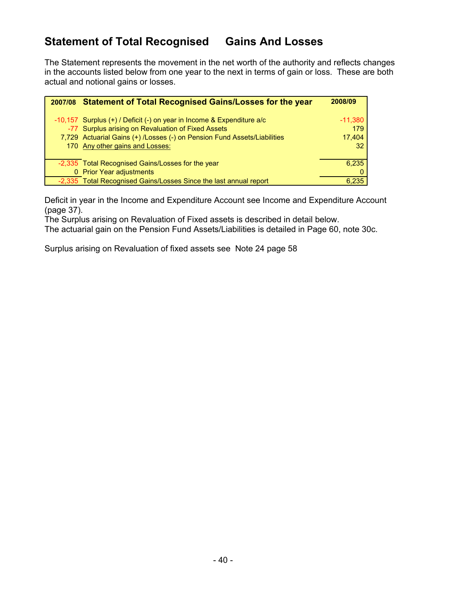# **Statement of Total Recognised Gains And Losses**

The Statement represents the movement in the net worth of the authority and reflects changes in the accounts listed below from one year to the next in terms of gain or loss. These are both actual and notional gains or losses.

| 2007/08 | <b>Statement of Total Recognised Gains/Losses for the year</b>            | 2008/09         |
|---------|---------------------------------------------------------------------------|-----------------|
|         |                                                                           |                 |
|         | -10,157 Surplus $(+)$ / Deficit $(-)$ on year in Income & Expenditure a/c | $-11,380$       |
|         | -77 Surplus arising on Revaluation of Fixed Assets                        | 179             |
|         | 7,729 Actuarial Gains (+) /Losses (-) on Pension Fund Assets/Liabilities  | 17,404          |
|         | 170 Any other gains and Losses:                                           | 32 <sup>2</sup> |
|         |                                                                           |                 |
|         | -2,335 Total Recognised Gains/Losses for the year                         | 6,235           |
|         | 0 Prior Year adjustments                                                  | 0               |
|         | -2,335 Total Recognised Gains/Losses Since the last annual report         | 6.235           |

Deficit in year in the Income and Expenditure Account see Income and Expenditure Account (page 37).

The Surplus arising on Revaluation of Fixed assets is described in detail below.

The actuarial gain on the Pension Fund Assets/Liabilities is detailed in Page 60, note 30c.

Surplus arising on Revaluation of fixed assets see Note 24 page 58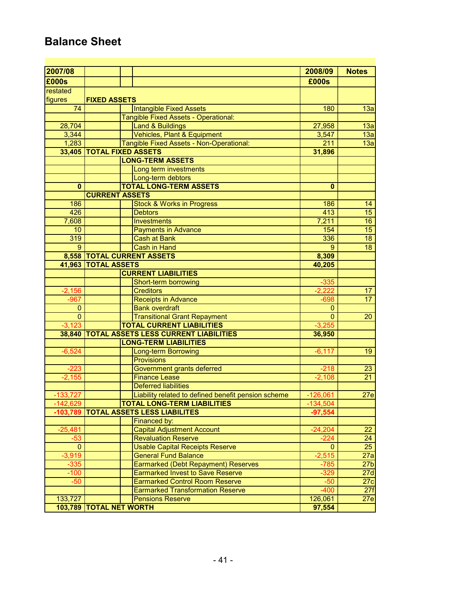# **Balance Sheet**

| 2007/08        |                            |                                                                                  | 2008/09      | <b>Notes</b>    |
|----------------|----------------------------|----------------------------------------------------------------------------------|--------------|-----------------|
| £000s          |                            |                                                                                  | £000s        |                 |
| restated       |                            |                                                                                  |              |                 |
| figures        | <b>FIXED ASSETS</b>        |                                                                                  |              |                 |
| 74             |                            | <b>Intangible Fixed Assets</b>                                                   | 180          | 13a             |
|                |                            | <b>Tangible Fixed Assets - Operational:</b>                                      |              |                 |
| 28,704         |                            | <b>Land &amp; Buildings</b>                                                      | 27,958       | 13a             |
| 3,344          |                            | Vehicles, Plant & Equipment                                                      | 3,547        | 13a             |
| 1,283          |                            | Tangible Fixed Assets - Non-Operational:                                         | 211          | 13a             |
| 33,405         | <b>TOTAL FIXED ASSETS</b>  |                                                                                  | 31,896       |                 |
|                |                            | <b>LONG-TERM ASSETS</b>                                                          |              |                 |
|                |                            | Long term investments                                                            |              |                 |
|                |                            | Long-term debtors                                                                |              |                 |
| 0              |                            | <b>TOTAL LONG-TERM ASSETS</b>                                                    | $\bf{0}$     |                 |
|                | <b>CURRENT ASSETS</b>      |                                                                                  |              |                 |
| 186            |                            | <b>Stock &amp; Works in Progress</b>                                             | 186          | 14              |
| 426            |                            | <b>Debtors</b>                                                                   | 413          | 15              |
| 7,608          |                            | Investments                                                                      | 7,211        | $\overline{16}$ |
| 10             |                            | <b>Payments in Advance</b>                                                       | 154          | $\overline{15}$ |
| 319            |                            | <b>Cash at Bank</b>                                                              | 336          | $\overline{18}$ |
| $\mathbf{Q}$   |                            | Cash in Hand                                                                     | 9            | 18              |
|                | 8,558 TOTAL CURRENT ASSETS |                                                                                  | 8,309        |                 |
|                | 41,963 TOTAL ASSETS        |                                                                                  | 40,205       |                 |
|                |                            | <b>CURRENT LIABILITIES</b>                                                       |              |                 |
|                |                            | Short-term borrowing                                                             | $-335$       |                 |
| $-2,156$       |                            | <b>Creditors</b>                                                                 | $-2,222$     | 17              |
| $-967$         |                            | <b>Receipts in Advance</b>                                                       | $-698$       | $\overline{17}$ |
| $\mathbf{0}$   |                            | <b>Bank overdraft</b>                                                            | $\mathbf{0}$ |                 |
| $\mathbf 0$    |                            | <b>Transitional Grant Repayment</b>                                              | $\mathbf{0}$ | 20              |
| $-3,123$       |                            | <b>TOTAL CURRENT LIABILITIES</b><br><b>TOTAL ASSETS LESS CURRENT LIABILITIES</b> | $-3,255$     |                 |
| 38,840         |                            | <b>LONG-TERM LIABILITIES</b>                                                     | 36,950       |                 |
| $-6,524$       |                            | <b>Long-term Borrowing</b>                                                       | $-6, 117$    | 19              |
|                |                            | <b>Provisions</b>                                                                |              |                 |
| $-223$         |                            | Government grants deferred                                                       | $-218$       | 23              |
| $-2,155$       |                            | <b>Finance Lease</b>                                                             | $-2,108$     | 21              |
|                |                            | <b>Deferred liabilities</b>                                                      |              |                 |
| $-133,727$     |                            | Liability related to defined benefit pension scheme                              | $-126,061$   | 27e             |
| $-142,629$     |                            | <b>TOTAL LONG-TERM LIABILITIES</b>                                               | $-134,504$   |                 |
|                |                            | -103,789   TOTAL ASSETS LESS LIABILITES                                          | $-97,554$    |                 |
|                |                            | Financed by:                                                                     |              |                 |
| $-25,481$      |                            | <b>Capital Adjustment Account</b>                                                | $-24,204$    | 22              |
| $-53$          |                            | <b>Revaluation Reserve</b>                                                       | $-224$       | 24              |
| $\overline{0}$ |                            | <b>Usable Capital Receipts Reserve</b>                                           | $\mathbf{0}$ | 25 <sub>2</sub> |
| $-3,919$       |                            | <b>General Fund Balance</b>                                                      | $-2,515$     | 27a             |
| $-335$         |                            | Earmarked (Debt Repayment) Reserves                                              | $-785$       | 27 <sub>b</sub> |
| $-100$         |                            | <b>Earmarked Invest to Save Reserve</b>                                          | $-329$       | 27d             |
| $-50$          |                            | <b>Earmarked Control Room Reserve</b>                                            | $-50$        | 27c             |
|                |                            | <b>Earmarked Transformation Reserve</b>                                          | $-400$       | 27f             |
| 133,727        |                            | <b>Pensions Reserve</b>                                                          | 126,061      | 27e             |
|                | 103,789 TOTAL NET WORTH    |                                                                                  | 97,554       |                 |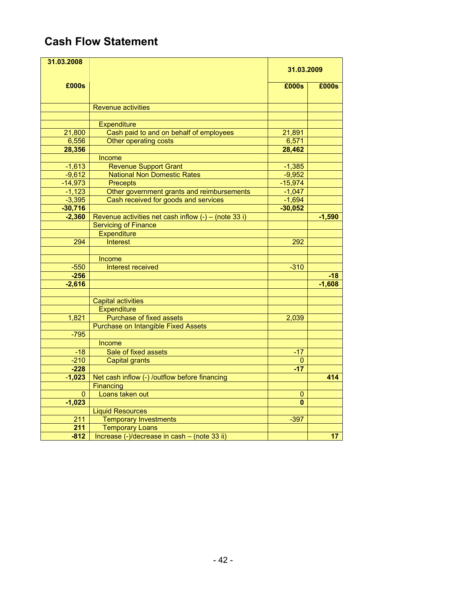# **Cash Flow Statement**

| 31.03.2008       |                                                        |            |          |
|------------------|--------------------------------------------------------|------------|----------|
|                  |                                                        | 31.03.2009 |          |
| £000s            |                                                        | £000s      | £000s    |
|                  |                                                        |            |          |
|                  | <b>Revenue activities</b>                              |            |          |
|                  |                                                        |            |          |
|                  | <b>Expenditure</b>                                     |            |          |
| 21,800           | Cash paid to and on behalf of employees                | 21,891     |          |
| 6,556            | Other operating costs                                  | 6,571      |          |
| 28,356           |                                                        | 28,462     |          |
|                  | Income                                                 |            |          |
| $-1,613$         | Revenue Support Grant                                  | $-1,385$   |          |
| $-9,612$         | <b>National Non Domestic Rates</b>                     | $-9,952$   |          |
| $-14,973$        | <b>Precepts</b>                                        | $-15,974$  |          |
| $-1,123$         | Other government grants and reimbursements             | $-1,047$   |          |
| $-3,395$         | Cash received for goods and services                   | $-1,694$   |          |
| $-30,716$        |                                                        | $-30,052$  |          |
| $-2,360$         | Revenue activities net cash inflow $(-)$ – (note 33 i) |            | $-1,590$ |
|                  | <b>Servicing of Finance</b>                            |            |          |
|                  | <b>Expenditure</b>                                     |            |          |
| 294              | <b>Interest</b>                                        | 292        |          |
|                  |                                                        |            |          |
|                  | Income                                                 |            |          |
| $-550$           | Interest received                                      | $-310$     |          |
| $-256$           |                                                        |            | $-18$    |
| $-2,616$         |                                                        |            | $-1,608$ |
|                  | <b>Capital activities</b>                              |            |          |
|                  | <b>Expenditure</b>                                     |            |          |
| 1,821            | <b>Purchase of fixed assets</b>                        | 2,039      |          |
|                  | <b>Purchase on Intangible Fixed Assets</b>             |            |          |
| $-795$           |                                                        |            |          |
|                  | Income                                                 |            |          |
| $-18$            | Sale of fixed assets                                   | $-17$      |          |
| $-210$           | <b>Capital grants</b>                                  | 0          |          |
| $-228$           |                                                        | $-17$      |          |
| $-1,023$         | Net cash inflow (-) /outflow before financing          |            | 414      |
|                  | Financing                                              |            |          |
| 0                | Loans taken out                                        | 0          |          |
| $-1,023$         |                                                        | $\bf{0}$   |          |
|                  | <b>Liquid Resources</b>                                |            |          |
| 211              | <b>Temporary Investments</b>                           | $-397$     |          |
| $\overline{211}$ | <b>Temporary Loans</b>                                 |            |          |
| $-812$           | Increase (-)/decrease in cash - (note 33 ii)           |            | 17       |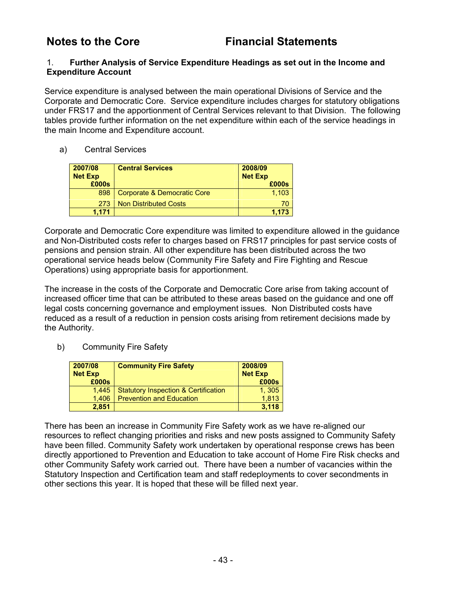#### 1. **Further Analysis of Service Expenditure Headings as set out in the Income and Expenditure Account**

Service expenditure is analysed between the main operational Divisions of Service and the Corporate and Democratic Core. Service expenditure includes charges for statutory obligations under FRS17 and the apportionment of Central Services relevant to that Division. The following tables provide further information on the net expenditure within each of the service headings in the main Income and Expenditure account.

a) Central Services

| 2007/08<br><b>Net Exp</b> | <b>Central Services</b>      | 2008/09<br><b>Net Exp</b> |
|---------------------------|------------------------------|---------------------------|
| £000s                     |                              | £000s                     |
| 898                       | Corporate & Democratic Core  | 1.103                     |
| 273                       | <b>Non Distributed Costs</b> |                           |
| 1.171                     |                              | 1.173                     |

Corporate and Democratic Core expenditure was limited to expenditure allowed in the guidance and Non-Distributed costs refer to charges based on FRS17 principles for past service costs of pensions and pension strain. All other expenditure has been distributed across the two operational service heads below (Community Fire Safety and Fire Fighting and Rescue Operations) using appropriate basis for apportionment.

The increase in the costs of the Corporate and Democratic Core arise from taking account of increased officer time that can be attributed to these areas based on the guidance and one off legal costs concerning governance and employment issues. Non Distributed costs have reduced as a result of a reduction in pension costs arising from retirement decisions made by the Authority.

b) Community Fire Safety

| 2007/08<br><b>Net Exp</b><br>£000s | <b>Community Fire Safety</b>                    | 2008/09<br><b>Net Exp</b><br>£000s |
|------------------------------------|-------------------------------------------------|------------------------------------|
| 1.445                              | <b>Statutory Inspection &amp; Certification</b> | 1, 305                             |
| 1.406                              | <b>Prevention and Education</b>                 | 1.813                              |
| 2.851                              |                                                 | 3.118                              |

There has been an increase in Community Fire Safety work as we have re-aligned our resources to reflect changing priorities and risks and new posts assigned to Community Safety have been filled. Community Safety work undertaken by operational response crews has been directly apportioned to Prevention and Education to take account of Home Fire Risk checks and other Community Safety work carried out. There have been a number of vacancies within the Statutory Inspection and Certification team and staff redeployments to cover secondments in other sections this year. It is hoped that these will be filled next year.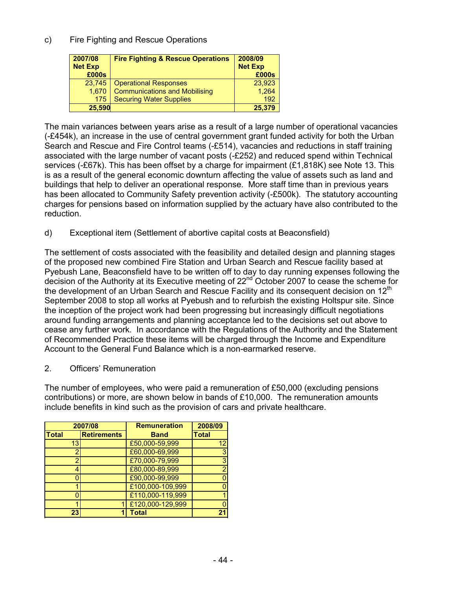## c) Fire Fighting and Rescue Operations

| 2007/08<br><b>Net Exp</b><br>£000s | <b>Fire Fighting &amp; Rescue Operations</b> | 2008/09<br><b>Net Exp</b><br>£000s |
|------------------------------------|----------------------------------------------|------------------------------------|
| 23,745                             | <b>Operational Responses</b>                 | 23,923                             |
| 1.670                              | <b>Communications and Mobilising</b>         | 1,264                              |
| 175                                | <b>Securing Water Supplies</b>               | 192                                |
| 25,590                             |                                              | 25,379                             |

The main variances between years arise as a result of a large number of operational vacancies (-£454k), an increase in the use of central government grant funded activity for both the Urban Search and Rescue and Fire Control teams (-£514), vacancies and reductions in staff training associated with the large number of vacant posts (-£252) and reduced spend within Technical services (-£67k). This has been offset by a charge for impairment (£1,818K) see Note 13. This is as a result of the general economic downturn affecting the value of assets such as land and buildings that help to deliver an operational response. More staff time than in previous years has been allocated to Community Safety prevention activity (-£500k). The statutory accounting charges for pensions based on information supplied by the actuary have also contributed to the reduction.

d) Exceptional item (Settlement of abortive capital costs at Beaconsfield)

The settlement of costs associated with the feasibility and detailed design and planning stages of the proposed new combined Fire Station and Urban Search and Rescue facility based at Pyebush Lane, Beaconsfield have to be written off to day to day running expenses following the decision of the Authority at its Executive meeting of 22<sup>nd</sup> October 2007 to cease the scheme for the development of an Urban Search and Rescue Facility and its consequent decision on 12<sup>th</sup> September 2008 to stop all works at Pyebush and to refurbish the existing Holtspur site. Since the inception of the project work had been progressing but increasingly difficult negotiations around funding arrangements and planning acceptance led to the decisions set out above to cease any further work. In accordance with the Regulations of the Authority and the Statement of Recommended Practice these items will be charged through the Income and Expenditure Account to the General Fund Balance which is a non-earmarked reserve.

2. Officers' Remuneration

The number of employees, who were paid a remuneration of £50,000 (excluding pensions contributions) or more, are shown below in bands of £10,000. The remuneration amounts include benefits in kind such as the provision of cars and private healthcare.

| 2007/08      |                    | <b>Remuneration</b> | 2008/09      |
|--------------|--------------------|---------------------|--------------|
| <b>Total</b> | <b>Retirements</b> | <b>Band</b>         | <b>Total</b> |
| 13           |                    | £50,000-59,999      | 12           |
|              |                    | £60,000-69,999      |              |
|              |                    | £70,000-79,999      |              |
|              |                    | £80,000-89,999      |              |
|              |                    | £90,000-99,999      |              |
|              |                    | £100,000-109,999    |              |
|              |                    | £110,000-119,999    |              |
|              |                    | £120,000-129,999    |              |
| 23           |                    | Total               | ን·           |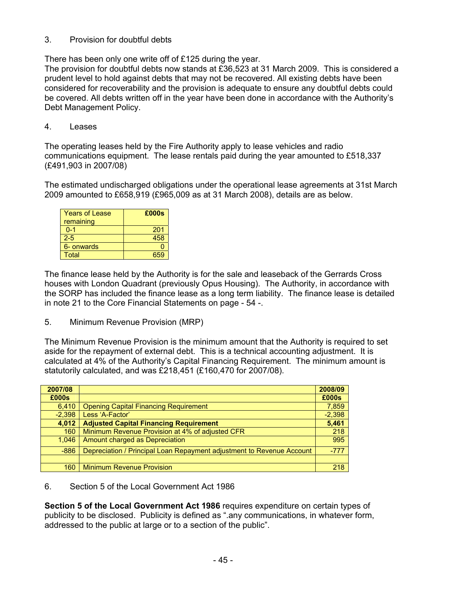### 3. Provision for doubtful debts

There has been only one write off of £125 during the year.

The provision for doubtful debts now stands at £36,523 at 31 March 2009. This is considered a prudent level to hold against debts that may not be recovered. All existing debts have been considered for recoverability and the provision is adequate to ensure any doubtful debts could be covered. All debts written off in the year have been done in accordance with the Authority's Debt Management Policy.

#### 4. Leases

The operating leases held by the Fire Authority apply to lease vehicles and radio communications equipment. The lease rentals paid during the year amounted to £518,337 (£491,903 in 2007/08)

The estimated undischarged obligations under the operational lease agreements at 31st March 2009 amounted to £658,919 (£965,009 as at 31 March 2008), details are as below.

| <b>Years of Lease</b><br>remaining | £000s |
|------------------------------------|-------|
| $0 - 1$                            | 201   |
| $2 - 5$                            | 458   |
| 6- onwards                         |       |
| Total                              |       |

The finance lease held by the Authority is for the sale and leaseback of the Gerrards Cross houses with London Quadrant (previously Opus Housing). The Authority, in accordance with the SORP has included the finance lease as a long term liability. The finance lease is detailed in note 21 to the Core Financial Statements on page - 54 -.

5. Minimum Revenue Provision (MRP)

The Minimum Revenue Provision is the minimum amount that the Authority is required to set aside for the repayment of external debt. This is a technical accounting adjustment. It is calculated at 4% of the Authority's Capital Financing Requirement. The minimum amount is statutorily calculated, and was £218,451 (£160,470 for 2007/08).

| 2007/08  |                                                                       | 2008/09  |
|----------|-----------------------------------------------------------------------|----------|
| £000s    |                                                                       | £000s    |
| 6,410    | <b>Opening Capital Financing Requirement</b>                          | 7,859    |
| $-2,398$ | Less 'A-Factor'                                                       | $-2,398$ |
| 4,012    | <b>Adjusted Capital Financing Requirement</b>                         | 5,461    |
| 160      | Minimum Revenue Provision at 4% of adjusted CFR                       | 218      |
| 1.046    | Amount charged as Depreciation                                        | 995      |
| $-886$   | Depreciation / Principal Loan Repayment adjustment to Revenue Account | $-777$   |
|          |                                                                       |          |
| 160      | <b>Minimum Revenue Provision</b>                                      | 218      |

### 6. Section 5 of the Local Government Act 1986

**Section 5 of the Local Government Act 1986** requires expenditure on certain types of publicity to be disclosed. Publicity is defined as ".any communications, in whatever form, addressed to the public at large or to a section of the public".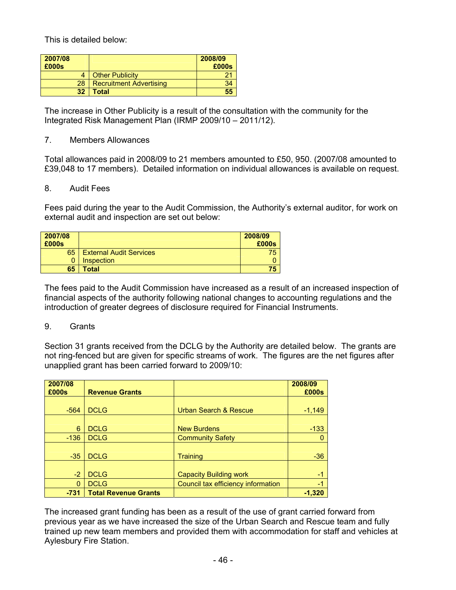This is detailed below:

| 2007/08<br>£000s |                                | 2008/09<br>£000s |
|------------------|--------------------------------|------------------|
|                  | <b>Other Publicity</b>         |                  |
| 28               | <b>Recruitment Advertising</b> |                  |
| 32               | Total                          | 55               |

The increase in Other Publicity is a result of the consultation with the community for the Integrated Risk Management Plan (IRMP 2009/10 – 2011/12).

#### 7. Members Allowances

Total allowances paid in 2008/09 to 21 members amounted to £50, 950. (2007/08 amounted to £39,048 to 17 members). Detailed information on individual allowances is available on request.

#### 8. Audit Fees

Fees paid during the year to the Audit Commission, the Authority's external auditor, for work on external audit and inspection are set out below:

| 2007/08<br>£000s |                                | 2008/09<br>£000s |
|------------------|--------------------------------|------------------|
| 65               | <b>External Audit Services</b> | 75               |
| 0                | Inspection                     |                  |
| 65               | Total                          | 75               |

The fees paid to the Audit Commission have increased as a result of an increased inspection of financial aspects of the authority following national changes to accounting regulations and the introduction of greater degrees of disclosure required for Financial Instruments.

#### 9. Grants

Section 31 grants received from the DCLG by the Authority are detailed below. The grants are not ring-fenced but are given for specific streams of work. The figures are the net figures after unapplied grant has been carried forward to 2009/10:

| 2007/08<br>£000s | <b>Revenue Grants</b>       |                                    | 2008/09<br>£000s |
|------------------|-----------------------------|------------------------------------|------------------|
|                  |                             |                                    |                  |
| $-564$           | <b>DCLG</b>                 | Urban Search & Rescue              | $-1,149$         |
|                  |                             |                                    |                  |
| 6                | <b>DCLG</b>                 | <b>New Burdens</b>                 | $-133$           |
| $-136$           | <b>DCLG</b>                 | <b>Community Safety</b>            |                  |
|                  |                             |                                    |                  |
| $-35$            | <b>DCLG</b>                 | Training                           | $-36$            |
|                  |                             |                                    |                  |
| $-2$             | <b>DCLG</b>                 | <b>Capacity Building work</b>      | -1               |
| $\Omega$         | <b>DCLG</b>                 | Council tax efficiency information | $-1$             |
| $-731$           | <b>Total Revenue Grants</b> |                                    | $-1,320$         |

The increased grant funding has been as a result of the use of grant carried forward from previous year as we have increased the size of the Urban Search and Rescue team and fully trained up new team members and provided them with accommodation for staff and vehicles at Aylesbury Fire Station.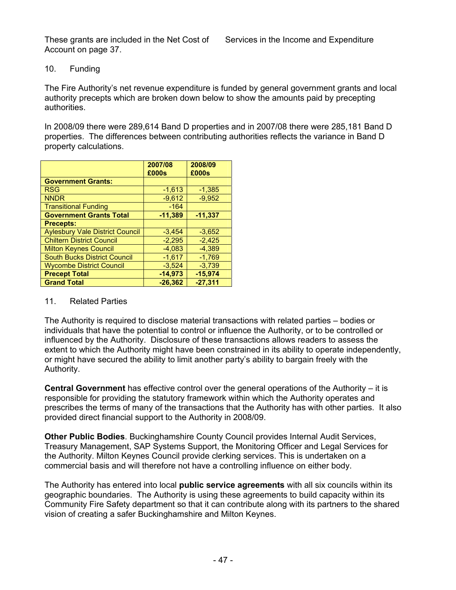#### 10. Funding

The Fire Authority's net revenue expenditure is funded by general government grants and local authority precepts which are broken down below to show the amounts paid by precepting authorities.

In 2008/09 there were 289,614 Band D properties and in 2007/08 there were 285,181 Band D properties. The differences between contributing authorities reflects the variance in Band D property calculations.

|                                        | 2007/08   | 2008/09   |
|----------------------------------------|-----------|-----------|
|                                        | £000s     | £000s     |
| <b>Government Grants:</b>              |           |           |
| <b>RSG</b>                             | $-1,613$  | $-1,385$  |
| <b>NNDR</b>                            | $-9,612$  | $-9.952$  |
| <b>Transitional Funding</b>            | $-164$    |           |
| <b>Government Grants Total</b>         | $-11.389$ | $-11.337$ |
| <b>Precepts:</b>                       |           |           |
| <b>Aylesbury Vale District Council</b> | $-3,454$  | $-3,652$  |
| <b>Chiltern District Council</b>       | $-2,295$  | $-2,425$  |
| <b>Milton Keynes Council</b>           | $-4,083$  | $-4,389$  |
| <b>South Bucks District Council</b>    | $-1,617$  | $-1,769$  |
| <b>Wycombe District Council</b>        | $-3.524$  | $-3,739$  |
| <b>Precept Total</b>                   | $-14,973$ | $-15,974$ |
| <b>Grand Total</b>                     | $-26.362$ | $-27,311$ |

#### 11. Related Parties

The Authority is required to disclose material transactions with related parties – bodies or individuals that have the potential to control or influence the Authority, or to be controlled or influenced by the Authority. Disclosure of these transactions allows readers to assess the extent to which the Authority might have been constrained in its ability to operate independently, or might have secured the ability to limit another party's ability to bargain freely with the Authority.

**Central Government** has effective control over the general operations of the Authority – it is responsible for providing the statutory framework within which the Authority operates and prescribes the terms of many of the transactions that the Authority has with other parties. It also provided direct financial support to the Authority in 2008/09.

**Other Public Bodies**. Buckinghamshire County Council provides Internal Audit Services, Treasury Management, SAP Systems Support, the Monitoring Officer and Legal Services for the Authority. Milton Keynes Council provide clerking services. This is undertaken on a commercial basis and will therefore not have a controlling influence on either body.

The Authority has entered into local **public service agreements** with all six councils within its geographic boundaries. The Authority is using these agreements to build capacity within its Community Fire Safety department so that it can contribute along with its partners to the shared vision of creating a safer Buckinghamshire and Milton Keynes.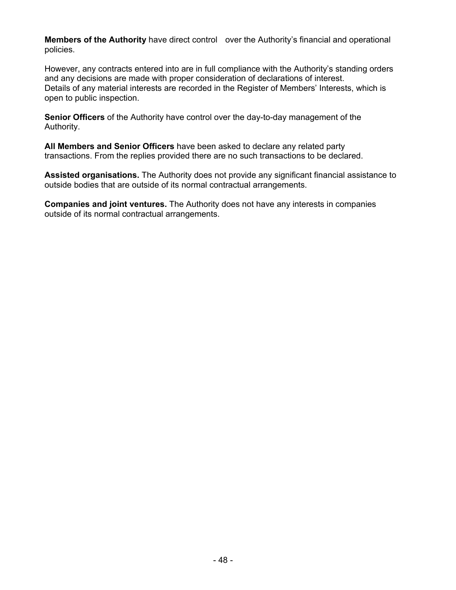**Members of the Authority** have direct control over the Authority's financial and operational policies.

However, any contracts entered into are in full compliance with the Authority's standing orders and any decisions are made with proper consideration of declarations of interest. Details of any material interests are recorded in the Register of Members' Interests, which is open to public inspection.

**Senior Officers** of the Authority have control over the day-to-day management of the Authority.

**All Members and Senior Officers** have been asked to declare any related party transactions. From the replies provided there are no such transactions to be declared.

**Assisted organisations.** The Authority does not provide any significant financial assistance to outside bodies that are outside of its normal contractual arrangements.

**Companies and joint ventures.** The Authority does not have any interests in companies outside of its normal contractual arrangements.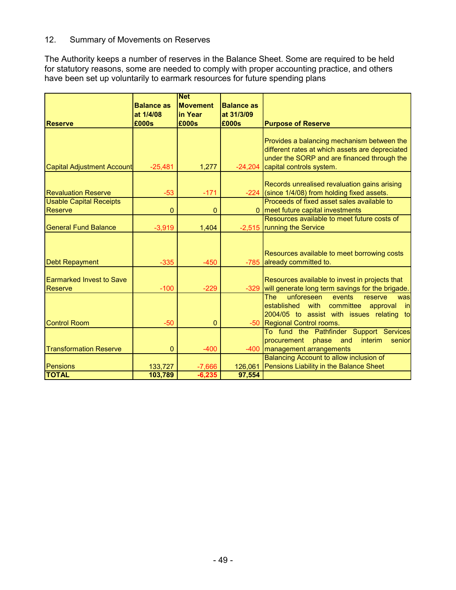## 12. Summary of Movements on Reserves

The Authority keeps a number of reserves in the Balance Sheet. Some are required to be held for statutory reasons, some are needed to comply with proper accounting practice, and others have been set up voluntarily to earmark resources for future spending plans

|                                            | <b>Balance as</b><br>at 1/4/08 | <b>Net</b><br><b>Movement</b><br>lin Year | <b>Balance as</b><br>at 31/3/09 |                                                                                                                                                                                  |
|--------------------------------------------|--------------------------------|-------------------------------------------|---------------------------------|----------------------------------------------------------------------------------------------------------------------------------------------------------------------------------|
| <b>Reserve</b>                             | £000s                          | £000s                                     | £000s                           | <b>Purpose of Reserve</b>                                                                                                                                                        |
| <b>Capital Adjustment Account</b>          | $-25,481$                      | 1,277                                     | $-24,204$                       | Provides a balancing mechanism between the<br>different rates at which assets are depreciated<br>under the SORP and are financed through the<br>capital controls system.         |
| <b>Revaluation Reserve</b>                 | $-53$                          | $-171$                                    |                                 | Records unrealised revaluation gains arising<br>-224 (since 1/4/08) from holding fixed assets.                                                                                   |
| <b>Usable Capital Receipts</b><br>Reserve  | $\overline{0}$                 | $\mathbf{0}$                              |                                 | Proceeds of fixed asset sales available to<br>meet future capital investments                                                                                                    |
| <b>General Fund Balance</b>                | $-3,919$                       | 1,404                                     |                                 | Resources available to meet future costs of<br>-2,515  running the Service                                                                                                       |
| <b>Debt Repayment</b>                      | $-335$                         | $-450$                                    | $-785$                          | Resources available to meet borrowing costs<br>already committed to.                                                                                                             |
| <b>Earmarked Invest to Save</b><br>Reserve | $-100$                         | $-229$                                    | $-329$                          | Resources available to invest in projects that<br>will generate long term savings for the brigade.                                                                               |
| <b>Control Room</b>                        | $-50$                          | $\overline{0}$                            | $-50$                           | unforeseen<br><b>The</b><br>events<br>reserve<br>was<br>committee approval<br>established with<br>in<br>2004/05 to assist with issues relating<br>tol<br>Regional Control rooms. |
|                                            |                                |                                           |                                 | To fund the Pathfinder Support Services<br>phase<br>interim<br>procurement<br>and<br>senior                                                                                      |
| <b>Transformation Reserve</b>              | $\mathbf 0$                    | $-400$                                    | $-400$                          | management arrangements                                                                                                                                                          |
| Pensions                                   | 133,727                        | $-7,666$                                  | 126,061                         | Balancing Account to allow inclusion of<br>Pensions Liability in the Balance Sheet                                                                                               |
| <b>TOTAL</b>                               | 103,789                        | $-6,235$                                  | 97,554                          |                                                                                                                                                                                  |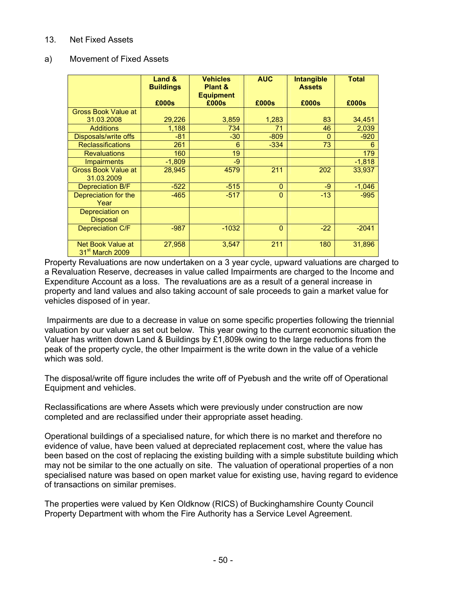#### 13. Net Fixed Assets

#### a) Movement of Fixed Assets

|                                                  | Land &<br><b>Buildings</b> | <b>Vehicles</b><br>Plant &<br><b>Equipment</b> | <b>AUC</b>     | <b>Intangible</b><br><b>Assets</b> | <b>Total</b> |
|--------------------------------------------------|----------------------------|------------------------------------------------|----------------|------------------------------------|--------------|
|                                                  | £000s                      | £000s                                          | £000s          | £000s                              | £000s        |
| <b>Gross Book Value at</b>                       |                            |                                                |                |                                    |              |
| 31.03.2008                                       | 29,226                     | 3,859                                          | 1,283          | 83                                 | 34,451       |
| <b>Additions</b>                                 | 1,188                      | 734                                            | 71             | 46                                 | 2,039        |
| Disposals/write offs                             | $-81$                      | $-30$                                          | $-809$         | $\Omega$                           | $-920$       |
| <b>Reclassifications</b>                         | 261                        | 6                                              | $-334$         | 73                                 | 6            |
| <b>Revaluations</b>                              | 160                        | 19                                             |                |                                    | 179          |
| <b>Impairments</b>                               | $-1,809$                   | -9                                             |                |                                    | $-1,818$     |
| <b>Gross Book Value at</b><br>31.03.2009         | 28,945                     | 4579                                           | 211            | 202                                | 33,937       |
| Depreciation B/F                                 | $-522$                     | $-515$                                         | $\overline{0}$ | -9                                 | $-1,046$     |
| Depreciation for the<br>Year                     | $-465$                     | $-517$                                         | $\overline{0}$ | $-13$                              | $-995$       |
| Depreciation on<br><b>Disposal</b>               |                            |                                                |                |                                    |              |
| <b>Depreciation C/F</b>                          | $-987$                     | $-1032$                                        | $\overline{0}$ | $-22$                              | $-2041$      |
| Net Book Value at<br>31 <sup>st</sup> March 2009 | 27,958                     | 3,547                                          | 211            | 180                                | 31,896       |

Property Revaluations are now undertaken on a 3 year cycle, upward valuations are charged to a Revaluation Reserve, decreases in value called Impairments are charged to the Income and Expenditure Account as a loss. The revaluations are as a result of a general increase in property and land values and also taking account of sale proceeds to gain a market value for vehicles disposed of in year.

 Impairments are due to a decrease in value on some specific properties following the triennial valuation by our valuer as set out below. This year owing to the current economic situation the Valuer has written down Land & Buildings by £1,809k owing to the large reductions from the peak of the property cycle, the other Impairment is the write down in the value of a vehicle which was sold.

The disposal/write off figure includes the write off of Pyebush and the write off of Operational Equipment and vehicles.

Reclassifications are where Assets which were previously under construction are now completed and are reclassified under their appropriate asset heading.

Operational buildings of a specialised nature, for which there is no market and therefore no evidence of value, have been valued at depreciated replacement cost, where the value has been based on the cost of replacing the existing building with a simple substitute building which may not be similar to the one actually on site. The valuation of operational properties of a non specialised nature was based on open market value for existing use, having regard to evidence of transactions on similar premises.

The properties were valued by Ken Oldknow (RICS) of Buckinghamshire County Council Property Department with whom the Fire Authority has a Service Level Agreement.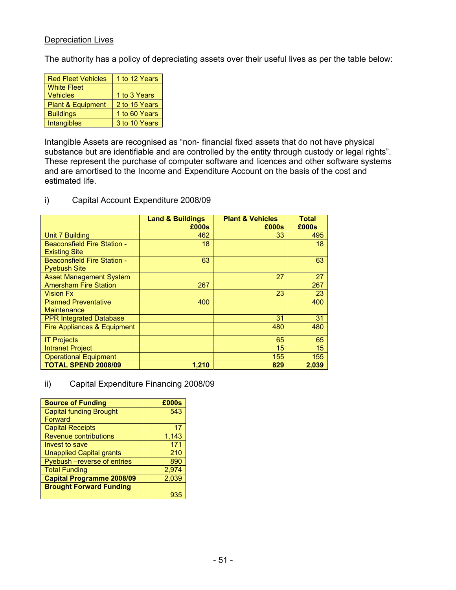### Depreciation Lives

The authority has a policy of depreciating assets over their useful lives as per the table below:

| <b>Red Fleet Vehicles</b>    | 1 to 12 Years |
|------------------------------|---------------|
| <b>White Fleet</b>           |               |
| <b>Vehicles</b>              | 1 to 3 Years  |
| <b>Plant &amp; Equipment</b> | 2 to 15 Years |
| <b>Buildings</b>             | 1 to 60 Years |
| Intangibles                  | 3 to 10 Years |

Intangible Assets are recognised as "non- financial fixed assets that do not have physical substance but are identifiable and are controlled by the entity through custody or legal rights". These represent the purchase of computer software and licences and other software systems and are amortised to the Income and Expenditure Account on the basis of the cost and estimated life.

i) Capital Account Expenditure 2008/09

|                                                            | <b>Land &amp; Buildings</b><br>£000s | <b>Plant &amp; Vehicles</b><br>£000s | <b>Total</b><br>£000s |
|------------------------------------------------------------|--------------------------------------|--------------------------------------|-----------------------|
| <b>Unit 7 Building</b>                                     | 462                                  | 33                                   | 495                   |
| <b>Beaconsfield Fire Station -</b><br><b>Existing Site</b> | 18                                   |                                      | 18                    |
| <b>Beaconsfield Fire Station -</b><br><b>Pyebush Site</b>  | 63                                   |                                      | 63                    |
| <b>Asset Management System</b>                             |                                      | 27                                   | 27                    |
| <b>Amersham Fire Station</b>                               | 267                                  |                                      | 267                   |
| <b>Vision Fx</b>                                           |                                      | 23                                   | 23                    |
| <b>Planned Preventative</b><br><b>Maintenance</b>          | 400                                  |                                      | 400                   |
| <b>PPR Integrated Database</b>                             |                                      | 31                                   | 31                    |
| Fire Appliances & Equipment                                |                                      | 480                                  | 480                   |
| <b>IT Projects</b>                                         |                                      | 65                                   | 65                    |
| <b>Intranet Project</b>                                    |                                      | 15                                   | 15                    |
| <b>Operational Equipment</b>                               |                                      | 155                                  | 155                   |
| <b>TOTAL SPEND 2008/09</b>                                 | 1.210                                | 829                                  | 2.039                 |

ii) Capital Expenditure Financing 2008/09

| <b>Source of Funding</b>         | £000s |
|----------------------------------|-------|
| <b>Capital funding Brought</b>   | 543   |
| Forward                          |       |
| <b>Capital Receipts</b>          | 17    |
| <b>Revenue contributions</b>     | 1,143 |
| Invest to save                   | 171   |
| <b>Unapplied Capital grants</b>  | 210   |
| Pyebush - reverse of entries     | 890   |
| <b>Total Funding</b>             | 2,974 |
| <b>Capital Programme 2008/09</b> | 2,039 |
| <b>Brought Forward Funding</b>   |       |
|                                  | 935   |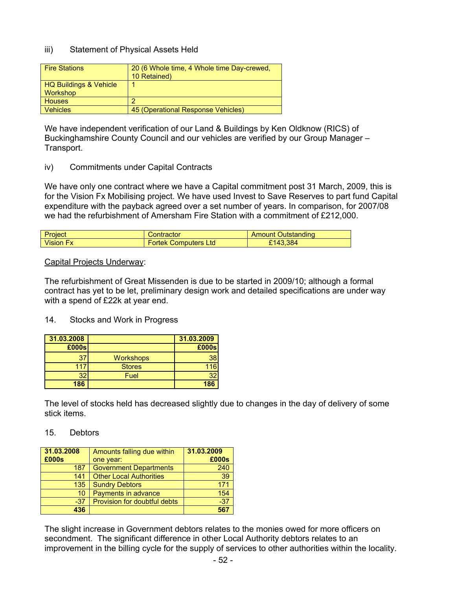#### iii) Statement of Physical Assets Held

| <b>Fire Stations</b>                      | 20 (6 Whole time, 4 Whole time Day-crewed,<br>10 Retained) |
|-------------------------------------------|------------------------------------------------------------|
| HQ Buildings & Vehicle<br><b>Workshop</b> |                                                            |
| <b>Houses</b>                             | ົ                                                          |
| <b>Vehicles</b>                           | 45 (Operational Response Vehicles)                         |

We have independent verification of our Land & Buildings by Ken Oldknow (RICS) of Buckinghamshire County Council and our vehicles are verified by our Group Manager – Transport.

#### iv) Commitments under Capital Contracts

We have only one contract where we have a Capital commitment post 31 March, 2009, this is for the Vision Fx Mobilising project. We have used Invest to Save Reserves to part fund Capital expenditure with the payback agreed over a set number of years. In comparison, for 2007/08 we had the refurbishment of Amersham Fire Station with a commitment of £212,000.

| Project          | Contractor                  | <b>Amount Outstanding</b> |
|------------------|-----------------------------|---------------------------|
| <b>Vision Fx</b> | <b>Fortek Computers Ltd</b> | £143,384                  |

#### Capital Projects Underway:

The refurbishment of Great Missenden is due to be started in 2009/10; although a formal contract has yet to be let, preliminary design work and detailed specifications are under way with a spend of £22k at year end.

#### 14. Stocks and Work in Progress

| 31.03.2008      |                  | 31.03.2009 |
|-----------------|------------------|------------|
| £000s           |                  | £000s      |
| 37              | <b>Workshops</b> | 38         |
| 117             | <b>Stores</b>    | 116        |
| 32 <sub>2</sub> | Fuel             | 32         |
| 186             |                  | 186        |

The level of stocks held has decreased slightly due to changes in the day of delivery of some stick items.

#### 15. Debtors

| 31.03.2008 | Amounts falling due within     | 31.03.2009 |
|------------|--------------------------------|------------|
| £000s      | one year:                      | £000s      |
| 187        | <b>Government Departments</b>  | 240        |
| 141        | <b>Other Local Authorities</b> | 39         |
| 135        | <b>Sundry Debtors</b>          | 171        |
| 10         | Payments in advance            | 154        |
| $-37$      | Provision for doubtful debts   | $-37$      |
| 436        |                                | 567        |

The slight increase in Government debtors relates to the monies owed for more officers on secondment. The significant difference in other Local Authority debtors relates to an improvement in the billing cycle for the supply of services to other authorities within the locality.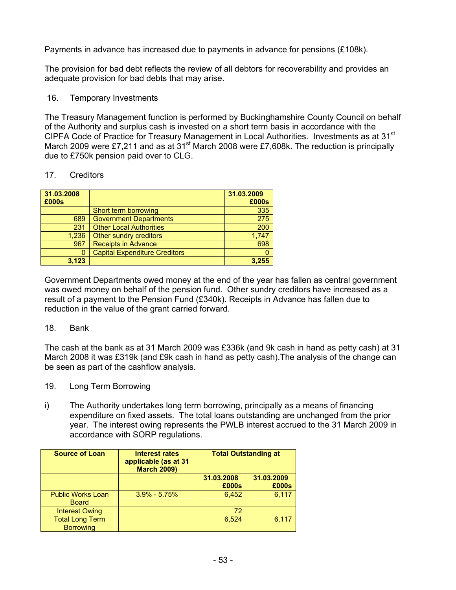Payments in advance has increased due to payments in advance for pensions (£108k).

The provision for bad debt reflects the review of all debtors for recoverability and provides an adequate provision for bad debts that may arise.

#### 16. Temporary Investments

The Treasury Management function is performed by Buckinghamshire County Council on behalf of the Authority and surplus cash is invested on a short term basis in accordance with the CIPFA Code of Practice for Treasury Management in Local Authorities. Investments as at 31<sup>st</sup> March 2009 were £7,211 and as at 31<sup>st</sup> March 2008 were £7,608k. The reduction is principally due to £750k pension paid over to CLG.

#### 17. Creditors

| 31.03.2008<br>£000s |                                      | 31.03.2009<br>£000s |
|---------------------|--------------------------------------|---------------------|
|                     | Short term borrowing                 | 335                 |
| 689                 | <b>Government Departments</b>        | 275                 |
| 231                 | <b>Other Local Authorities</b>       | 200                 |
| 1.236               | Other sundry creditors               | 1,747               |
| 967                 | <b>Receipts in Advance</b>           | 698                 |
| 0                   | <b>Capital Expenditure Creditors</b> |                     |
| 3.123               |                                      | 3.255               |

Government Departments owed money at the end of the year has fallen as central government was owed money on behalf of the pension fund. Other sundry creditors have increased as a result of a payment to the Pension Fund (£340k). Receipts in Advance has fallen due to reduction in the value of the grant carried forward.

### 18. Bank

The cash at the bank as at 31 March 2009 was £336k (and 9k cash in hand as petty cash) at 31 March 2008 it was £319k (and £9k cash in hand as petty cash).The analysis of the change can be seen as part of the cashflow analysis.

- 19. Long Term Borrowing
- i) The Authority undertakes long term borrowing, principally as a means of financing expenditure on fixed assets. The total loans outstanding are unchanged from the prior year. The interest owing represents the PWLB interest accrued to the 31 March 2009 in accordance with SORP regulations.

| <b>Source of Loan</b>                      | Interest rates<br>applicable (as at 31<br><b>March 2009)</b> | <b>Total Outstanding at</b> |                     |
|--------------------------------------------|--------------------------------------------------------------|-----------------------------|---------------------|
|                                            |                                                              | 31.03.2008<br>£000s         | 31.03.2009<br>£000s |
| <b>Public Works Loan</b><br><b>Board</b>   | $3.9\% - 5.75\%$                                             | 6,452                       | 6,117               |
| <b>Interest Owing</b>                      |                                                              | 72                          |                     |
| <b>Total Long Term</b><br><b>Borrowing</b> |                                                              | 6.524                       | 6,117               |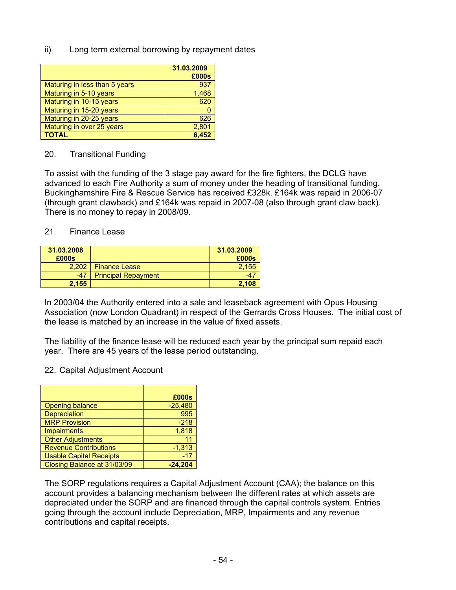ii) Long term external borrowing by repayment dates

|                               | 31.03.2009<br>£000s |
|-------------------------------|---------------------|
| Maturing in less than 5 years | 937                 |
| Maturing in 5-10 years        | 1,468               |
| Maturing in 10-15 years       | 620                 |
| Maturing in 15-20 years       |                     |
| Maturing in 20-25 years       | 626                 |
| Maturing in over 25 years     | 2,801               |
| <b>TOTAL</b>                  | 6.452               |

#### 20. Transitional Funding

To assist with the funding of the 3 stage pay award for the fire fighters, the DCLG have advanced to each Fire Authority a sum of money under the heading of transitional funding. Buckinghamshire Fire & Rescue Service has received £328k. £164k was repaid in 2006-07 (through grant clawback) and £164k was repaid in 2007-08 (also through grant claw back). There is no money to repay in 2008/09.

#### 21. Finance Lease

| 31.03.2008<br>£000s |                            | 31.03.2009<br>£000s |
|---------------------|----------------------------|---------------------|
| 2.202               | <b>Finance Lease</b>       | 2.155               |
| $-47$               | <b>Principal Repayment</b> |                     |
| 2.155               |                            | 2.108               |

In 2003/04 the Authority entered into a sale and leaseback agreement with Opus Housing Association (now London Quadrant) in respect of the Gerrards Cross Houses. The initial cost of the lease is matched by an increase in the value of fixed assets.

The liability of the finance lease will be reduced each year by the principal sum repaid each year. There are 45 years of the lease period outstanding.

#### 22. Capital Adjustment Account

|                                | £000s     |
|--------------------------------|-----------|
| <b>Opening balance</b>         | $-25,480$ |
| <b>Depreciation</b>            | 995       |
| <b>MRP Provision</b>           | $-218$    |
| <b>Impairments</b>             | 1,818     |
| <b>Other Adjustments</b>       | 11        |
| <b>Revenue Contributions</b>   | $-1,313$  |
| <b>Usable Capital Receipts</b> | $-17$     |
| Closing Balance at 31/03/09    |           |

The SORP regulations requires a Capital Adjustment Account (CAA); the balance on this account provides a balancing mechanism between the different rates at which assets are depreciated under the SORP and are financed through the capital controls system. Entries going through the account include Depreciation, MRP, Impairments and any revenue contributions and capital receipts.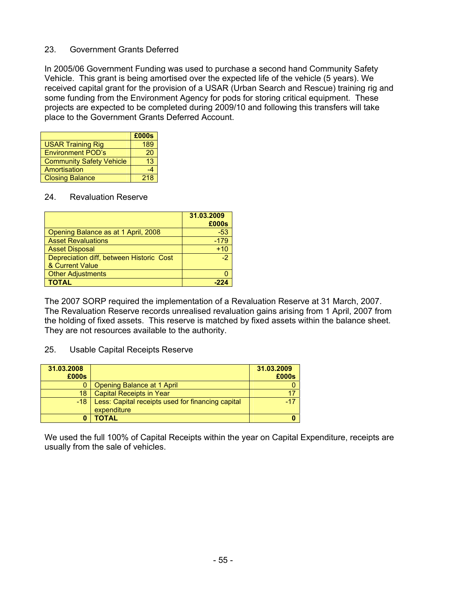#### 23. Government Grants Deferred

In 2005/06 Government Funding was used to purchase a second hand Community Safety Vehicle. This grant is being amortised over the expected life of the vehicle (5 years). We received capital grant for the provision of a USAR (Urban Search and Rescue) training rig and some funding from the Environment Agency for pods for storing critical equipment. These projects are expected to be completed during 2009/10 and following this transfers will take place to the Government Grants Deferred Account.

|                                 | £000s |
|---------------------------------|-------|
| <b>USAR Training Rig</b>        | 189   |
| <b>Environment POD's</b>        | 20    |
| <b>Community Safety Vehicle</b> | 13    |
| Amortisation                    |       |
| <b>Closing Balance</b>          | 218   |

#### 24. Revaluation Reserve

|                                          | 31.03.2009 |
|------------------------------------------|------------|
|                                          | £000s      |
| Opening Balance as at 1 April, 2008      | $-53$      |
| <b>Asset Revaluations</b>                | $-179$     |
| <b>Asset Disposal</b>                    | $+10$      |
| Depreciation diff, between Historic Cost | $-2^{1}$   |
| & Current Value                          |            |
| <b>Other Adjustments</b>                 |            |
| <b>TOTAL</b>                             |            |

The 2007 SORP required the implementation of a Revaluation Reserve at 31 March, 2007. The Revaluation Reserve records unrealised revaluation gains arising from 1 April, 2007 from the holding of fixed assets. This reserve is matched by fixed assets within the balance sheet. They are not resources available to the authority.

#### 25. Usable Capital Receipts Reserve

| 31.03.2008 |                                                                  | 31.03.2009 |
|------------|------------------------------------------------------------------|------------|
| £000s      |                                                                  | £000s      |
|            | Opening Balance at 1 April                                       |            |
| 18         | <b>Capital Receipts in Year</b>                                  |            |
| -18        | Less: Capital receipts used for financing capital<br>expenditure | $-17$      |
|            | ΤΟΤΑL                                                            |            |

We used the full 100% of Capital Receipts within the year on Capital Expenditure, receipts are usually from the sale of vehicles.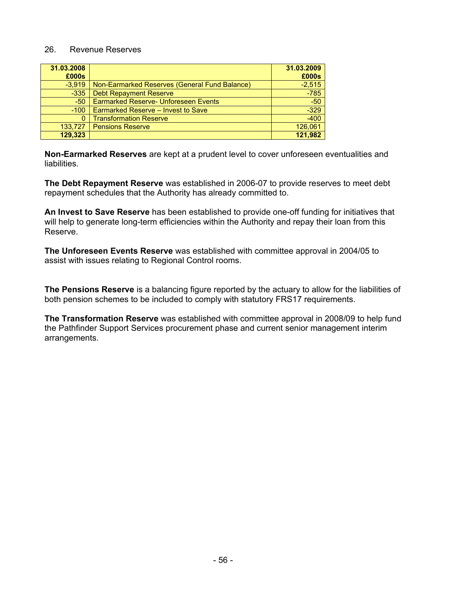#### 26. Revenue Reserves

| 31.03.2008<br>£000s |                                               | 31.03.2009<br>£000s |
|---------------------|-----------------------------------------------|---------------------|
| $-3.919$            | Non-Earmarked Reserves (General Fund Balance) | $-2,515$            |
| $-335$              | <b>Debt Repayment Reserve</b>                 | $-785$              |
| $-50$               | <b>Earmarked Reserve- Unforeseen Events</b>   | $-50$               |
| $-100$              | Earmarked Reserve - Invest to Save            | $-329$              |
| 0                   | <b>Transformation Reserve</b>                 | $-400$              |
| 133.727             | <b>Pensions Reserve</b>                       | 126,061             |
| 129,323             |                                               | 121,982             |

**Non-Earmarked Reserves** are kept at a prudent level to cover unforeseen eventualities and liabilities.

**The Debt Repayment Reserve** was established in 2006-07 to provide reserves to meet debt repayment schedules that the Authority has already committed to.

**An Invest to Save Reserve** has been established to provide one-off funding for initiatives that will help to generate long-term efficiencies within the Authority and repay their loan from this Reserve.

**The Unforeseen Events Reserve** was established with committee approval in 2004/05 to assist with issues relating to Regional Control rooms.

**The Pensions Reserve** is a balancing figure reported by the actuary to allow for the liabilities of both pension schemes to be included to comply with statutory FRS17 requirements.

**The Transformation Reserve** was established with committee approval in 2008/09 to help fund the Pathfinder Support Services procurement phase and current senior management interim arrangements.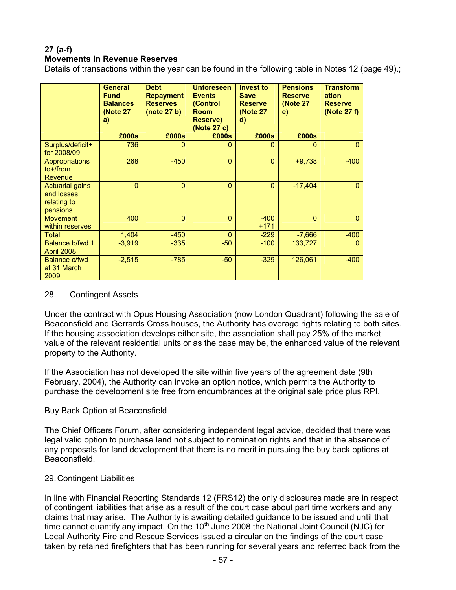# **27 (a-f)**

#### **Movements in Revenue Reserves**

Details of transactions within the year can be found in the following table in Notes 12 (page 49).;

|                                                                 | <b>General</b><br><b>Fund</b><br><b>Balances</b><br><b>(Note 27)</b><br>a) | <b>Debt</b><br><b>Repayment</b><br><b>Reserves</b><br>(note 27 b) | <b>Unforeseen</b><br><b>Events</b><br>(Control<br><b>Room</b><br>Reserve)<br>(Note 27 c) | <b>Invest to</b><br><b>Save</b><br><b>Reserve</b><br><b>(Note 27)</b><br>d) | <b>Pensions</b><br><b>Reserve</b><br>(Note 27<br>e) | <b>Transform</b><br>ation<br><b>Reserve</b><br>(Note 27 f) |
|-----------------------------------------------------------------|----------------------------------------------------------------------------|-------------------------------------------------------------------|------------------------------------------------------------------------------------------|-----------------------------------------------------------------------------|-----------------------------------------------------|------------------------------------------------------------|
|                                                                 | £000s                                                                      | £000s                                                             | £000s                                                                                    | £000s                                                                       | £000s                                               |                                                            |
| Surplus/deficit+<br>for 2008/09                                 | 736                                                                        | $\Omega$                                                          | $\mathbf{0}$                                                                             | 0                                                                           | $\mathbf{0}$                                        | $\Omega$                                                   |
| <b>Appropriations</b><br>$to+$ /from<br>Revenue                 | 268                                                                        | $-450$                                                            | $\Omega$                                                                                 | $\Omega$                                                                    | $+9,738$                                            | $-400$                                                     |
| <b>Actuarial gains</b><br>and losses<br>relating to<br>pensions | $\overline{0}$                                                             | $\overline{0}$                                                    | $\mathbf{0}$                                                                             | $\mathbf{0}$                                                                | $-17,404$                                           | $\Omega$                                                   |
| <b>Movement</b><br>within reserves                              | 400                                                                        | $\mathbf{0}$                                                      | $\Omega$                                                                                 | $-400$<br>$+171$                                                            | $\overline{0}$                                      | $\overline{0}$                                             |
| Total                                                           | 1,404                                                                      | $-450$                                                            | $\Omega$                                                                                 | $-229$                                                                      | $-7,666$                                            | $-400$                                                     |
| Balance b/fwd 1<br>April 2008                                   | $-3.919$                                                                   | $-335$                                                            | $-50$                                                                                    | $-100$                                                                      | 133,727                                             | 0                                                          |
| Balance c/fwd<br>at 31 March<br>2009                            | $-2,515$                                                                   | $-785$                                                            | $-50$                                                                                    | $-329$                                                                      | 126,061                                             | $-400$                                                     |

#### 28. Contingent Assets

Under the contract with Opus Housing Association (now London Quadrant) following the sale of Beaconsfield and Gerrards Cross houses, the Authority has overage rights relating to both sites. If the housing association develops either site, the association shall pay 25% of the market value of the relevant residential units or as the case may be, the enhanced value of the relevant property to the Authority.

If the Association has not developed the site within five years of the agreement date (9th February, 2004), the Authority can invoke an option notice, which permits the Authority to purchase the development site free from encumbrances at the original sale price plus RPI.

#### Buy Back Option at Beaconsfield

The Chief Officers Forum, after considering independent legal advice, decided that there was legal valid option to purchase land not subject to nomination rights and that in the absence of any proposals for land development that there is no merit in pursuing the buy back options at Beaconsfield.

#### 29. Contingent Liabilities

In line with Financial Reporting Standards 12 (FRS12) the only disclosures made are in respect of contingent liabilities that arise as a result of the court case about part time workers and any claims that may arise. The Authority is awaiting detailed guidance to be issued and until that time cannot quantify any impact. On the  $10<sup>th</sup>$  June 2008 the National Joint Council (NJC) for Local Authority Fire and Rescue Services issued a circular on the findings of the court case taken by retained firefighters that has been running for several years and referred back from the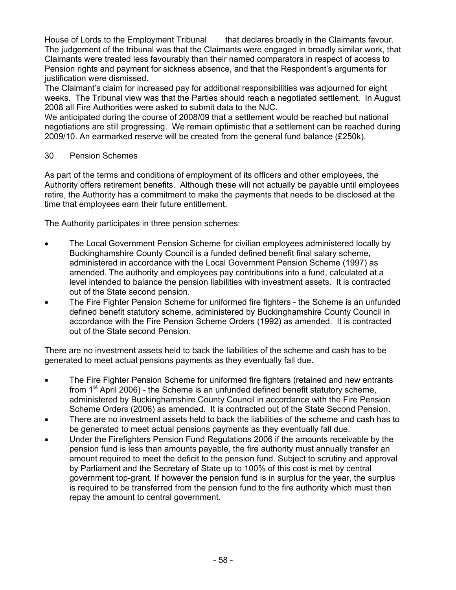House of Lords to the Employment Tribunal that declares broadly in the Claimants favour. The judgement of the tribunal was that the Claimants were engaged in broadly similar work, that Claimants were treated less favourably than their named comparators in respect of access to Pension rights and payment for sickness absence, and that the Respondent's arguments for justification were dismissed.

The Claimant's claim for increased pay for additional responsibilities was adjourned for eight weeks. The Tribunal view was that the Parties should reach a negotiated settlement. In August 2008 all Fire Authorities were asked to submit data to the NJC.

We anticipated during the course of 2008/09 that a settlement would be reached but national negotiations are still progressing. We remain optimistic that a settlement can be reached during 2009/10. An earmarked reserve will be created from the general fund balance (£250k).

### 30. Pension Schemes

As part of the terms and conditions of employment of its officers and other employees, the Authority offers retirement benefits. Although these will not actually be payable until employees retire, the Authority has a commitment to make the payments that needs to be disclosed at the time that employees earn their future entitlement.

The Authority participates in three pension schemes:

- The Local Government Pension Scheme for civilian employees administered locally by Buckinghamshire County Council is a funded defined benefit final salary scheme, administered in accordance with the Local Government Pension Scheme (1997) as amended. The authority and employees pay contributions into a fund, calculated at a level intended to balance the pension liabilities with investment assets. It is contracted out of the State second pension.
- The Fire Fighter Pension Scheme for uniformed fire fighters the Scheme is an unfunded defined benefit statutory scheme, administered by Buckinghamshire County Council in accordance with the Fire Pension Scheme Orders (1992) as amended. It is contracted out of the State second Pension.

There are no investment assets held to back the liabilities of the scheme and cash has to be generated to meet actual pensions payments as they eventually fall due.

- The Fire Fighter Pension Scheme for uniformed fire fighters (retained and new entrants from  $1<sup>st</sup>$  April 2006) - the Scheme is an unfunded defined benefit statutory scheme, administered by Buckinghamshire County Council in accordance with the Fire Pension Scheme Orders (2006) as amended. It is contracted out of the State Second Pension.
- There are no investment assets held to back the liabilities of the scheme and cash has to be generated to meet actual pensions payments as they eventually fall due.
- Under the Firefighters Pension Fund Regulations 2006 if the amounts receivable by the pension fund is less than amounts payable, the fire authority must annually transfer an amount required to meet the deficit to the pension fund. Subject to scrutiny and approval by Parliament and the Secretary of State up to 100% of this cost is met by central government top-grant. If however the pension fund is in surplus for the year, the surplus is required to be transferred from the pension fund to the fire authority which must then repay the amount to central government.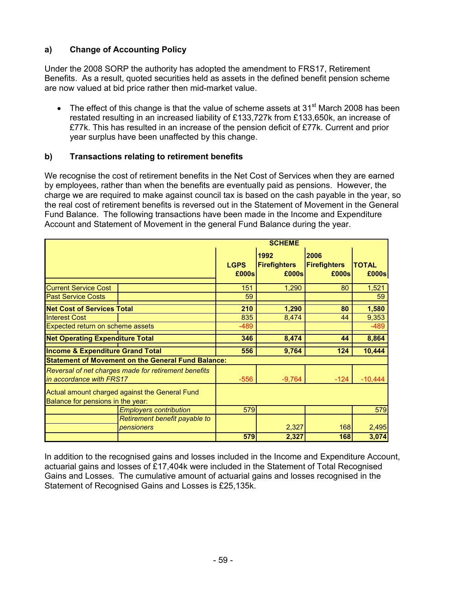## **a) Change of Accounting Policy**

Under the 2008 SORP the authority has adopted the amendment to FRS17, Retirement Benefits. As a result, quoted securities held as assets in the defined benefit pension scheme are now valued at bid price rather then mid-market value.

• The effect of this change is that the value of scheme assets at 31<sup>st</sup> March 2008 has been restated resulting in an increased liability of £133,727k from £133,650k, an increase of £77k. This has resulted in an increase of the pension deficit of £77k. Current and prior year surplus have been unaffected by this change.

### **b) Transactions relating to retirement benefits**

We recognise the cost of retirement benefits in the Net Cost of Services when they are earned by employees, rather than when the benefits are eventually paid as pensions. However, the charge we are required to make against council tax is based on the cash payable in the year, so the real cost of retirement benefits is reversed out in the Statement of Movement in the General Fund Balance. The following transactions have been made in the Income and Expenditure Account and Statement of Movement in the general Fund Balance during the year.

|                                                           |             | <b>SCHEME</b>       |                     |              |
|-----------------------------------------------------------|-------------|---------------------|---------------------|--------------|
|                                                           |             | 1992                | 2006                |              |
|                                                           | <b>LGPS</b> | <b>Firefighters</b> | <b>Firefighters</b> | <b>TOTAL</b> |
|                                                           | £000s       | £000s               | £000s               | £000s        |
| <b>Current Service Cost</b>                               | 151         | 1,290               | 80                  | 1,521        |
| <b>Past Service Costs</b>                                 | 59          |                     |                     | 59           |
| <b>Net Cost of Services Total</b>                         | 210         | 1,290               | 80                  | 1,580        |
| <b>Interest Cost</b>                                      | 835         | 8,474               | 44                  | 9,353        |
| Expected return on scheme assets                          | $-489$      |                     |                     | $-489$       |
| <b>Net Operating Expenditure Total</b>                    | 346         | 8,474               | 44                  | 8,864        |
| <b>Income &amp; Expenditure Grand Total</b>               | 556         | 9,764               | 124                 | 10,444       |
| <b>Statement of Movement on the General Fund Balance:</b> |             |                     |                     |              |
| Reversal of net charges made for retirement benefits      |             |                     |                     |              |
| in accordance with FRS17                                  | $-556$      | $-9,764$            | $-124$              | $-10,444$    |
| Actual amount charged against the General Fund            |             |                     |                     |              |
| Balance for pensions in the year:                         |             |                     |                     |              |
| <b>Employers contribution</b>                             | 579         |                     |                     | 579          |
| Retirement benefit payable to                             |             |                     |                     |              |
| pensioners                                                |             | 2,327               | 168                 | 2,495        |
|                                                           | 579         | 2,327               | 168                 | 3,074        |

In addition to the recognised gains and losses included in the Income and Expenditure Account, actuarial gains and losses of £17,404k were included in the Statement of Total Recognised Gains and Losses. The cumulative amount of actuarial gains and losses recognised in the Statement of Recognised Gains and Losses is £25,135k.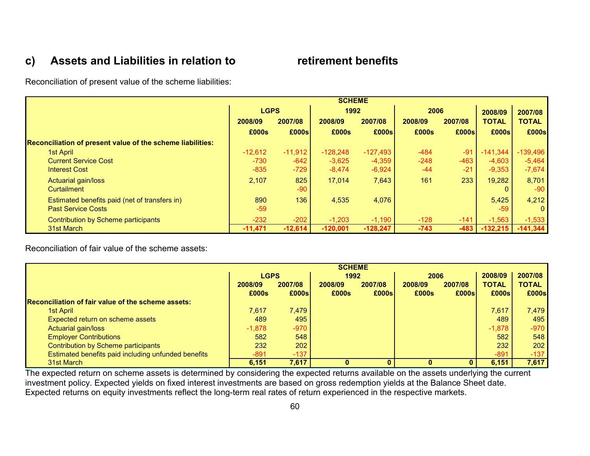# **c) Assets and Liabilities in relation to retirement benefits**

Reconciliation of present value of the scheme liabilities:

|                                                            | <b>SCHEME</b> |           |            |            |         |         |              |              |
|------------------------------------------------------------|---------------|-----------|------------|------------|---------|---------|--------------|--------------|
|                                                            | <b>LGPS</b>   |           | 1992       |            | 2006    |         | 2008/09      | 2007/08      |
|                                                            | 2008/09       | 2007/08   | 2008/09    | 2007/08    | 2008/09 | 2007/08 | <b>TOTAL</b> | <b>TOTAL</b> |
|                                                            | £000s         | £000s     | £000s      | E000s      | £000s   | E000s   | £000s        | £000s        |
| Reconciliation of present value of the scheme liabilities: |               |           |            |            |         |         |              |              |
| 1st April                                                  | $-12.612$     | $-11,912$ | $-128.248$ | $-127,493$ | $-484$  | $-91$   | $-141.344$   | $-139.496$   |
| <b>Current Service Cost</b>                                | $-730$        | $-642$    | $-3,625$   | $-4,359$   | $-248$  | $-463$  | $-4,603$     | $-5,464$     |
| <b>Interest Cost</b>                                       | $-835$        | $-729$    | $-8,474$   | $-6,924$   | $-44$   | $-21$   | $-9,353$     | $-7,674$     |
| Actuarial gain/loss                                        | 2,107         | 825       | 17,014     | 7,643      | 161     | 233     | 19,282       | 8,701        |
| <b>Curtailment</b>                                         |               | $-90$     |            |            |         |         |              | $-90$        |
| Estimated benefits paid (net of transfers in)              | 890           | 136       | 4,535      | 4,076      |         |         | 5,425        | 4,212        |
| <b>Past Service Costs</b>                                  | $-59$         |           |            |            |         |         | $-59$        | $\Omega$     |
| Contribution by Scheme participants                        | $-232$        | $-202$    | $-1,203$   | $-1,190$   | $-128$  | $-141$  | $-1,563$     | $-1,533$     |
| 31st March                                                 | $-11,471$     | $-12,614$ | $-120.001$ | $-128,247$ | $-743$  | $-483$  | $-132,215$   | $-141,344$   |

Reconciliation of fair value of the scheme assets:

|                                                     | <b>SCHEME</b> |         |         |         |         |         |              |              |
|-----------------------------------------------------|---------------|---------|---------|---------|---------|---------|--------------|--------------|
|                                                     | <b>LGPS</b>   |         | 1992    |         | 2006    |         | 2008/09      | 2007/08      |
|                                                     | 2008/09       | 2007/08 | 2008/09 | 2007/08 | 2008/09 | 2007/08 | <b>TOTAL</b> | <b>TOTAL</b> |
|                                                     | £000s         | £000s   | £000s   | E000s   | £000s   | E000s   | £000s        | E000s        |
| Reconciliation of fair value of the scheme assets:  |               |         |         |         |         |         |              |              |
| 1st April                                           | 7.617         | 7,479   |         |         |         |         | 7,617        | 7.479        |
| Expected return on scheme assets                    | 489           | 495     |         |         |         |         | 489          | 495          |
| Actuarial gain/loss                                 | $-1,878$      | $-970$  |         |         |         |         | $-1,878$     | $-970$       |
| <b>Employer Contributions</b>                       | 582           | 548     |         |         |         |         | 582          | 548          |
| Contribution by Scheme participants                 | 232           | 202     |         |         |         |         | 232          | 202          |
| Estimated benefits paid including unfunded benefits | $-891$        | $-137$  |         |         |         |         | $-891$       | $-137$       |
| 31st March                                          | 6,151         | 7,617   |         |         |         |         | 6,151        | 7,617        |

The expected return on scheme assets is determined by considering the expected returns available on the assets underlying the current investment policy. Expected yields on fixed interest investments are based on gross redemption yields at the Balance Sheet date. Expected returns on equity investments reflect the long-term real rates of return experienced in the respective markets.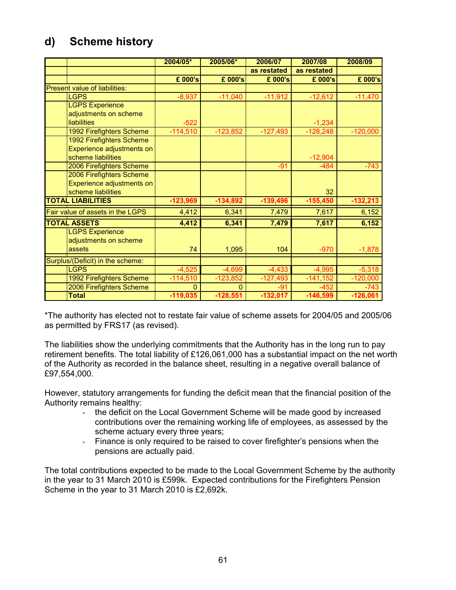# **d) Scheme history**

|                                      | 2004/05*     | 2005/06*   | 2006/07     | 2007/08     | 2008/09    |
|--------------------------------------|--------------|------------|-------------|-------------|------------|
|                                      |              |            | as restated | as restated |            |
|                                      | £ 000's      | £ 000's    | £ 000's     | £ 000's     | £ 000's    |
| <b>Present value of liabilities:</b> |              |            |             |             |            |
| <b>LGPS</b>                          | $-8,937$     | $-11,040$  | $-11,912$   | $-12,612$   | $-11,470$  |
| <b>LGPS Experience</b>               |              |            |             |             |            |
| adjustments on scheme                |              |            |             |             |            |
| <b>liabilities</b>                   | $-522$       |            |             | $-1,234$    |            |
| <b>1992 Firefighters Scheme</b>      | $-114,510$   | $-123,852$ | $-127,493$  | $-128,248$  | $-120,000$ |
| <b>1992 Firefighters Scheme</b>      |              |            |             |             |            |
| Experience adjustments on            |              |            |             |             |            |
| scheme liabilities                   |              |            |             | $-12,904$   |            |
| 2006 Firefighters Scheme             |              |            | $-91$       | $-484$      | $-743$     |
| 2006 Firefighters Scheme             |              |            |             |             |            |
| Experience adjustments on            |              |            |             |             |            |
| scheme liabilities                   |              |            |             | 32          |            |
| <b>TOTAL LIABILITIES</b>             | $-123,969$   | $-134,892$ | $-139,496$  | $-155,450$  | $-132,213$ |
| Fair value of assets in the LGPS     | 4,412        | 6,341      | 7,479       | 7,617       | 6,152      |
| <b>TOTAL ASSETS</b>                  | 4,412        | 6,341      | 7,479       | 7,617       | 6,152      |
| <b>LGPS Experience</b>               |              |            |             |             |            |
| adjustments on scheme                |              |            |             |             |            |
| assets                               | 74           | 1,095      | 104         | $-970$      | $-1,878$   |
| Surplus/(Deficit) in the scheme:     |              |            |             |             |            |
| <b>I GPS</b>                         | $-4,525$     | $-4,699$   | $-4,433$    | $-4,995$    | $-5,318$   |
| 1992 Firefighters Scheme             | $-114,510$   | $-123,852$ | $-127,493$  | $-141,152$  | $-120,000$ |
| 2006 Firefighters Scheme             | $\mathbf{0}$ | $\Omega$   | $-91$       | $-452$      | $-743$     |
| <b>Total</b>                         | $-119,035$   | $-128,551$ | $-132,017$  | $-146,599$  | $-126,061$ |

\*The authority has elected not to restate fair value of scheme assets for 2004/05 and 2005/06 as permitted by FRS17 (as revised).

The liabilities show the underlying commitments that the Authority has in the long run to pay retirement benefits. The total liability of £126,061,000 has a substantial impact on the net worth of the Authority as recorded in the balance sheet, resulting in a negative overall balance of £97,554,000.

However, statutory arrangements for funding the deficit mean that the financial position of the Authority remains healthy:

- the deficit on the Local Government Scheme will be made good by increased contributions over the remaining working life of employees, as assessed by the scheme actuary every three years;
- Finance is only required to be raised to cover firefighter's pensions when the pensions are actually paid.

The total contributions expected to be made to the Local Government Scheme by the authority in the year to 31 March 2010 is £599k. Expected contributions for the Firefighters Pension Scheme in the year to 31 March 2010 is £2,692k.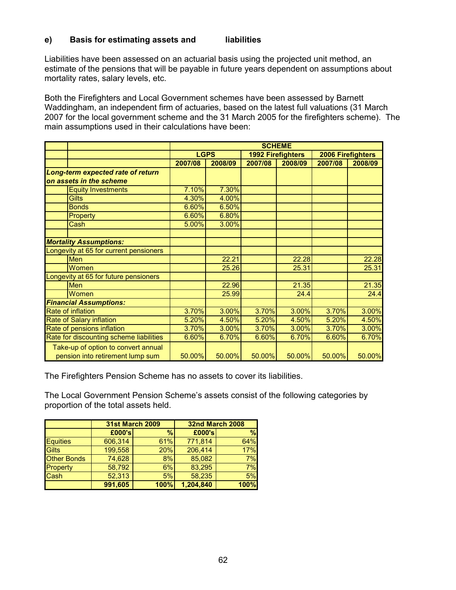#### **e) Basis for estimating assets and liabilities**

Liabilities have been assessed on an actuarial basis using the projected unit method, an estimate of the pensions that will be payable in future years dependent on assumptions about mortality rates, salary levels, etc.

Both the Firefighters and Local Government schemes have been assessed by Barnett Waddingham, an independent firm of actuaries, based on the latest full valuations (31 March 2007 for the local government scheme and the 31 March 2005 for the firefighters scheme). The main assumptions used in their calculations have been:

|                                                                         | <b>SCHEME</b> |         |         |                          |                   |         |
|-------------------------------------------------------------------------|---------------|---------|---------|--------------------------|-------------------|---------|
|                                                                         | <b>LGPS</b>   |         |         | <b>1992 Firefighters</b> | 2006 Firefighters |         |
|                                                                         | 2007/08       | 2008/09 | 2007/08 | 2008/09                  | 2007/08           | 2008/09 |
| Long-term expected rate of return                                       |               |         |         |                          |                   |         |
| on assets in the scheme                                                 |               |         |         |                          |                   |         |
| <b>Equity Investments</b>                                               | 7.10%         | 7.30%   |         |                          |                   |         |
| <b>Gilts</b>                                                            | 4.30%         | 4.00%   |         |                          |                   |         |
| <b>Bonds</b>                                                            | 6.60%         | 6.50%   |         |                          |                   |         |
| Property                                                                | 6.60%         | 6.80%   |         |                          |                   |         |
| Cash                                                                    | 5.00%         | 3.00%   |         |                          |                   |         |
|                                                                         |               |         |         |                          |                   |         |
| <b>Mortality Assumptions:</b>                                           |               |         |         |                          |                   |         |
| Longevity at 65 for current pensioners                                  |               |         |         |                          |                   |         |
| Men                                                                     |               | 22.21   |         | 22.28                    |                   | 22.28   |
| Women                                                                   |               | 25.26   |         | 25.31                    |                   | 25.31   |
| Longevity at 65 for future pensioners                                   |               |         |         |                          |                   |         |
| Men                                                                     |               | 22.96   |         | 21.35                    |                   | 21.35   |
| Women                                                                   |               | 25.99   |         | 24.4                     |                   | 24.4    |
| <b>Financial Assumptions:</b>                                           |               |         |         |                          |                   |         |
| <b>Rate of inflation</b>                                                | 3.70%         | 3.00%   | 3.70%   | 3.00%                    | 3.70%             | 3.00%   |
| Rate of Salary inflation                                                | 5.20%         | 4.50%   | 5.20%   | 4.50%                    | 5.20%             | 4.50%   |
| Rate of pensions inflation                                              | 3.70%         | 3.00%   | 3.70%   | 3.00%                    | 3.70%             | 3.00%   |
| Rate for discounting scheme liabilities                                 | 6.60%         | 6.70%   | 6.60%   | 6.70%                    | 6.60%             | 6.70%   |
| Take-up of option to convert annual<br>pension into retirement lump sum | 50.00%        | 50.00%  | 50.00%  | 50.00%                   | 50.00%            | 50.00%  |

The Firefighters Pension Scheme has no assets to cover its liabilities.

The Local Government Pension Scheme's assets consist of the following categories by proportion of the total assets held.

|                    | <b>31st March 2009</b> |      |           | <b>32nd March 2008</b> |
|--------------------|------------------------|------|-----------|------------------------|
|                    | £000's                 | %    | £000's    | %                      |
| <b>Equities</b>    | 606,314                | 61%  | 771,814   | 64%                    |
| <b>Gilts</b>       | 199,558                | 20%  | 206,414   | 17%                    |
| <b>Other Bonds</b> | 74,628                 | 8%   | 85,082    | 7%                     |
| Property           | 58,792                 | 6%   | 83,295    | 7%                     |
| Cash               | 52,313                 | 5%   | 58,235    | 5%                     |
|                    | 991,605                | 100% | 1,204,840 | 100%                   |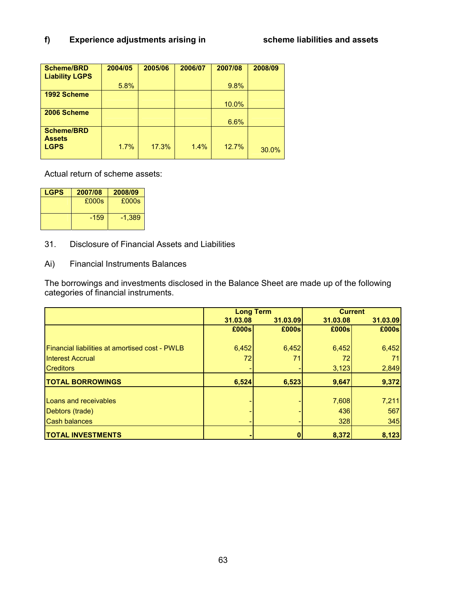## **f) Experience adjustments arising in scheme liabilities and assets**

| <b>Scheme/BRD</b>     | 2004/05 | 2005/06 | 2006/07 | 2007/08 | 2008/09 |
|-----------------------|---------|---------|---------|---------|---------|
| <b>Liability LGPS</b> |         |         |         |         |         |
|                       | 5.8%    |         |         | 9.8%    |         |
| 1992 Scheme           |         |         |         |         |         |
|                       |         |         |         | 10.0%   |         |
| 2006 Scheme           |         |         |         |         |         |
|                       |         |         |         | 6.6%    |         |
| <b>Scheme/BRD</b>     |         |         |         |         |         |
| <b>Assets</b>         |         |         |         |         |         |
| <b>LGPS</b>           | 1.7%    | 17.3%   | 1.4%    | 12.7%   | 30.0%   |
|                       |         |         |         |         |         |

Actual return of scheme assets:

| <b>LGPS</b> | 2007/08 | 2008/09  |
|-------------|---------|----------|
|             | £000s   | £000s    |
|             | $-159$  | $-1,389$ |

31. Disclosure of Financial Assets and Liabilities

Ai) Financial Instruments Balances

The borrowings and investments disclosed in the Balance Sheet are made up of the following categories of financial instruments.

|                                                       |          | <b>Long Term</b> |          | <b>Current</b> |
|-------------------------------------------------------|----------|------------------|----------|----------------|
|                                                       | 31.03.08 | 31.03.09         | 31.03.08 | 31.03.09       |
|                                                       | £000s    | £000s            | £000s    | £000s          |
|                                                       |          |                  |          |                |
| <b>Financial liabilities at amortised cost - PWLB</b> | 6,452    | 6,452            | 6,452    | 6,452          |
| <b>Interest Accrual</b>                               | 72       | 71               | 72       | 71             |
| <b>Creditors</b>                                      |          |                  | 3,123    | 2,849          |
| <b>TOTAL BORROWINGS</b>                               | 6,524    | 6,523            | 9,647    | 9,372          |
|                                                       |          |                  |          |                |
| Loans and receivables                                 |          |                  | 7,608    | 7,211          |
| Debtors (trade)                                       |          |                  | 436      | 567            |
| <b>Cash balances</b>                                  |          |                  | 328      | 345            |
| <b>TOTAL INVESTMENTS</b>                              |          |                  | 8,372    | 8,123          |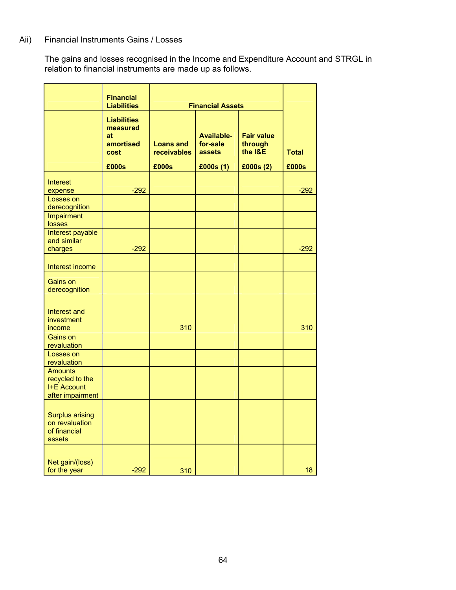## Aii) Financial Instruments Gains / Losses

The gains and losses recognised in the Income and Expenditure Account and STRGL in relation to financial instruments are made up as follows.

|                                                                             | <b>Financial</b><br><b>Liabilities</b>                    | <b>Financial Assets</b>         |                                                |                                         |              |
|-----------------------------------------------------------------------------|-----------------------------------------------------------|---------------------------------|------------------------------------------------|-----------------------------------------|--------------|
|                                                                             | <b>Liabilities</b><br>measured<br>at<br>amortised<br>cost | <b>Loans and</b><br>receivables | <b>Available-</b><br>for-sale<br><b>assets</b> | <b>Fair value</b><br>through<br>the I&E | <b>Total</b> |
|                                                                             | £000s                                                     | £000s                           | E000s(1)                                       | £000s(2)                                | £000s        |
| <b>Interest</b><br>expense                                                  | $-292$                                                    |                                 |                                                |                                         | $-292$       |
| Losses on<br>derecognition                                                  |                                                           |                                 |                                                |                                         |              |
| Impairment<br>losses                                                        |                                                           |                                 |                                                |                                         |              |
| Interest payable<br>and similar<br>charges                                  | $-292$                                                    |                                 |                                                |                                         | $-292$       |
| Interest income                                                             |                                                           |                                 |                                                |                                         |              |
| Gains on<br>derecognition                                                   |                                                           |                                 |                                                |                                         |              |
| Interest and<br>investment<br>income                                        |                                                           | 310                             |                                                |                                         | 310          |
| Gains on<br>revaluation                                                     |                                                           |                                 |                                                |                                         |              |
| Losses on<br>revaluation                                                    |                                                           |                                 |                                                |                                         |              |
| <b>Amounts</b><br>recycled to the<br><b>I+E Account</b><br>after impairment |                                                           |                                 |                                                |                                         |              |
| <b>Surplus arising</b><br>on revaluation<br>of financial<br>assets          |                                                           |                                 |                                                |                                         |              |
| Net gain/(loss)<br>for the year                                             | $-292$                                                    | 310                             |                                                |                                         | 18           |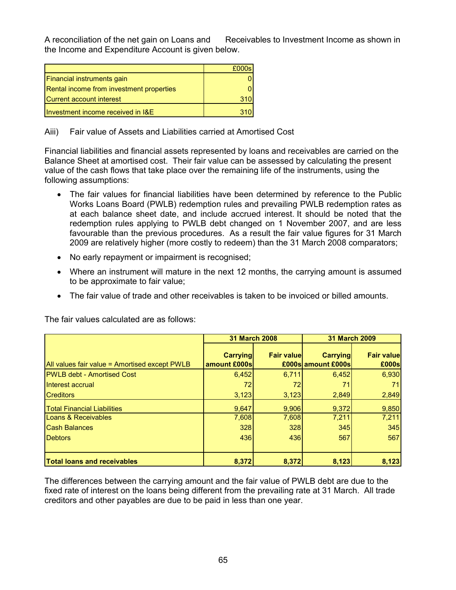A reconciliation of the net gain on Loans and Receivables to Investment Income as shown in the Income and Expenditure Account is given below.

|                                          | £000s |
|------------------------------------------|-------|
| Financial instruments gain               |       |
| Rental income from investment properties |       |
| Current account interest                 |       |
| Investment income received in I&E        |       |

#### Aiii) Fair value of Assets and Liabilities carried at Amortised Cost

Financial liabilities and financial assets represented by loans and receivables are carried on the Balance Sheet at amortised cost. Their fair value can be assessed by calculating the present value of the cash flows that take place over the remaining life of the instruments, using the following assumptions:

- The fair values for financial liabilities have been determined by reference to the Public Works Loans Board (PWLB) redemption rules and prevailing PWLB redemption rates as at each balance sheet date, and include accrued interest. It should be noted that the redemption rules applying to PWLB debt changed on 1 November 2007, and are less favourable than the previous procedures. As a result the fair value figures for 31 March 2009 are relatively higher (more costly to redeem) than the 31 March 2008 comparators;
- No early repayment or impairment is recognised;
- Where an instrument will mature in the next 12 months, the carrying amount is assumed to be approximate to fair value;
- The fair value of trade and other receivables is taken to be invoiced or billed amounts.

The fair values calculated are as follows:

|                                               |                                  | <b>31 March 2008</b> |                                       | <b>31 March 2009</b>       |
|-----------------------------------------------|----------------------------------|----------------------|---------------------------------------|----------------------------|
| All values fair value = Amortised except PWLB | <b>Carrying</b><br>amount £000sl | <b>Fair value</b>    | <b>Carrying</b><br>£000s amount £000s | <b>Fair value</b><br>£000s |
| <b>PWLB debt - Amortised Cost</b>             | 6,452                            | 6,711                | 6,452                                 | 6,930                      |
| Interest accrual                              | 72                               | 72                   | 71                                    | 71                         |
| <b>Creditors</b>                              | 3,123                            | 3,123                | 2,849                                 | 2,849                      |
| <b>Total Financial Liabilities</b>            | 9,647                            | 9.906                | 9,372                                 | 9,850                      |
| Loans & Receivables                           | 7,608                            | 7,608                | 7,211                                 | 7,211                      |
| <b>Cash Balances</b>                          | 328                              | 328                  | 345                                   | 345                        |
| <b>Debtors</b>                                | 436                              | 436                  | 567                                   | 567                        |
|                                               |                                  |                      |                                       |                            |
| <b>Total loans and receivables</b>            | 8,372                            | 8,372                | 8,123                                 | 8,123                      |

The differences between the carrying amount and the fair value of PWLB debt are due to the fixed rate of interest on the loans being different from the prevailing rate at 31 March. All trade creditors and other payables are due to be paid in less than one year.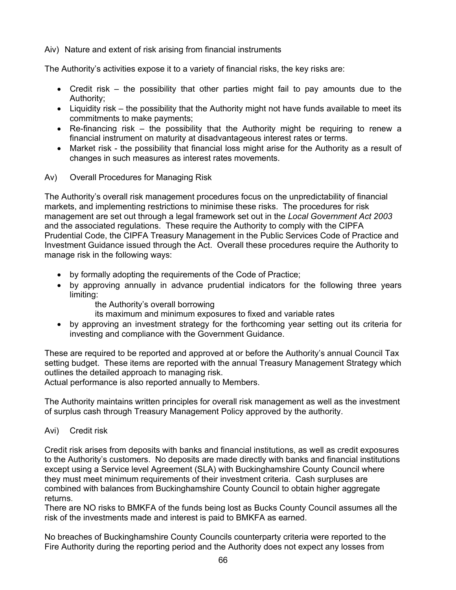Aiv) Nature and extent of risk arising from financial instruments

The Authority's activities expose it to a variety of financial risks, the key risks are:

- Credit risk the possibility that other parties might fail to pay amounts due to the Authority;
- Liquidity risk the possibility that the Authority might not have funds available to meet its commitments to make payments;
- Re-financing risk the possibility that the Authority might be requiring to renew a financial instrument on maturity at disadvantageous interest rates or terms.
- Market risk the possibility that financial loss might arise for the Authority as a result of changes in such measures as interest rates movements.
- Av) Overall Procedures for Managing Risk

The Authority's overall risk management procedures focus on the unpredictability of financial markets, and implementing restrictions to minimise these risks. The procedures for risk management are set out through a legal framework set out in the *Local Government Act 2003* and the associated regulations. These require the Authority to comply with the CIPFA Prudential Code, the CIPFA Treasury Management in the Public Services Code of Practice and Investment Guidance issued through the Act. Overall these procedures require the Authority to manage risk in the following ways:

- by formally adopting the requirements of the Code of Practice;
- by approving annually in advance prudential indicators for the following three years limiting:
	- the Authority's overall borrowing
	- its maximum and minimum exposures to fixed and variable rates
- by approving an investment strategy for the forthcoming year setting out its criteria for investing and compliance with the Government Guidance.

These are required to be reported and approved at or before the Authority's annual Council Tax setting budget. These items are reported with the annual Treasury Management Strategy which outlines the detailed approach to managing risk.

Actual performance is also reported annually to Members.

The Authority maintains written principles for overall risk management as well as the investment of surplus cash through Treasury Management Policy approved by the authority.

Avi) Credit risk

Credit risk arises from deposits with banks and financial institutions, as well as credit exposures to the Authority's customers. No deposits are made directly with banks and financial institutions except using a Service level Agreement (SLA) with Buckinghamshire County Council where they must meet minimum requirements of their investment criteria. Cash surpluses are combined with balances from Buckinghamshire County Council to obtain higher aggregate returns.

There are NO risks to BMKFA of the funds being lost as Bucks County Council assumes all the risk of the investments made and interest is paid to BMKFA as earned.

No breaches of Buckinghamshire County Councils counterparty criteria were reported to the Fire Authority during the reporting period and the Authority does not expect any losses from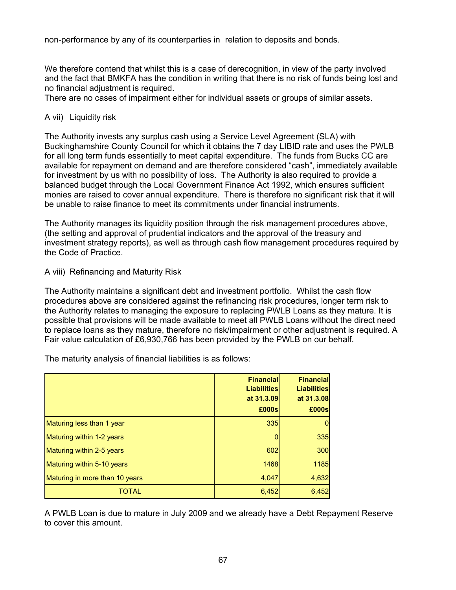non-performance by any of its counterparties in relation to deposits and bonds.

We therefore contend that whilst this is a case of derecognition, in view of the party involved and the fact that BMKFA has the condition in writing that there is no risk of funds being lost and no financial adjustment is required.

There are no cases of impairment either for individual assets or groups of similar assets.

#### A vii) Liquidity risk

The Authority invests any surplus cash using a Service Level Agreement (SLA) with Buckinghamshire County Council for which it obtains the 7 day LIBID rate and uses the PWLB for all long term funds essentially to meet capital expenditure. The funds from Bucks CC are available for repayment on demand and are therefore considered "cash", immediately available for investment by us with no possibility of loss. The Authority is also required to provide a balanced budget through the Local Government Finance Act 1992, which ensures sufficient monies are raised to cover annual expenditure. There is therefore no significant risk that it will be unable to raise finance to meet its commitments under financial instruments.

The Authority manages its liquidity position through the risk management procedures above, (the setting and approval of prudential indicators and the approval of the treasury and investment strategy reports), as well as through cash flow management procedures required by the Code of Practice.

A viii) Refinancing and Maturity Risk

The Authority maintains a significant debt and investment portfolio. Whilst the cash flow procedures above are considered against the refinancing risk procedures, longer term risk to the Authority relates to managing the exposure to replacing PWLB Loans as they mature. It is possible that provisions will be made available to meet all PWLB Loans without the direct need to replace loans as they mature, therefore no risk/impairment or other adjustment is required. A Fair value calculation of £6,930,766 has been provided by the PWLB on our behalf.

The maturity analysis of financial liabilities is as follows:

|                                | Financial<br><b>Liabilities</b><br>at 31.3.09<br>£000s | <b>Financial</b><br><b>Liabilities</b><br>at 31.3.08<br>£000s |
|--------------------------------|--------------------------------------------------------|---------------------------------------------------------------|
| Maturing less than 1 year      | <b>335</b>                                             |                                                               |
| Maturing within 1-2 years      | 0                                                      | 335                                                           |
| Maturing within 2-5 years      | 602                                                    | 300                                                           |
| Maturing within 5-10 years     | 1468                                                   | 1185                                                          |
| Maturing in more than 10 years | 4,047                                                  | 4,632                                                         |
| TOTAL                          | 6,452                                                  | 6,452                                                         |

A PWLB Loan is due to mature in July 2009 and we already have a Debt Repayment Reserve to cover this amount.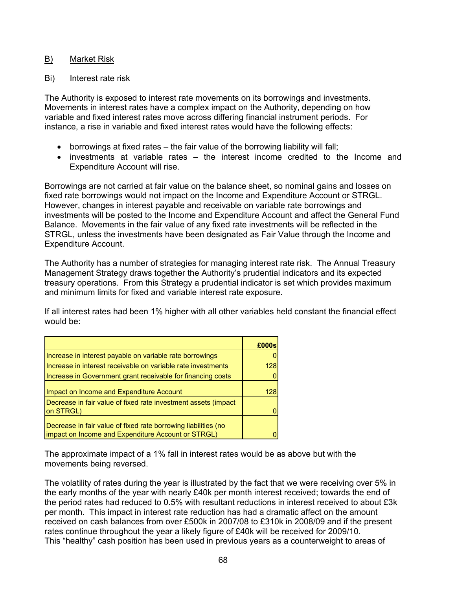#### B) Market Risk

#### Bi) Interest rate risk

The Authority is exposed to interest rate movements on its borrowings and investments. Movements in interest rates have a complex impact on the Authority, depending on how variable and fixed interest rates move across differing financial instrument periods. For instance, a rise in variable and fixed interest rates would have the following effects:

- borrowings at fixed rates the fair value of the borrowing liability will fall;
- investments at variable rates the interest income credited to the Income and Expenditure Account will rise.

Borrowings are not carried at fair value on the balance sheet, so nominal gains and losses on fixed rate borrowings would not impact on the Income and Expenditure Account or STRGL. However, changes in interest payable and receivable on variable rate borrowings and investments will be posted to the Income and Expenditure Account and affect the General Fund Balance. Movements in the fair value of any fixed rate investments will be reflected in the STRGL, unless the investments have been designated as Fair Value through the Income and Expenditure Account.

The Authority has a number of strategies for managing interest rate risk. The Annual Treasury Management Strategy draws together the Authority's prudential indicators and its expected treasury operations. From this Strategy a prudential indicator is set which provides maximum and minimum limits for fixed and variable interest rate exposure.

If all interest rates had been 1% higher with all other variables held constant the financial effect would be:

|                                                                                                                      | E000s |
|----------------------------------------------------------------------------------------------------------------------|-------|
| Increase in interest payable on variable rate borrowings                                                             |       |
| Increase in interest receivable on variable rate investments                                                         | 128   |
| Increase in Government grant receivable for financing costs                                                          |       |
| Impact on Income and Expenditure Account                                                                             | 128   |
| Decrease in fair value of fixed rate investment assets (impact<br>on STRGL)                                          |       |
| Decrease in fair value of fixed rate borrowing liabilities (no<br>impact on Income and Expenditure Account or STRGL) |       |

The approximate impact of a 1% fall in interest rates would be as above but with the movements being reversed.

The volatility of rates during the year is illustrated by the fact that we were receiving over 5% in the early months of the year with nearly £40k per month interest received; towards the end of the period rates had reduced to 0.5% with resultant reductions in interest received to about £3k per month. This impact in interest rate reduction has had a dramatic affect on the amount received on cash balances from over £500k in 2007/08 to £310k in 2008/09 and if the present rates continue throughout the year a likely figure of £40k will be received for 2009/10. This "healthy" cash position has been used in previous years as a counterweight to areas of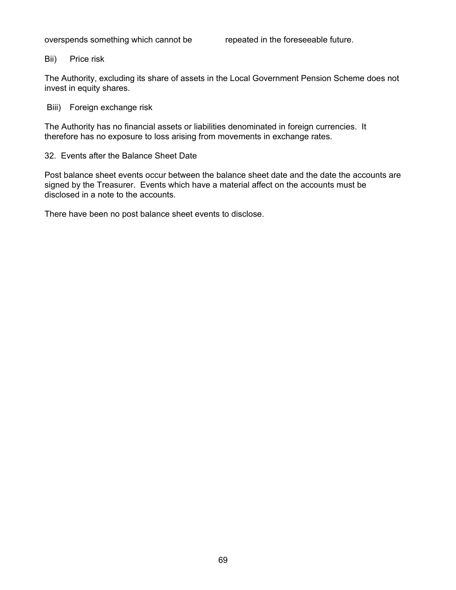#### Bii) Price risk

The Authority, excluding its share of assets in the Local Government Pension Scheme does not invest in equity shares.

Biii) Foreign exchange risk

The Authority has no financial assets or liabilities denominated in foreign currencies. It therefore has no exposure to loss arising from movements in exchange rates.

32. Events after the Balance Sheet Date

Post balance sheet events occur between the balance sheet date and the date the accounts are signed by the Treasurer. Events which have a material affect on the accounts must be disclosed in a note to the accounts.

There have been no post balance sheet events to disclose.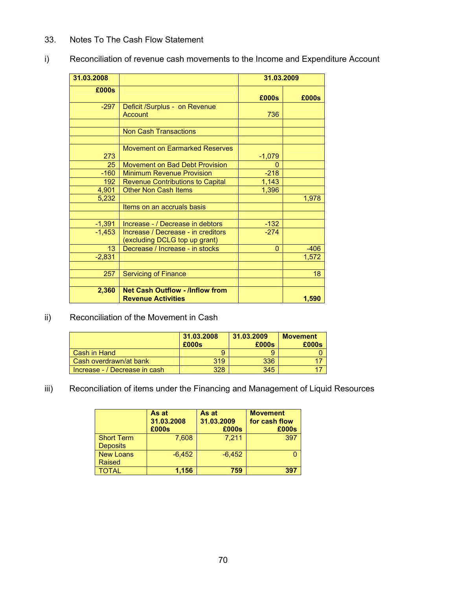## 33. Notes To The Cash Flow Statement

| Reconciliation of revenue cash movements to the Income and Expenditure Account |  |
|--------------------------------------------------------------------------------|--|
|--------------------------------------------------------------------------------|--|

| 31.03.2008 |                                                                     | 31.03.2009     |        |
|------------|---------------------------------------------------------------------|----------------|--------|
| £000s      |                                                                     | £000s          | £000s  |
| $-297$     | Deficit /Surplus - on Revenue<br><b>Account</b>                     | 736            |        |
|            |                                                                     |                |        |
|            | <b>Non Cash Transactions</b>                                        |                |        |
|            |                                                                     |                |        |
| 273        | Movement on Earmarked Reserves                                      | $-1,079$       |        |
| 25         | Movement on Bad Debt Provision                                      | 0              |        |
| $-160$     | <b>Minimum Revenue Provision</b>                                    | $-218$         |        |
| 192        | <b>Revenue Contributions to Capital</b>                             | 1,143          |        |
| 4,901      | <b>Other Non Cash Items</b>                                         | 1,396          |        |
| 5,232      |                                                                     |                | 1,978  |
|            | Items on an accruals basis                                          |                |        |
|            |                                                                     |                |        |
| $-1,391$   | Increase - / Decrease in debtors                                    | $-132$         |        |
| $-1,453$   | Increase / Decrease - in creditors<br>(excluding DCLG top up grant) | $-274$         |        |
| 13         | Decrease / Increase - in stocks                                     | $\overline{0}$ | $-406$ |
| $-2,831$   |                                                                     |                | 1,572  |
|            |                                                                     |                |        |
| 257        | <b>Servicing of Finance</b>                                         |                | 18     |
|            |                                                                     |                |        |
| 2,360      | <b>Net Cash Outflow - /Inflow from</b><br><b>Revenue Activities</b> |                | 1,590  |

# ii) Reconciliation of the Movement in Cash

|                               | 31.03.2008<br>£000s | 31.03.2009<br>£000s | <b>Movement</b><br>£000s |
|-------------------------------|---------------------|---------------------|--------------------------|
| l Cash in Hand                | 9                   | 9                   |                          |
| Cash overdrawn/at bank        | 319                 | 336                 |                          |
| Increase - / Decrease in cash | 328                 | 345                 |                          |

## iii) Reconciliation of items under the Financing and Management of Liquid Resources

|                                      | As at<br>31.03.2008<br>£000s | As at<br>31.03.2009<br>£000s | <b>Movement</b><br>for cash flow<br>£000s |
|--------------------------------------|------------------------------|------------------------------|-------------------------------------------|
| <b>Short Term</b><br><b>Deposits</b> | 7.608                        | 7.211                        | 397                                       |
| <b>New Loans</b><br>Raised           | $-6.452$                     | $-6.452$                     |                                           |
| <b>TOTAL</b>                         | 1,156                        | 759                          | 397                                       |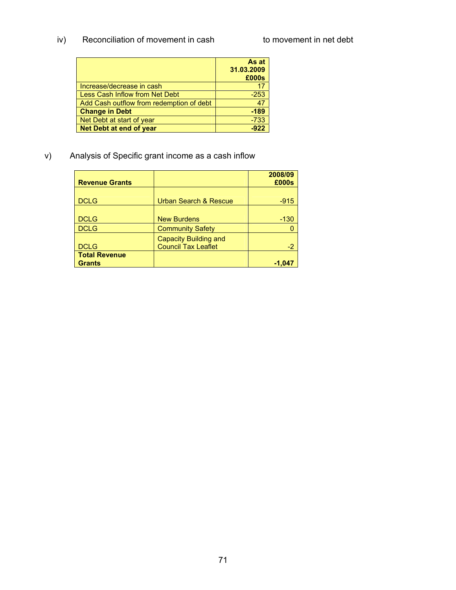iv) Reconciliation of movement in cash to movement in net debt

|                                          | As at<br>31.03.2009<br>£000s |
|------------------------------------------|------------------------------|
| Increase/decrease in cash                |                              |
| Less Cash Inflow from Net Debt           | $-253$                       |
| Add Cash outflow from redemption of debt | 47                           |
| <b>Change in Debt</b>                    | $-189$                       |
| Net Debt at start of year                | $-733$                       |
| Net Debt at end of year                  | $-922$                       |

v) Analysis of Specific grant income as a cash inflow

| <b>Revenue Grants</b> |                                  | 2008/09<br>£000s |
|-----------------------|----------------------------------|------------------|
|                       |                                  |                  |
| <b>DCLG</b>           | <b>Urban Search &amp; Rescue</b> | $-915$           |
| <b>DCLG</b>           | <b>New Burdens</b>               | $-130$           |
| <b>DCLG</b>           | <b>Community Safety</b>          |                  |
|                       | <b>Capacity Building and</b>     |                  |
| <b>DCLG</b>           | <b>Council Tax Leaflet</b>       | $-2$             |
| <b>Total Revenue</b>  |                                  |                  |
| <b>Grants</b>         |                                  | -1,047           |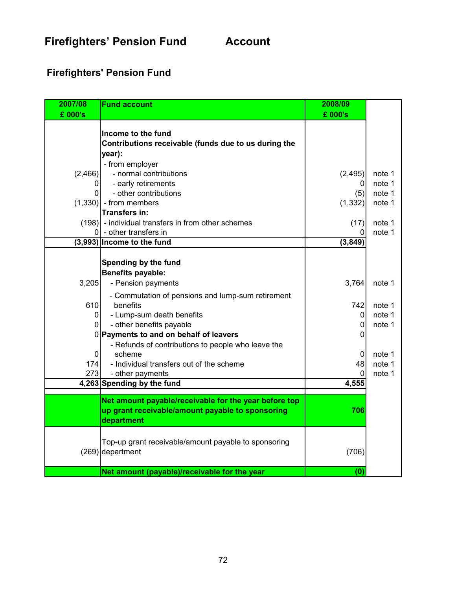**Firefighters' Pension Fund Account** 

# **Firefighters' Pension Fund**

| 2007/08                          | <b>Fund account</b>                                           | 2008/09     |                  |
|----------------------------------|---------------------------------------------------------------|-------------|------------------|
| £ 000's                          |                                                               | £ 000's     |                  |
|                                  | Income to the fund                                            |             |                  |
|                                  | Contributions receivable (funds due to us during the          |             |                  |
|                                  | year):                                                        |             |                  |
|                                  | - from employer                                               |             |                  |
| (2,466)                          | - normal contributions                                        | (2, 495)    | note 1           |
| 0                                | - early retirements                                           | 0           | note 1           |
| 0                                | - other contributions                                         | (5)         | note 1           |
|                                  | $(1,330)$ - from members                                      | (1, 332)    | note 1           |
|                                  | Transfers in:                                                 |             |                  |
|                                  | $(198)$ - individual transfers in from other schemes          | (17)        | note 1           |
|                                  | $0$ - other transfers in                                      | 0           | note 1           |
|                                  | (3,993) Income to the fund                                    | (3, 849)    |                  |
|                                  |                                                               |             |                  |
|                                  | Spending by the fund                                          |             |                  |
|                                  | <b>Benefits payable:</b>                                      |             |                  |
| 3,205                            | - Pension payments                                            | 3,764       | note 1           |
|                                  |                                                               |             |                  |
| 610                              | - Commutation of pensions and lump-sum retirement<br>benefits |             |                  |
|                                  | - Lump-sum death benefits                                     | 742         | note 1<br>note 1 |
| $\overline{0}$<br>$\overline{0}$ | - other benefits payable                                      | 0<br>0      | note 1           |
|                                  | 0 Payments to and on behalf of leavers                        | 0           |                  |
|                                  |                                                               |             |                  |
| $\overline{0}$                   | - Refunds of contributions to people who leave the<br>scheme  | $\mathbf 0$ | note 1           |
| 174                              | - Individual transfers out of the scheme                      | 48          | note 1           |
| 273                              | - other payments                                              | $\Omega$    | note 1           |
|                                  | 4,263 Spending by the fund                                    | 4,555       |                  |
|                                  |                                                               |             |                  |
|                                  | Net amount payable/receivable for the year before top         |             |                  |
|                                  | up grant receivable/amount payable to sponsoring              | 706         |                  |
|                                  | department                                                    |             |                  |
|                                  |                                                               |             |                  |
|                                  | Top-up grant receivable/amount payable to sponsoring          |             |                  |
|                                  | $(269)$ department                                            | (706)       |                  |
|                                  |                                                               |             |                  |
|                                  | Net amount (payable)/receivable for the year                  | (0)         |                  |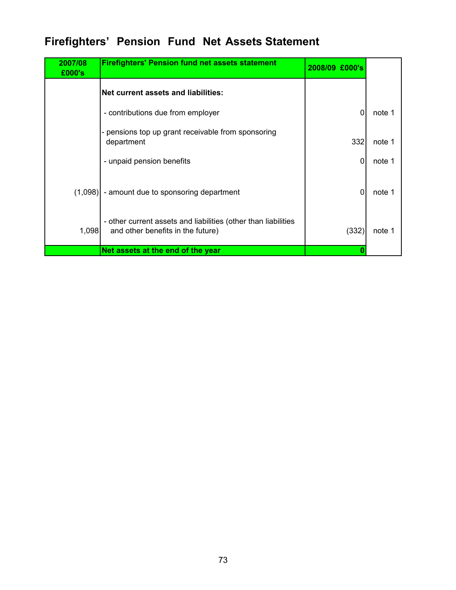# **Firefighters' Pension Fund Net Assets Statement**

| 2007/08<br>£000's | <b>Firefighters' Pension fund net assets statement</b>                                              | 2008/09 £000's |        |
|-------------------|-----------------------------------------------------------------------------------------------------|----------------|--------|
|                   | <b>Net current assets and liabilities:</b>                                                          |                |        |
|                   | - contributions due from employer                                                                   | $\Omega$       | note 1 |
|                   | pensions top up grant receivable from sponsoring<br>department                                      | 332            | note 1 |
|                   | - unpaid pension benefits                                                                           | $\Omega$       | note 1 |
|                   | $(1,098)$ - amount due to sponsoring department                                                     | $\Omega$       | note 1 |
| 1,098             | - other current assets and liabilities (other than liabilities<br>and other benefits in the future) | (332)          | note 1 |
|                   | Net assets at the end of the year                                                                   |                |        |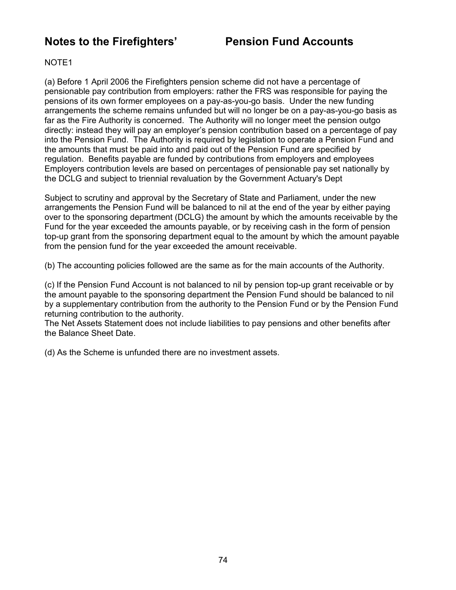# **Notes to the Firefighters' Pension Fund Accounts**

#### NOTE1

(a) Before 1 April 2006 the Firefighters pension scheme did not have a percentage of pensionable pay contribution from employers: rather the FRS was responsible for paying the pensions of its own former employees on a pay-as-you-go basis. Under the new funding arrangements the scheme remains unfunded but will no longer be on a pay-as-you-go basis as far as the Fire Authority is concerned. The Authority will no longer meet the pension outgo directly: instead they will pay an employer's pension contribution based on a percentage of pay into the Pension Fund. The Authority is required by legislation to operate a Pension Fund and the amounts that must be paid into and paid out of the Pension Fund are specified by regulation. Benefits payable are funded by contributions from employers and employees Employers contribution levels are based on percentages of pensionable pay set nationally by the DCLG and subject to triennial revaluation by the Government Actuary's Dept

Subject to scrutiny and approval by the Secretary of State and Parliament, under the new arrangements the Pension Fund will be balanced to nil at the end of the year by either paying over to the sponsoring department (DCLG) the amount by which the amounts receivable by the Fund for the year exceeded the amounts payable, or by receiving cash in the form of pension top-up grant from the sponsoring department equal to the amount by which the amount payable from the pension fund for the year exceeded the amount receivable.

(b) The accounting policies followed are the same as for the main accounts of the Authority.

(c) If the Pension Fund Account is not balanced to nil by pension top-up grant receivable or by the amount payable to the sponsoring department the Pension Fund should be balanced to nil by a supplementary contribution from the authority to the Pension Fund or by the Pension Fund returning contribution to the authority.

The Net Assets Statement does not include liabilities to pay pensions and other benefits after the Balance Sheet Date.

(d) As the Scheme is unfunded there are no investment assets.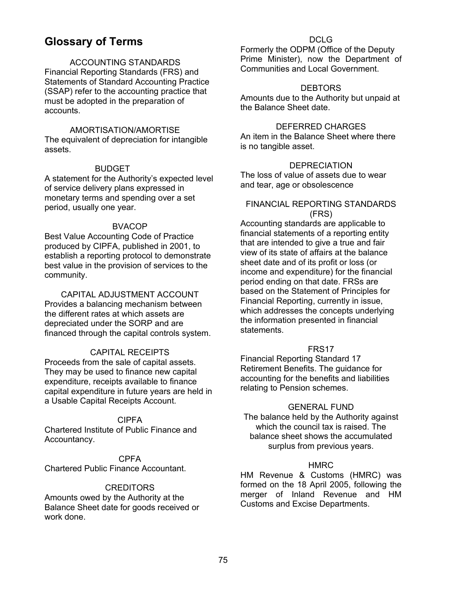# **Glossary of Terms**

### ACCOUNTING STANDARDS

Financial Reporting Standards (FRS) and Statements of Standard Accounting Practice (SSAP) refer to the accounting practice that must be adopted in the preparation of accounts.

#### AMORTISATION/AMORTISE

The equivalent of depreciation for intangible assets.

#### BUDGET

A statement for the Authority's expected level of service delivery plans expressed in monetary terms and spending over a set period, usually one year.

#### BVACOP

Best Value Accounting Code of Practice produced by CIPFA, published in 2001, to establish a reporting protocol to demonstrate best value in the provision of services to the community.

CAPITAL ADJUSTMENT ACCOUNT Provides a balancing mechanism between the different rates at which assets are depreciated under the SORP and are financed through the capital controls system.

### CAPITAL RECEIPTS

Proceeds from the sale of capital assets. They may be used to finance new capital expenditure, receipts available to finance capital expenditure in future years are held in a Usable Capital Receipts Account.

#### CIPFA

Chartered Institute of Public Finance and Accountancy.

CPFA Chartered Public Finance Accountant.

#### **CREDITORS**

Amounts owed by the Authority at the Balance Sheet date for goods received or work done.

#### DCLG

Formerly the ODPM (Office of the Deputy Prime Minister), now the Department of Communities and Local Government.

#### **DEBTORS**

Amounts due to the Authority but unpaid at the Balance Sheet date.

#### DEFERRED CHARGES

An item in the Balance Sheet where there is no tangible asset.

#### **DEPRECIATION**

The loss of value of assets due to wear and tear, age or obsolescence

#### FINANCIAL REPORTING STANDARDS (FRS)

Accounting standards are applicable to financial statements of a reporting entity that are intended to give a true and fair view of its state of affairs at the balance sheet date and of its profit or loss (or income and expenditure) for the financial period ending on that date. FRSs are based on the Statement of Principles for Financial Reporting, currently in issue, which addresses the concepts underlying the information presented in financial statements.

#### FRS17

Financial Reporting Standard 17 Retirement Benefits. The guidance for accounting for the benefits and liabilities relating to Pension schemes.

#### GENERAL FUND

The balance held by the Authority against which the council tax is raised. The balance sheet shows the accumulated surplus from previous years.

#### **HMRC**

HM Revenue & Customs (HMRC) was formed on the 18 April 2005, following the merger of Inland Revenue and HM Customs and Excise Departments.